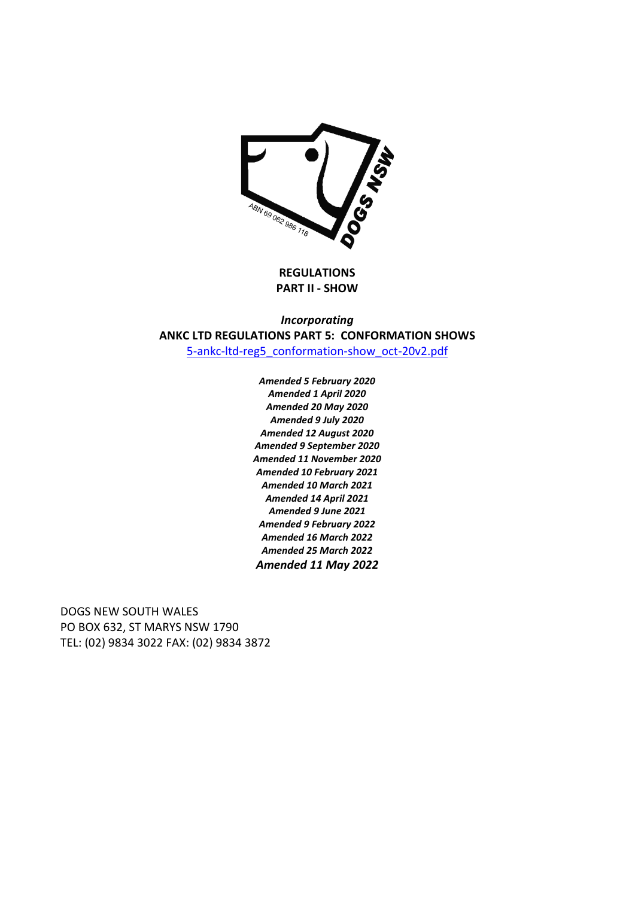

**REGULATIONS PART II - SHOW** 

*Incorporating*  **ANKC LTD REGULATIONS PART 5: CONFORMATION SHOWS**  5-ankc-ltd-reg5\_conformation-show\_oct-20v2.pdf

> *Amended 5 February 2020 Amended 1 April 2020 Amended 20 May 2020 Amended 9 July 2020 Amended 12 August 2020 Amended 9 September 2020 Amended 11 November 2020 Amended 10 February 2021 Amended 10 March 2021 Amended 14 April 2021 Amended 9 June 2021 Amended 9 February 2022 Amended 16 March 2022 Amended 25 March 2022 Amended 11 May 2022*

DOGS NEW SOUTH WALES PO BOX 632, ST MARYS NSW 1790 TEL: (02) 9834 3022 FAX: (02) 9834 3872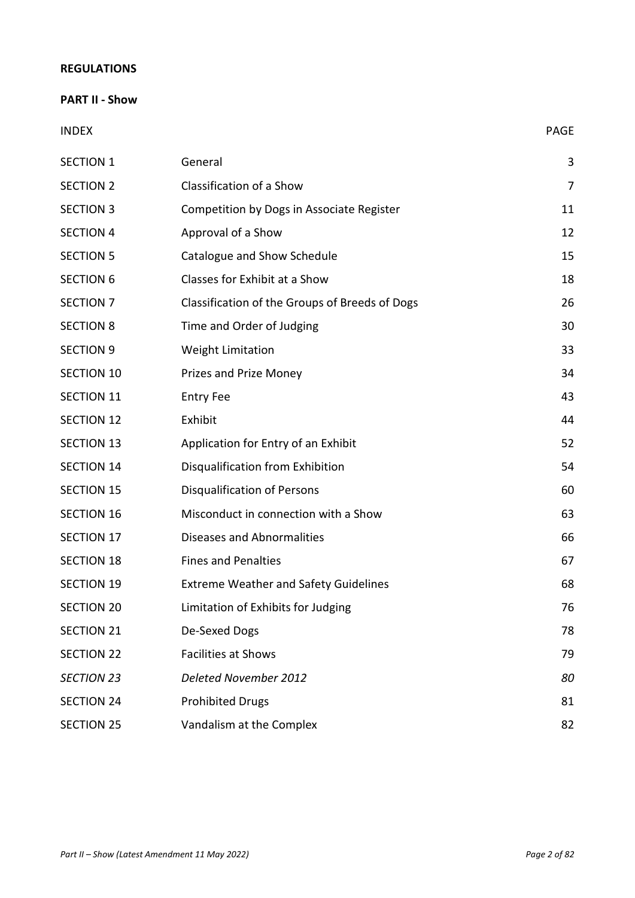#### **REGULATIONS**

# **PART II - Show**

INDEX PAGE

| <b>SECTION 1</b>  | General                                        | 3              |
|-------------------|------------------------------------------------|----------------|
| <b>SECTION 2</b>  | Classification of a Show                       | $\overline{7}$ |
| <b>SECTION 3</b>  | Competition by Dogs in Associate Register      | 11             |
| <b>SECTION 4</b>  | Approval of a Show                             | 12             |
| <b>SECTION 5</b>  | Catalogue and Show Schedule                    | 15             |
| <b>SECTION 6</b>  | Classes for Exhibit at a Show                  | 18             |
| <b>SECTION 7</b>  | Classification of the Groups of Breeds of Dogs | 26             |
| <b>SECTION 8</b>  | Time and Order of Judging                      | 30             |
| <b>SECTION 9</b>  | <b>Weight Limitation</b>                       | 33             |
| SECTION 10        | <b>Prizes and Prize Money</b>                  | 34             |
| <b>SECTION 11</b> | <b>Entry Fee</b>                               | 43             |
| <b>SECTION 12</b> | Exhibit                                        | 44             |
| <b>SECTION 13</b> | Application for Entry of an Exhibit            | 52             |
| <b>SECTION 14</b> | Disqualification from Exhibition               | 54             |
| <b>SECTION 15</b> | <b>Disqualification of Persons</b>             | 60             |
| <b>SECTION 16</b> | Misconduct in connection with a Show           | 63             |
| <b>SECTION 17</b> | Diseases and Abnormalities                     | 66             |
| <b>SECTION 18</b> | <b>Fines and Penalties</b>                     | 67             |
| <b>SECTION 19</b> | <b>Extreme Weather and Safety Guidelines</b>   | 68             |
| <b>SECTION 20</b> | Limitation of Exhibits for Judging             | 76             |
| <b>SECTION 21</b> | De-Sexed Dogs                                  | 78             |
| <b>SECTION 22</b> | <b>Facilities at Shows</b>                     | 79             |
| <b>SECTION 23</b> | Deleted November 2012                          | 80             |
| <b>SECTION 24</b> | <b>Prohibited Drugs</b>                        | 81             |
| <b>SECTION 25</b> | Vandalism at the Complex                       | 82             |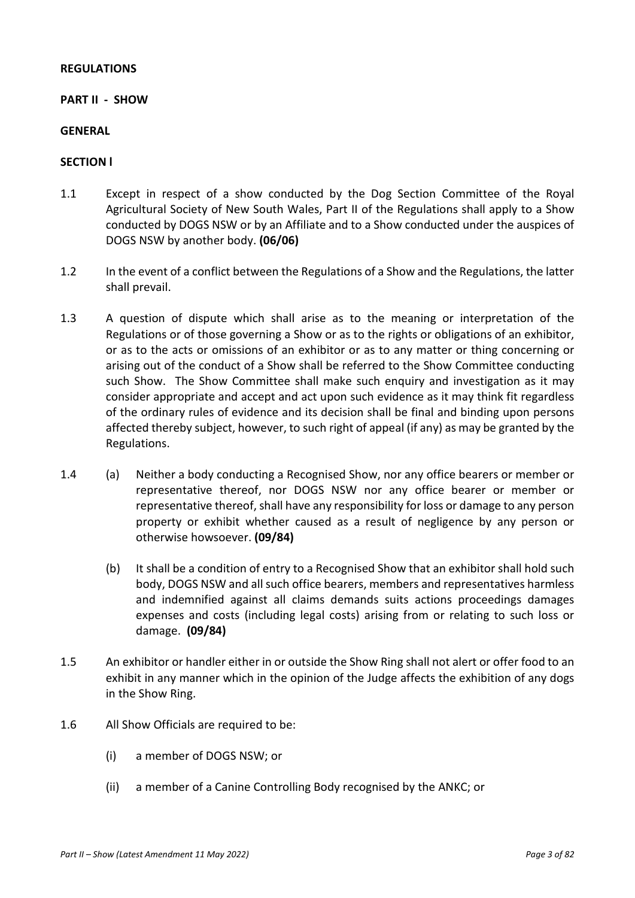## **REGULATIONS**

## **PART II - SHOW**

#### **GENERAL**

#### **SECTION l**

- 1.1 Except in respect of a show conducted by the Dog Section Committee of the Royal Agricultural Society of New South Wales, Part II of the Regulations shall apply to a Show conducted by DOGS NSW or by an Affiliate and to a Show conducted under the auspices of DOGS NSW by another body. **(06/06)**
- 1.2 In the event of a conflict between the Regulations of a Show and the Regulations, the latter shall prevail.
- 1.3 A question of dispute which shall arise as to the meaning or interpretation of the Regulations or of those governing a Show or as to the rights or obligations of an exhibitor, or as to the acts or omissions of an exhibitor or as to any matter or thing concerning or arising out of the conduct of a Show shall be referred to the Show Committee conducting such Show. The Show Committee shall make such enquiry and investigation as it may consider appropriate and accept and act upon such evidence as it may think fit regardless of the ordinary rules of evidence and its decision shall be final and binding upon persons affected thereby subject, however, to such right of appeal (if any) as may be granted by the Regulations.
- 1.4 (a) Neither a body conducting a Recognised Show, nor any office bearers or member or representative thereof, nor DOGS NSW nor any office bearer or member or representative thereof, shall have any responsibility for loss or damage to any person property or exhibit whether caused as a result of negligence by any person or otherwise howsoever. **(09/84)**
	- (b) It shall be a condition of entry to a Recognised Show that an exhibitor shall hold such body, DOGS NSW and all such office bearers, members and representatives harmless and indemnified against all claims demands suits actions proceedings damages expenses and costs (including legal costs) arising from or relating to such loss or damage. **(09/84)**
- 1.5 An exhibitor or handler either in or outside the Show Ring shall not alert or offer food to an exhibit in any manner which in the opinion of the Judge affects the exhibition of any dogs in the Show Ring.
- 1.6 All Show Officials are required to be:
	- (i) a member of DOGS NSW; or
	- (ii) a member of a Canine Controlling Body recognised by the ANKC; or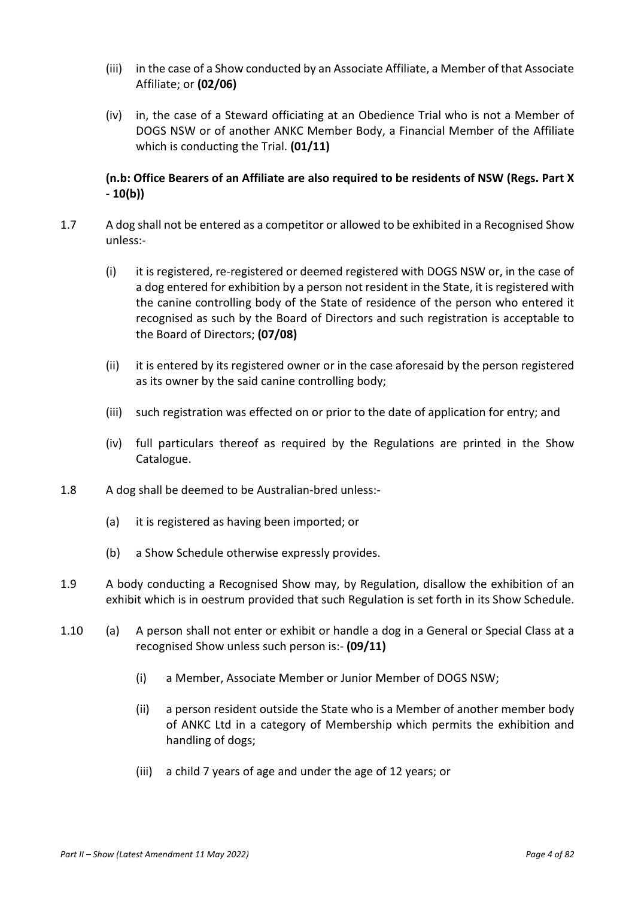- (iii) in the case of a Show conducted by an Associate Affiliate, a Member of that Associate Affiliate; or **(02/06)**
- (iv) in, the case of a Steward officiating at an Obedience Trial who is not a Member of DOGS NSW or of another ANKC Member Body, a Financial Member of the Affiliate which is conducting the Trial. **(01/11)**

# **(n.b: Office Bearers of an Affiliate are also required to be residents of NSW (Regs. Part X - 10(b))**

- 1.7 A dog shall not be entered as a competitor or allowed to be exhibited in a Recognised Show unless:-
	- (i) it is registered, re-registered or deemed registered with DOGS NSW or, in the case of a dog entered for exhibition by a person not resident in the State, it is registered with the canine controlling body of the State of residence of the person who entered it recognised as such by the Board of Directors and such registration is acceptable to the Board of Directors; **(07/08)**
	- (ii) it is entered by its registered owner or in the case aforesaid by the person registered as its owner by the said canine controlling body;
	- (iii) such registration was effected on or prior to the date of application for entry; and
	- (iv) full particulars thereof as required by the Regulations are printed in the Show Catalogue.
- 1.8 A dog shall be deemed to be Australian-bred unless:-
	- (a) it is registered as having been imported; or
	- (b) a Show Schedule otherwise expressly provides.
- 1.9 A body conducting a Recognised Show may, by Regulation, disallow the exhibition of an exhibit which is in oestrum provided that such Regulation is set forth in its Show Schedule.
- 1.10 (a) A person shall not enter or exhibit or handle a dog in a General or Special Class at a recognised Show unless such person is:- **(09/11)**
	- (i) a Member, Associate Member or Junior Member of DOGS NSW;
	- (ii) a person resident outside the State who is a Member of another member body of ANKC Ltd in a category of Membership which permits the exhibition and handling of dogs;
	- (iii) a child 7 years of age and under the age of 12 years; or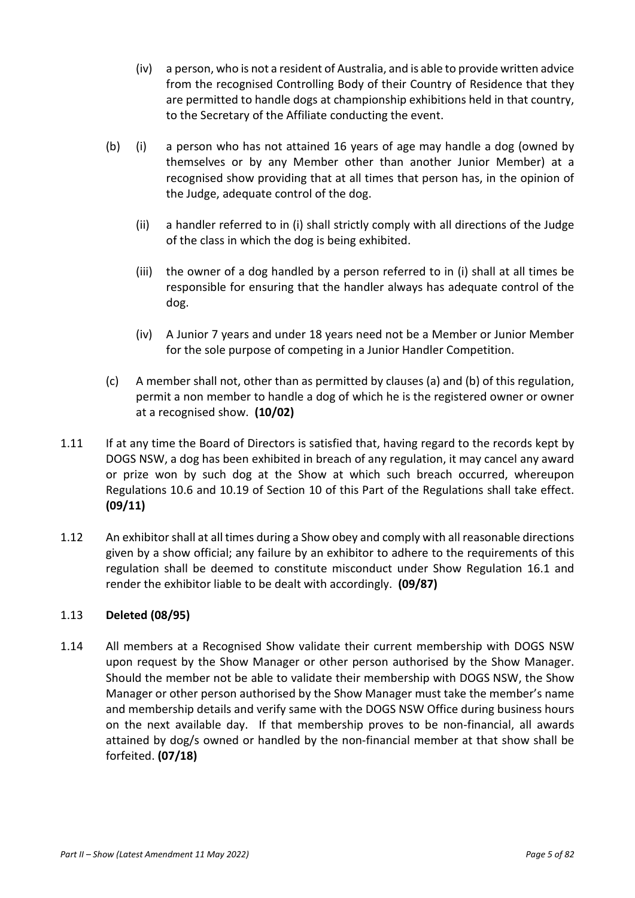- (iv) a person, who is not a resident of Australia, and is able to provide written advice from the recognised Controlling Body of their Country of Residence that they are permitted to handle dogs at championship exhibitions held in that country, to the Secretary of the Affiliate conducting the event.
- (b) (i) a person who has not attained 16 years of age may handle a dog (owned by themselves or by any Member other than another Junior Member) at a recognised show providing that at all times that person has, in the opinion of the Judge, adequate control of the dog.
	- (ii) a handler referred to in (i) shall strictly comply with all directions of the Judge of the class in which the dog is being exhibited.
	- (iii) the owner of a dog handled by a person referred to in (i) shall at all times be responsible for ensuring that the handler always has adequate control of the dog.
	- (iv) A Junior 7 years and under 18 years need not be a Member or Junior Member for the sole purpose of competing in a Junior Handler Competition.
- (c) A member shall not, other than as permitted by clauses (a) and (b) of this regulation, permit a non member to handle a dog of which he is the registered owner or owner at a recognised show. **(10/02)**
- 1.11 If at any time the Board of Directors is satisfied that, having regard to the records kept by DOGS NSW, a dog has been exhibited in breach of any regulation, it may cancel any award or prize won by such dog at the Show at which such breach occurred, whereupon Regulations 10.6 and 10.19 of Section 10 of this Part of the Regulations shall take effect. **(09/11)**
- 1.12 An exhibitor shall at all times during a Show obey and comply with all reasonable directions given by a show official; any failure by an exhibitor to adhere to the requirements of this regulation shall be deemed to constitute misconduct under Show Regulation 16.1 and render the exhibitor liable to be dealt with accordingly. **(09/87)**

# 1.13 **Deleted (08/95)**

1.14 All members at a Recognised Show validate their current membership with DOGS NSW upon request by the Show Manager or other person authorised by the Show Manager. Should the member not be able to validate their membership with DOGS NSW, the Show Manager or other person authorised by the Show Manager must take the member's name and membership details and verify same with the DOGS NSW Office during business hours on the next available day. If that membership proves to be non-financial, all awards attained by dog/s owned or handled by the non-financial member at that show shall be forfeited. **(07/18)**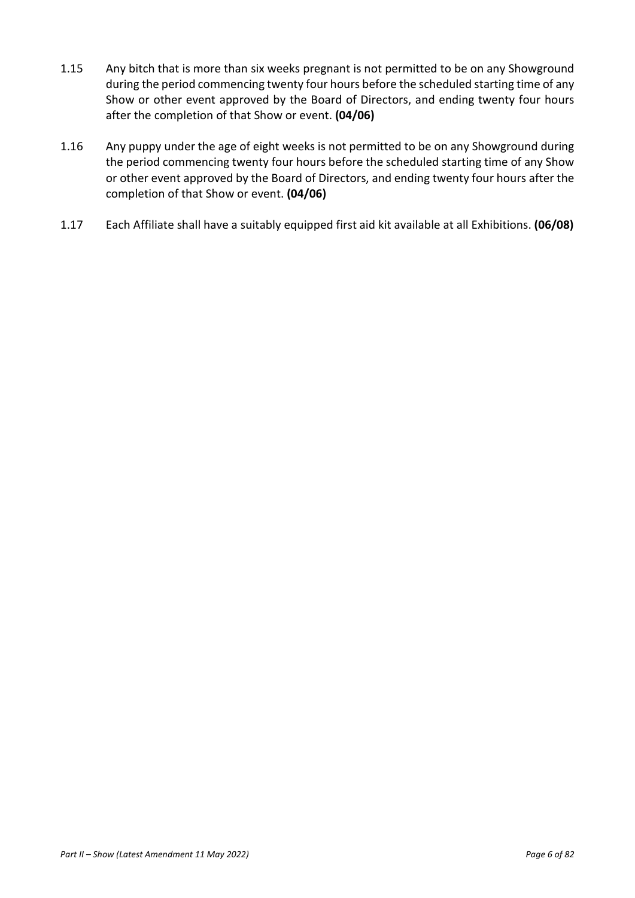- 1.15 Any bitch that is more than six weeks pregnant is not permitted to be on any Showground during the period commencing twenty four hours before the scheduled starting time of any Show or other event approved by the Board of Directors, and ending twenty four hours after the completion of that Show or event. **(04/06)**
- 1.16 Any puppy under the age of eight weeks is not permitted to be on any Showground during the period commencing twenty four hours before the scheduled starting time of any Show or other event approved by the Board of Directors, and ending twenty four hours after the completion of that Show or event. **(04/06)**
- 1.17 Each Affiliate shall have a suitably equipped first aid kit available at all Exhibitions. **(06/08)**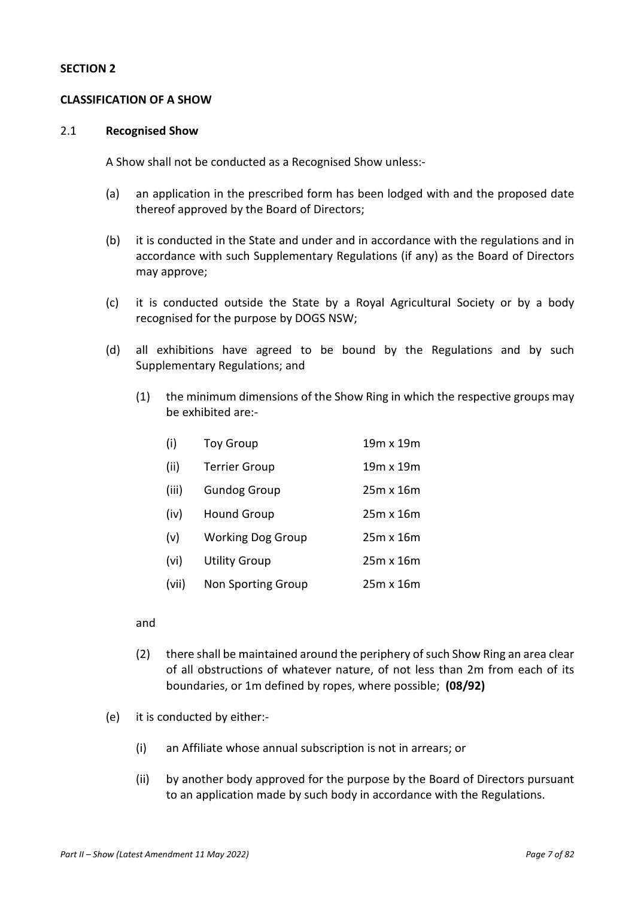#### **CLASSIFICATION OF A SHOW**

#### 2.1 **Recognised Show**

A Show shall not be conducted as a Recognised Show unless:-

- (a) an application in the prescribed form has been lodged with and the proposed date thereof approved by the Board of Directors;
- (b) it is conducted in the State and under and in accordance with the regulations and in accordance with such Supplementary Regulations (if any) as the Board of Directors may approve;
- (c) it is conducted outside the State by a Royal Agricultural Society or by a body recognised for the purpose by DOGS NSW;
- (d) all exhibitions have agreed to be bound by the Regulations and by such Supplementary Regulations; and
	- (1) the minimum dimensions of the Show Ring in which the respective groups may be exhibited are:-

| (i)   | <b>Toy Group</b>          | 19m x 19m |
|-------|---------------------------|-----------|
| (ii)  | <b>Terrier Group</b>      | 19m x 19m |
| (iii) | <b>Gundog Group</b>       | 25m x 16m |
| (iv)  | <b>Hound Group</b>        | 25m x 16m |
| (v)   | <b>Working Dog Group</b>  | 25m x 16m |
| (vi)  | <b>Utility Group</b>      | 25m x 16m |
| (vii) | <b>Non Sporting Group</b> | 25m x 16m |

and

- (2) there shall be maintained around the periphery of such Show Ring an area clear of all obstructions of whatever nature, of not less than 2m from each of its boundaries, or 1m defined by ropes, where possible; **(08/92)**
- (e) it is conducted by either:-
	- (i) an Affiliate whose annual subscription is not in arrears; or
	- (ii) by another body approved for the purpose by the Board of Directors pursuant to an application made by such body in accordance with the Regulations.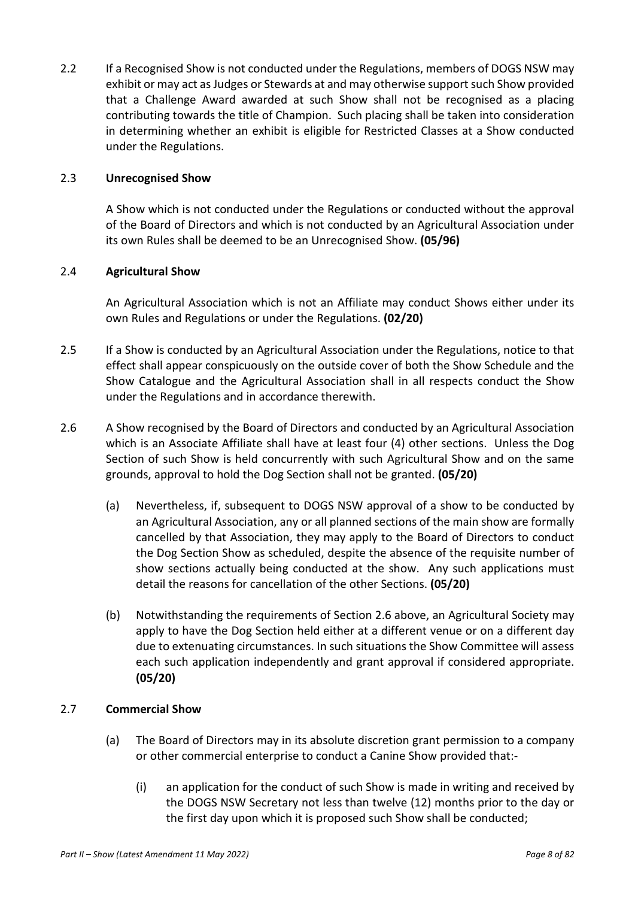2.2 If a Recognised Show is not conducted under the Regulations, members of DOGS NSW may exhibit or may act as Judges or Stewards at and may otherwise support such Show provided that a Challenge Award awarded at such Show shall not be recognised as a placing contributing towards the title of Champion. Such placing shall be taken into consideration in determining whether an exhibit is eligible for Restricted Classes at a Show conducted under the Regulations.

## 2.3 **Unrecognised Show**

A Show which is not conducted under the Regulations or conducted without the approval of the Board of Directors and which is not conducted by an Agricultural Association under its own Rules shall be deemed to be an Unrecognised Show. **(05/96)**

#### 2.4 **Agricultural Show**

An Agricultural Association which is not an Affiliate may conduct Shows either under its own Rules and Regulations or under the Regulations. **(02/20)** 

- 2.5 If a Show is conducted by an Agricultural Association under the Regulations, notice to that effect shall appear conspicuously on the outside cover of both the Show Schedule and the Show Catalogue and the Agricultural Association shall in all respects conduct the Show under the Regulations and in accordance therewith.
- 2.6 A Show recognised by the Board of Directors and conducted by an Agricultural Association which is an Associate Affiliate shall have at least four (4) other sections. Unless the Dog Section of such Show is held concurrently with such Agricultural Show and on the same grounds, approval to hold the Dog Section shall not be granted. **(05/20)** 
	- (a) Nevertheless, if, subsequent to DOGS NSW approval of a show to be conducted by an Agricultural Association, any or all planned sections of the main show are formally cancelled by that Association, they may apply to the Board of Directors to conduct the Dog Section Show as scheduled, despite the absence of the requisite number of show sections actually being conducted at the show. Any such applications must detail the reasons for cancellation of the other Sections. **(05/20)**
	- (b) Notwithstanding the requirements of Section 2.6 above, an Agricultural Society may apply to have the Dog Section held either at a different venue or on a different day due to extenuating circumstances. In such situations the Show Committee will assess each such application independently and grant approval if considered appropriate. **(05/20)**

## 2.7 **Commercial Show**

- (a) The Board of Directors may in its absolute discretion grant permission to a company or other commercial enterprise to conduct a Canine Show provided that:-
	- (i) an application for the conduct of such Show is made in writing and received by the DOGS NSW Secretary not less than twelve (12) months prior to the day or the first day upon which it is proposed such Show shall be conducted;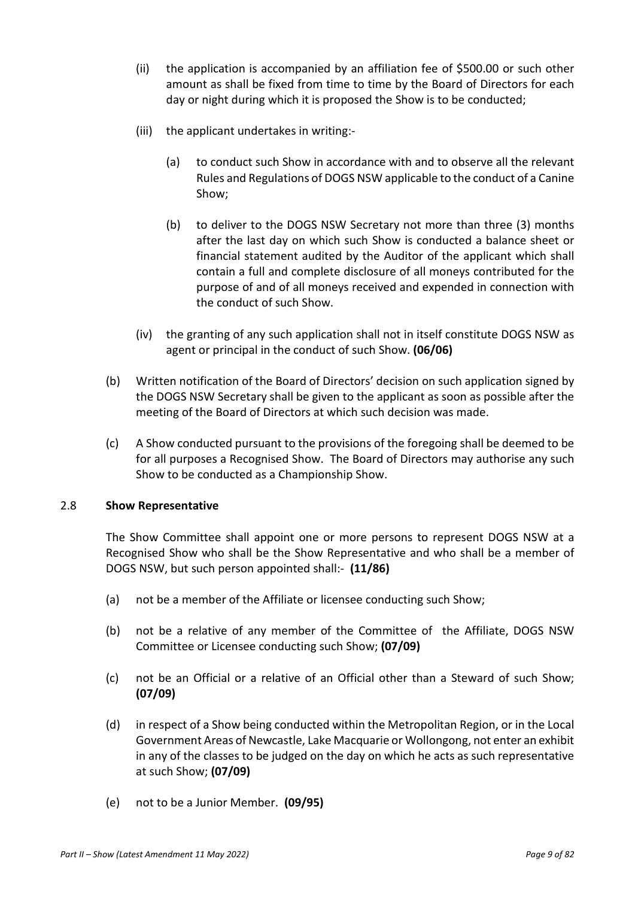- (ii) the application is accompanied by an affiliation fee of \$500.00 or such other amount as shall be fixed from time to time by the Board of Directors for each day or night during which it is proposed the Show is to be conducted;
- (iii) the applicant undertakes in writing:-
	- (a) to conduct such Show in accordance with and to observe all the relevant Rules and Regulations of DOGS NSW applicable to the conduct of a Canine Show;
	- (b) to deliver to the DOGS NSW Secretary not more than three (3) months after the last day on which such Show is conducted a balance sheet or financial statement audited by the Auditor of the applicant which shall contain a full and complete disclosure of all moneys contributed for the purpose of and of all moneys received and expended in connection with the conduct of such Show.
- (iv) the granting of any such application shall not in itself constitute DOGS NSW as agent or principal in the conduct of such Show. **(06/06)**
- (b) Written notification of the Board of Directors' decision on such application signed by the DOGS NSW Secretary shall be given to the applicant as soon as possible after the meeting of the Board of Directors at which such decision was made.
- (c) A Show conducted pursuant to the provisions of the foregoing shall be deemed to be for all purposes a Recognised Show. The Board of Directors may authorise any such Show to be conducted as a Championship Show.

## 2.8 **Show Representative**

The Show Committee shall appoint one or more persons to represent DOGS NSW at a Recognised Show who shall be the Show Representative and who shall be a member of DOGS NSW, but such person appointed shall:- **(11/86)**

- (a) not be a member of the Affiliate or licensee conducting such Show;
- (b) not be a relative of any member of the Committee of the Affiliate, DOGS NSW Committee or Licensee conducting such Show; **(07/09)**
- (c) not be an Official or a relative of an Official other than a Steward of such Show; **(07/09)**
- (d) in respect of a Show being conducted within the Metropolitan Region, or in the Local Government Areas of Newcastle, Lake Macquarie or Wollongong, not enter an exhibit in any of the classes to be judged on the day on which he acts as such representative at such Show; **(07/09)**
- (e) not to be a Junior Member. **(09/95)**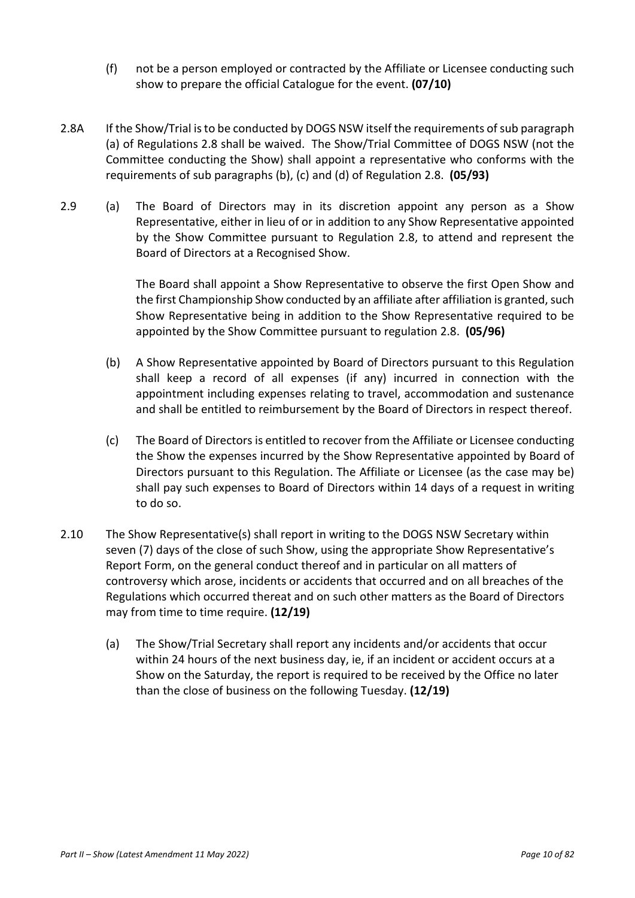- (f) not be a person employed or contracted by the Affiliate or Licensee conducting such show to prepare the official Catalogue for the event. **(07/10)**
- 2.8A If the Show/Trial is to be conducted by DOGS NSW itself the requirements of sub paragraph (a) of Regulations 2.8 shall be waived. The Show/Trial Committee of DOGS NSW (not the Committee conducting the Show) shall appoint a representative who conforms with the requirements of sub paragraphs (b), (c) and (d) of Regulation 2.8. **(05/93)**
- 2.9 (a) The Board of Directors may in its discretion appoint any person as a Show Representative, either in lieu of or in addition to any Show Representative appointed by the Show Committee pursuant to Regulation 2.8, to attend and represent the Board of Directors at a Recognised Show.

The Board shall appoint a Show Representative to observe the first Open Show and the first Championship Show conducted by an affiliate after affiliation is granted, such Show Representative being in addition to the Show Representative required to be appointed by the Show Committee pursuant to regulation 2.8. **(05/96)**

- (b) A Show Representative appointed by Board of Directors pursuant to this Regulation shall keep a record of all expenses (if any) incurred in connection with the appointment including expenses relating to travel, accommodation and sustenance and shall be entitled to reimbursement by the Board of Directors in respect thereof.
- (c) The Board of Directors is entitled to recover from the Affiliate or Licensee conducting the Show the expenses incurred by the Show Representative appointed by Board of Directors pursuant to this Regulation. The Affiliate or Licensee (as the case may be) shall pay such expenses to Board of Directors within 14 days of a request in writing to do so.
- 2.10 The Show Representative(s) shall report in writing to the DOGS NSW Secretary within seven (7) days of the close of such Show, using the appropriate Show Representative's Report Form, on the general conduct thereof and in particular on all matters of controversy which arose, incidents or accidents that occurred and on all breaches of the Regulations which occurred thereat and on such other matters as the Board of Directors may from time to time require. **(12/19)** 
	- (a) The Show/Trial Secretary shall report any incidents and/or accidents that occur within 24 hours of the next business day, ie, if an incident or accident occurs at a Show on the Saturday, the report is required to be received by the Office no later than the close of business on the following Tuesday. **(12/19)**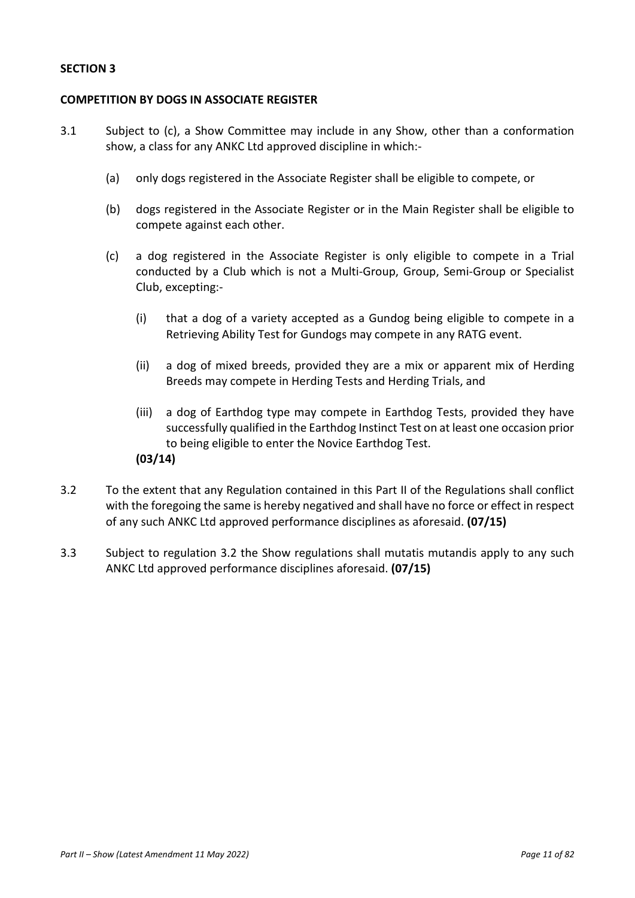#### **COMPETITION BY DOGS IN ASSOCIATE REGISTER**

- 3.1 Subject to (c), a Show Committee may include in any Show, other than a conformation show, a class for any ANKC Ltd approved discipline in which:-
	- (a) only dogs registered in the Associate Register shall be eligible to compete, or
	- (b) dogs registered in the Associate Register or in the Main Register shall be eligible to compete against each other.
	- (c) a dog registered in the Associate Register is only eligible to compete in a Trial conducted by a Club which is not a Multi-Group, Group, Semi-Group or Specialist Club, excepting:-
		- (i) that a dog of a variety accepted as a Gundog being eligible to compete in a Retrieving Ability Test for Gundogs may compete in any RATG event.
		- (ii) a dog of mixed breeds, provided they are a mix or apparent mix of Herding Breeds may compete in Herding Tests and Herding Trials, and
		- (iii) a dog of Earthdog type may compete in Earthdog Tests, provided they have successfully qualified in the Earthdog Instinct Test on at least one occasion prior to being eligible to enter the Novice Earthdog Test. **(03/14)**
- 3.2 To the extent that any Regulation contained in this Part II of the Regulations shall conflict with the foregoing the same is hereby negatived and shall have no force or effect in respect of any such ANKC Ltd approved performance disciplines as aforesaid. **(07/15)**
- 3.3 Subject to regulation 3.2 the Show regulations shall mutatis mutandis apply to any such ANKC Ltd approved performance disciplines aforesaid. **(07/15)**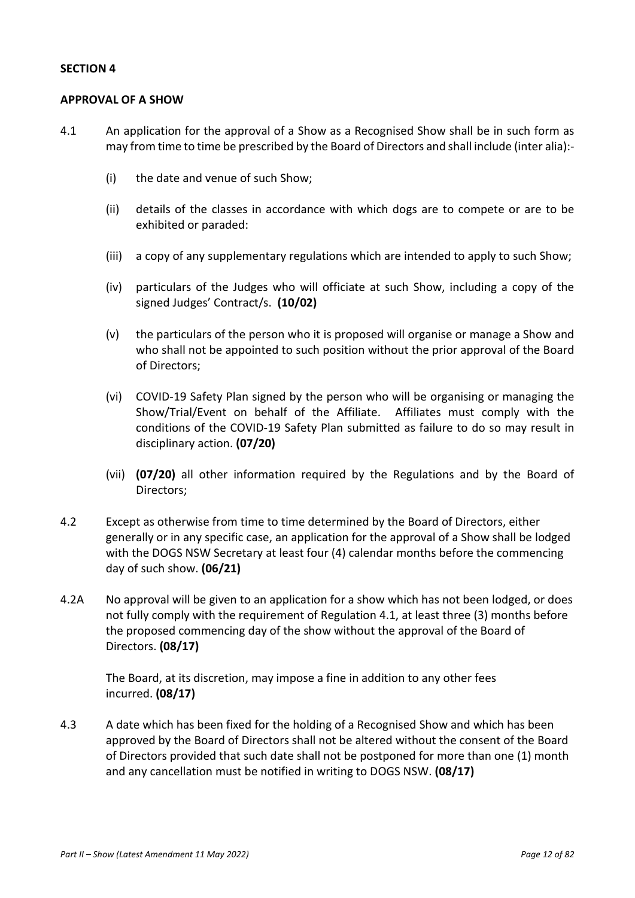#### **APPROVAL OF A SHOW**

- 4.1 An application for the approval of a Show as a Recognised Show shall be in such form as may from time to time be prescribed by the Board of Directors and shall include (inter alia):-
	- (i) the date and venue of such Show;
	- (ii) details of the classes in accordance with which dogs are to compete or are to be exhibited or paraded:
	- (iii) a copy of any supplementary regulations which are intended to apply to such Show;
	- (iv) particulars of the Judges who will officiate at such Show, including a copy of the signed Judges' Contract/s. **(10/02)**
	- (v) the particulars of the person who it is proposed will organise or manage a Show and who shall not be appointed to such position without the prior approval of the Board of Directors;
	- (vi) COVID-19 Safety Plan signed by the person who will be organising or managing the Show/Trial/Event on behalf of the Affiliate. Affiliates must comply with the conditions of the COVID-19 Safety Plan submitted as failure to do so may result in disciplinary action. **(07/20)**
	- (vii) **(07/20)** all other information required by the Regulations and by the Board of Directors;
- 4.2 Except as otherwise from time to time determined by the Board of Directors, either generally or in any specific case, an application for the approval of a Show shall be lodged with the DOGS NSW Secretary at least four (4) calendar months before the commencing day of such show. **(06/21)**
- 4.2A No approval will be given to an application for a show which has not been lodged, or does not fully comply with the requirement of Regulation 4.1, at least three (3) months before the proposed commencing day of the show without the approval of the Board of Directors. **(08/17)**

The Board, at its discretion, may impose a fine in addition to any other fees incurred. **(08/17)**

4.3 A date which has been fixed for the holding of a Recognised Show and which has been approved by the Board of Directors shall not be altered without the consent of the Board of Directors provided that such date shall not be postponed for more than one (1) month and any cancellation must be notified in writing to DOGS NSW. **(08/17)**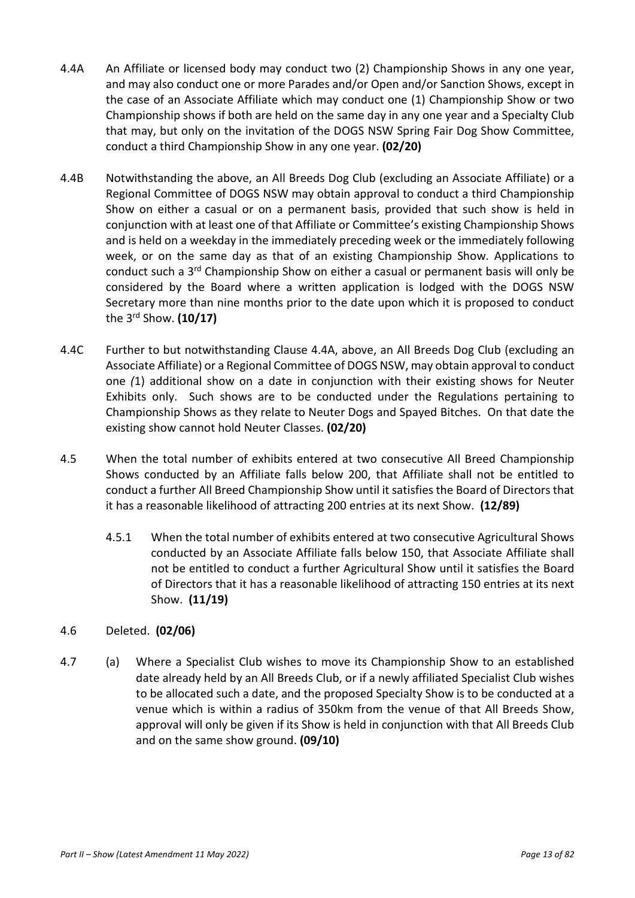- 4.4A An Affiliate or licensed body may conduct two (2) Championship Shows in any one year, and may also conduct one or more Parades and/or Open and/or Sanction Shows, except in the case of an Associate Affiliate which may conduct one (1) Championship Show or two Championship shows if both are held on the same day in any one year and a Specialty Club that may, but only on the invitation of the DOGS NSW Spring Fair Dog Show Committee, conduct a third Championship Show in any one year. **(02/20)**
- 4.4B Notwithstanding the above, an All Breeds Dog Club (excluding an Associate Affiliate) or a Regional Committee of DOGS NSW may obtain approval to conduct a third Championship Show on either a casual or on a permanent basis, provided that such show is held in conjunction with at least one of that Affiliate or Committee's existing Championship Shows and is held on a weekday in the immediately preceding week or the immediately following week, or on the same day as that of an existing Championship Show. Applications to conduct such a 3rd Championship Show on either a casual or permanent basis will only be considered by the Board where a written application is lodged with the DOGS NSW Secretary more than nine months prior to the date upon which it is proposed to conduct the 3rd Show. **(10/17)**
- 4.4C Further to but notwithstanding Clause 4.4A, above, an All Breeds Dog Club (excluding an Associate Affiliate) or a Regional Committee of DOGS NSW, may obtain approval to conduct one *(*1) additional show on a date in conjunction with their existing shows for Neuter Exhibits only. Such shows are to be conducted under the Regulations pertaining to Championship Shows as they relate to Neuter Dogs and Spayed Bitches. On that date the existing show cannot hold Neuter Classes. **(02/20)**
- 4.5 When the total number of exhibits entered at two consecutive All Breed Championship Shows conducted by an Affiliate falls below 200, that Affiliate shall not be entitled to conduct a further All Breed Championship Show until it satisfies the Board of Directors that it has a reasonable likelihood of attracting 200 entries at its next Show. **(12/89)** 
	- 4.5.1 When the total number of exhibits entered at two consecutive Agricultural Shows conducted by an Associate Affiliate falls below 150, that Associate Affiliate shall not be entitled to conduct a further Agricultural Show until it satisfies the Board of Directors that it has a reasonable likelihood of attracting 150 entries at its next Show. **(11/19)**

# 4.6 Deleted. **(02/06)**

4.7 (a) Where a Specialist Club wishes to move its Championship Show to an established date already held by an All Breeds Club, or if a newly affiliated Specialist Club wishes to be allocated such a date, and the proposed Specialty Show is to be conducted at a venue which is within a radius of 350km from the venue of that All Breeds Show, approval will only be given if its Show is held in conjunction with that All Breeds Club and on the same show ground. **(09/10)**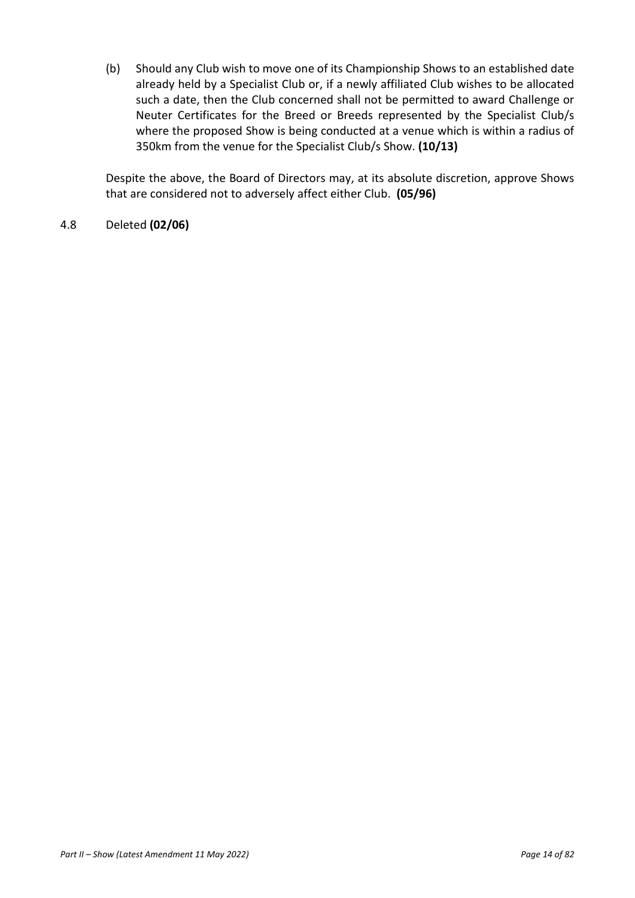(b) Should any Club wish to move one of its Championship Shows to an established date already held by a Specialist Club or, if a newly affiliated Club wishes to be allocated such a date, then the Club concerned shall not be permitted to award Challenge or Neuter Certificates for the Breed or Breeds represented by the Specialist Club/s where the proposed Show is being conducted at a venue which is within a radius of 350km from the venue for the Specialist Club/s Show. **(10/13)** 

Despite the above, the Board of Directors may, at its absolute discretion, approve Shows that are considered not to adversely affect either Club. **(05/96)** 

## 4.8 Deleted **(02/06)**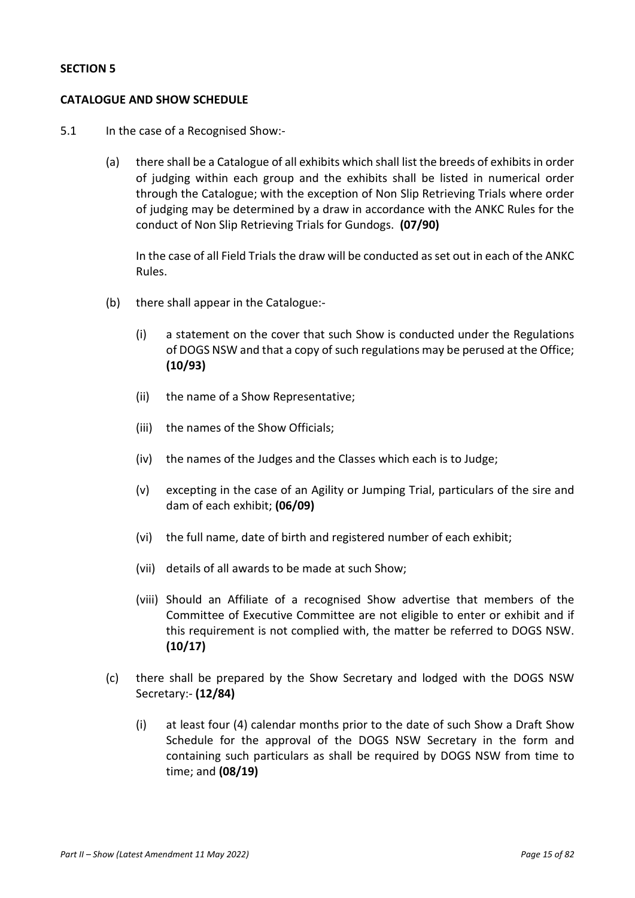#### **CATALOGUE AND SHOW SCHEDULE**

- 5.1 In the case of a Recognised Show:-
	- (a) there shall be a Catalogue of all exhibits which shall list the breeds of exhibits in order of judging within each group and the exhibits shall be listed in numerical order through the Catalogue; with the exception of Non Slip Retrieving Trials where order of judging may be determined by a draw in accordance with the ANKC Rules for the conduct of Non Slip Retrieving Trials for Gundogs. **(07/90)**

In the case of all Field Trials the draw will be conducted as set out in each of the ANKC Rules.

- (b) there shall appear in the Catalogue:-
	- (i) a statement on the cover that such Show is conducted under the Regulations of DOGS NSW and that a copy of such regulations may be perused at the Office; **(10/93)**
	- (ii) the name of a Show Representative;
	- (iii) the names of the Show Officials;
	- (iv) the names of the Judges and the Classes which each is to Judge;
	- (v) excepting in the case of an Agility or Jumping Trial, particulars of the sire and dam of each exhibit; **(06/09)**
	- (vi) the full name, date of birth and registered number of each exhibit;
	- (vii) details of all awards to be made at such Show;
	- (viii) Should an Affiliate of a recognised Show advertise that members of the Committee of Executive Committee are not eligible to enter or exhibit and if this requirement is not complied with, the matter be referred to DOGS NSW. **(10/17)**
- (c) there shall be prepared by the Show Secretary and lodged with the DOGS NSW Secretary:- **(12/84)** 
	- (i) at least four (4) calendar months prior to the date of such Show a Draft Show Schedule for the approval of the DOGS NSW Secretary in the form and containing such particulars as shall be required by DOGS NSW from time to time; and **(08/19)**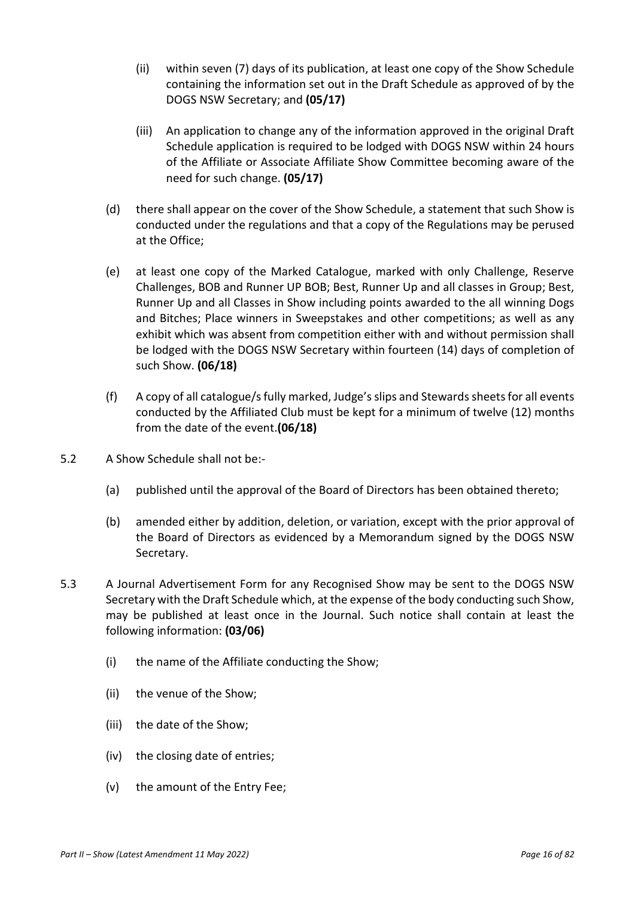- (ii) within seven (7) days of its publication, at least one copy of the Show Schedule containing the information set out in the Draft Schedule as approved of by the DOGS NSW Secretary; and **(05/17)**
- (iii) An application to change any of the information approved in the original Draft Schedule application is required to be lodged with DOGS NSW within 24 hours of the Affiliate or Associate Affiliate Show Committee becoming aware of the need for such change. **(05/17)**
- (d) there shall appear on the cover of the Show Schedule, a statement that such Show is conducted under the regulations and that a copy of the Regulations may be perused at the Office;
- (e) at least one copy of the Marked Catalogue, marked with only Challenge, Reserve Challenges, BOB and Runner UP BOB; Best, Runner Up and all classes in Group; Best, Runner Up and all Classes in Show including points awarded to the all winning Dogs and Bitches; Place winners in Sweepstakes and other competitions; as well as any exhibit which was absent from competition either with and without permission shall be lodged with the DOGS NSW Secretary within fourteen (14) days of completion of such Show. **(06/18)**
- (f) A copy of all catalogue/s fully marked, Judge's slips and Stewards sheets for all events conducted by the Affiliated Club must be kept for a minimum of twelve (12) months from the date of the event.**(06/18)**
- 5.2 A Show Schedule shall not be:-
	- (a) published until the approval of the Board of Directors has been obtained thereto;
	- (b) amended either by addition, deletion, or variation, except with the prior approval of the Board of Directors as evidenced by a Memorandum signed by the DOGS NSW Secretary.
- 5.3 A Journal Advertisement Form for any Recognised Show may be sent to the DOGS NSW Secretary with the Draft Schedule which, at the expense of the body conducting such Show, may be published at least once in the Journal. Such notice shall contain at least the following information: **(03/06)** 
	- (i) the name of the Affiliate conducting the Show;
	- (ii) the venue of the Show;
	- (iii) the date of the Show;
	- (iv) the closing date of entries;
	- (v) the amount of the Entry Fee;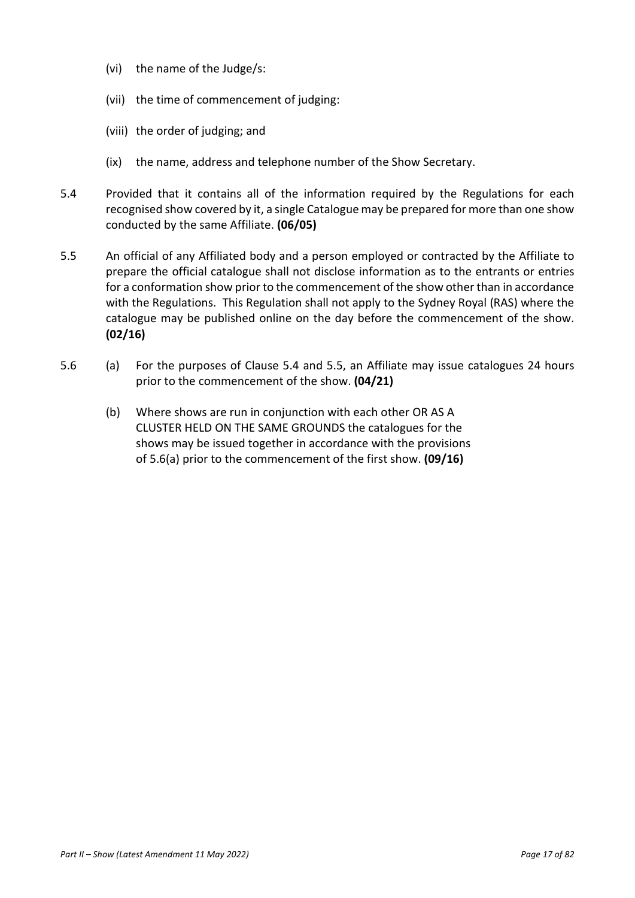- (vi) the name of the Judge/s:
- (vii) the time of commencement of judging:
- (viii) the order of judging; and
- (ix) the name, address and telephone number of the Show Secretary.
- 5.4 Provided that it contains all of the information required by the Regulations for each recognised show covered by it, a single Catalogue may be prepared for more than one show conducted by the same Affiliate. **(06/05)**
- 5.5 An official of any Affiliated body and a person employed or contracted by the Affiliate to prepare the official catalogue shall not disclose information as to the entrants or entries for a conformation show prior to the commencement of the show other than in accordance with the Regulations. This Regulation shall not apply to the Sydney Royal (RAS) where the catalogue may be published online on the day before the commencement of the show. **(02/16)**
- 5.6 (a) For the purposes of Clause 5.4 and 5.5, an Affiliate may issue catalogues 24 hours prior to the commencement of the show. **(04/21)** 
	- (b) Where shows are run in conjunction with each other OR AS A CLUSTER HELD ON THE SAME GROUNDS the catalogues for the shows may be issued together in accordance with the provisions of 5.6(a) prior to the commencement of the first show. **(09/16)**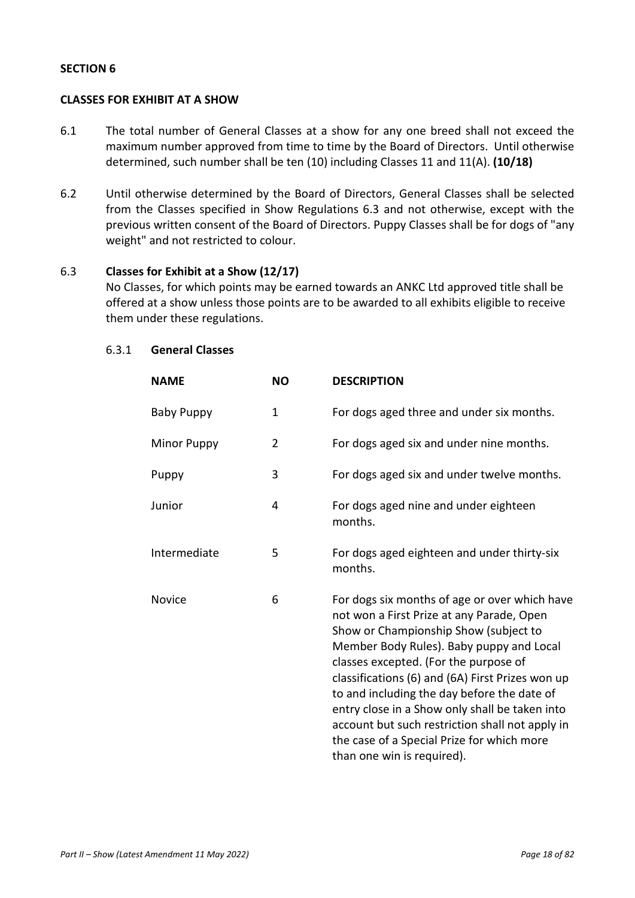## **CLASSES FOR EXHIBIT AT A SHOW**

- 6.1 The total number of General Classes at a show for any one breed shall not exceed the maximum number approved from time to time by the Board of Directors. Until otherwise determined, such number shall be ten (10) including Classes 11 and 11(A). **(10/18)**
- 6.2 Until otherwise determined by the Board of Directors, General Classes shall be selected from the Classes specified in Show Regulations 6.3 and not otherwise, except with the previous written consent of the Board of Directors. Puppy Classes shall be for dogs of "any weight" and not restricted to colour.

#### 6.3 **Classes for Exhibit at a Show (12/17)**

No Classes, for which points may be earned towards an ANKC Ltd approved title shall be offered at a show unless those points are to be awarded to all exhibits eligible to receive them under these regulations.

#### 6.3.1 **General Classes**

| <b>NAME</b>        | <b>NO</b>      | <b>DESCRIPTION</b>                                                                                                                                                                                                                                                                                                                                                                                                                                                                                           |
|--------------------|----------------|--------------------------------------------------------------------------------------------------------------------------------------------------------------------------------------------------------------------------------------------------------------------------------------------------------------------------------------------------------------------------------------------------------------------------------------------------------------------------------------------------------------|
| <b>Baby Puppy</b>  | 1              | For dogs aged three and under six months.                                                                                                                                                                                                                                                                                                                                                                                                                                                                    |
| <b>Minor Puppy</b> | $\overline{2}$ | For dogs aged six and under nine months.                                                                                                                                                                                                                                                                                                                                                                                                                                                                     |
| Puppy              | 3              | For dogs aged six and under twelve months.                                                                                                                                                                                                                                                                                                                                                                                                                                                                   |
| Junior             | 4              | For dogs aged nine and under eighteen<br>months.                                                                                                                                                                                                                                                                                                                                                                                                                                                             |
| Intermediate       | 5              | For dogs aged eighteen and under thirty-six<br>months.                                                                                                                                                                                                                                                                                                                                                                                                                                                       |
| Novice             | 6              | For dogs six months of age or over which have<br>not won a First Prize at any Parade, Open<br>Show or Championship Show (subject to<br>Member Body Rules). Baby puppy and Local<br>classes excepted. (For the purpose of<br>classifications (6) and (6A) First Prizes won up<br>to and including the day before the date of<br>entry close in a Show only shall be taken into<br>account but such restriction shall not apply in<br>the case of a Special Prize for which more<br>than one win is required). |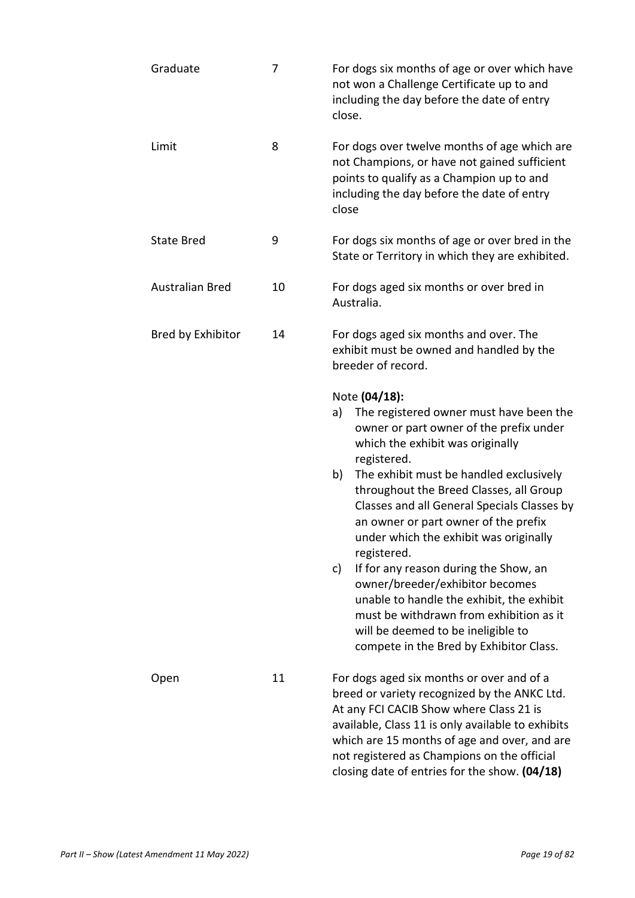| Graduate               | 7  | For dogs six months of age or over which have<br>not won a Challenge Certificate up to and<br>including the day before the date of entry<br>close.                                                                                                                                                                                                                                                                                                                                                                                                                                                                                                                  |
|------------------------|----|---------------------------------------------------------------------------------------------------------------------------------------------------------------------------------------------------------------------------------------------------------------------------------------------------------------------------------------------------------------------------------------------------------------------------------------------------------------------------------------------------------------------------------------------------------------------------------------------------------------------------------------------------------------------|
| Limit                  | 8  | For dogs over twelve months of age which are<br>not Champions, or have not gained sufficient<br>points to qualify as a Champion up to and<br>including the day before the date of entry<br>close                                                                                                                                                                                                                                                                                                                                                                                                                                                                    |
| <b>State Bred</b>      | 9  | For dogs six months of age or over bred in the<br>State or Territory in which they are exhibited.                                                                                                                                                                                                                                                                                                                                                                                                                                                                                                                                                                   |
| <b>Australian Bred</b> | 10 | For dogs aged six months or over bred in<br>Australia.                                                                                                                                                                                                                                                                                                                                                                                                                                                                                                                                                                                                              |
| Bred by Exhibitor      | 14 | For dogs aged six months and over. The<br>exhibit must be owned and handled by the<br>breeder of record.                                                                                                                                                                                                                                                                                                                                                                                                                                                                                                                                                            |
|                        |    | Note (04/18):<br>The registered owner must have been the<br>a)<br>owner or part owner of the prefix under<br>which the exhibit was originally<br>registered.<br>The exhibit must be handled exclusively<br>b)<br>throughout the Breed Classes, all Group<br>Classes and all General Specials Classes by<br>an owner or part owner of the prefix<br>under which the exhibit was originally<br>registered.<br>If for any reason during the Show, an<br>c)<br>owner/breeder/exhibitor becomes<br>unable to handle the exhibit, the exhibit<br>must be withdrawn from exhibition as it<br>will be deemed to be ineligible to<br>compete in the Bred by Exhibitor Class. |
| Open                   | 11 | For dogs aged six months or over and of a<br>breed or variety recognized by the ANKC Ltd.<br>At any FCI CACIB Show where Class 21 is<br>available, Class 11 is only available to exhibits<br>which are 15 months of age and over, and are<br>not registered as Champions on the official<br>closing date of entries for the show. (04/18)                                                                                                                                                                                                                                                                                                                           |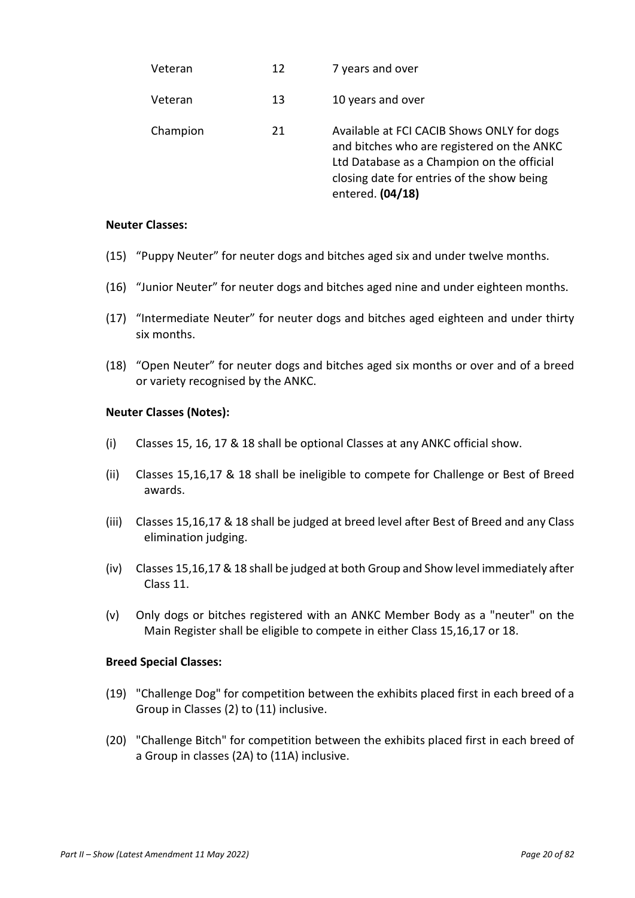| Veteran  | 12 | 7 years and over                                                                                                                                                                                         |
|----------|----|----------------------------------------------------------------------------------------------------------------------------------------------------------------------------------------------------------|
| Veteran  | 13 | 10 years and over                                                                                                                                                                                        |
| Champion | 21 | Available at FCI CACIB Shows ONLY for dogs<br>and bitches who are registered on the ANKC<br>Ltd Database as a Champion on the official<br>closing date for entries of the show being<br>entered. (04/18) |

#### **Neuter Classes:**

- (15) "Puppy Neuter" for neuter dogs and bitches aged six and under twelve months.
- (16) "Junior Neuter" for neuter dogs and bitches aged nine and under eighteen months.
- (17) "Intermediate Neuter" for neuter dogs and bitches aged eighteen and under thirty six months.
- (18) "Open Neuter" for neuter dogs and bitches aged six months or over and of a breed or variety recognised by the ANKC.

#### **Neuter Classes (Notes):**

- (i) Classes 15, 16, 17 & 18 shall be optional Classes at any ANKC official show.
- (ii) Classes 15,16,17 & 18 shall be ineligible to compete for Challenge or Best of Breed awards.
- (iii) Classes 15,16,17 & 18 shall be judged at breed level after Best of Breed and any Class elimination judging.
- (iv) Classes 15,16,17 & 18 shall be judged at both Group and Show level immediately after Class 11.
- (v) Only dogs or bitches registered with an ANKC Member Body as a "neuter" on the Main Register shall be eligible to compete in either Class 15,16,17 or 18.

## **Breed Special Classes:**

- (19) "Challenge Dog" for competition between the exhibits placed first in each breed of a Group in Classes (2) to (11) inclusive.
- (20) "Challenge Bitch" for competition between the exhibits placed first in each breed of a Group in classes (2A) to (11A) inclusive.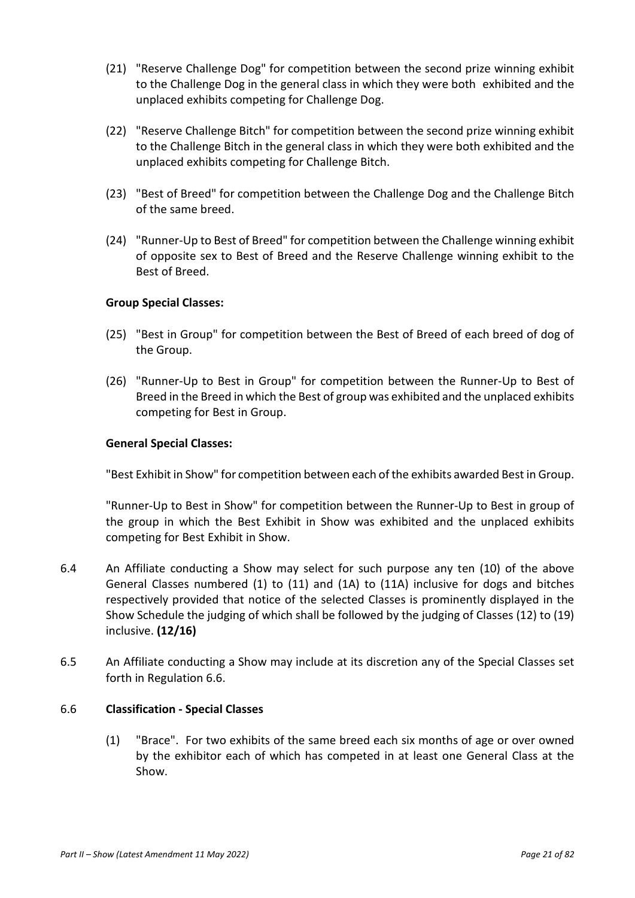- (21) "Reserve Challenge Dog" for competition between the second prize winning exhibit to the Challenge Dog in the general class in which they were both exhibited and the unplaced exhibits competing for Challenge Dog.
- (22) "Reserve Challenge Bitch" for competition between the second prize winning exhibit to the Challenge Bitch in the general class in which they were both exhibited and the unplaced exhibits competing for Challenge Bitch.
- (23) "Best of Breed" for competition between the Challenge Dog and the Challenge Bitch of the same breed.
- (24) "Runner-Up to Best of Breed" for competition between the Challenge winning exhibit of opposite sex to Best of Breed and the Reserve Challenge winning exhibit to the Best of Breed.

# **Group Special Classes:**

- (25) "Best in Group" for competition between the Best of Breed of each breed of dog of the Group.
- (26) "Runner-Up to Best in Group" for competition between the Runner-Up to Best of Breed in the Breed in which the Best of group was exhibited and the unplaced exhibits competing for Best in Group.

## **General Special Classes:**

"Best Exhibit in Show" for competition between each of the exhibits awarded Best in Group.

"Runner-Up to Best in Show" for competition between the Runner-Up to Best in group of the group in which the Best Exhibit in Show was exhibited and the unplaced exhibits competing for Best Exhibit in Show.

- 6.4 An Affiliate conducting a Show may select for such purpose any ten (10) of the above General Classes numbered (1) to (11) and (1A) to (11A) inclusive for dogs and bitches respectively provided that notice of the selected Classes is prominently displayed in the Show Schedule the judging of which shall be followed by the judging of Classes (12) to (19) inclusive. **(12/16)**
- 6.5 An Affiliate conducting a Show may include at its discretion any of the Special Classes set forth in Regulation 6.6.

## 6.6 **Classification - Special Classes**

(1) "Brace". For two exhibits of the same breed each six months of age or over owned by the exhibitor each of which has competed in at least one General Class at the Show.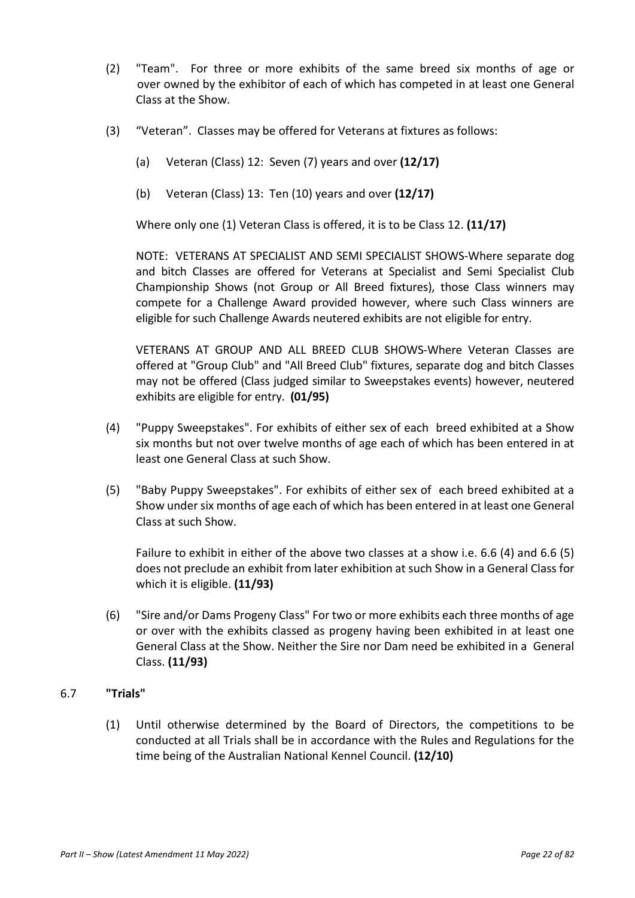- (2) "Team". For three or more exhibits of the same breed six months of age or over owned by the exhibitor of each of which has competed in at least one General Class at the Show.
- (3) "Veteran". Classes may be offered for Veterans at fixtures as follows:
	- (a) Veteran (Class) 12: Seven (7) years and over **(12/17)**
	- (b) Veteran (Class) 13: Ten (10) years and over **(12/17)**

Where only one (1) Veteran Class is offered, it is to be Class 12. **(11/17)** 

NOTE: VETERANS AT SPECIALIST AND SEMI SPECIALIST SHOWS-Where separate dog and bitch Classes are offered for Veterans at Specialist and Semi Specialist Club Championship Shows (not Group or All Breed fixtures), those Class winners may compete for a Challenge Award provided however, where such Class winners are eligible for such Challenge Awards neutered exhibits are not eligible for entry.

VETERANS AT GROUP AND ALL BREED CLUB SHOWS-Where Veteran Classes are offered at "Group Club" and "All Breed Club" fixtures, separate dog and bitch Classes may not be offered (Class judged similar to Sweepstakes events) however, neutered exhibits are eligible for entry. **(01/95)** 

- (4) "Puppy Sweepstakes". For exhibits of either sex of each breed exhibited at a Show six months but not over twelve months of age each of which has been entered in at least one General Class at such Show.
- (5) "Baby Puppy Sweepstakes". For exhibits of either sex of each breed exhibited at a Show under six months of age each of which has been entered in at least one General Class at such Show.

Failure to exhibit in either of the above two classes at a show i.e. 6.6 (4) and 6.6 (5) does not preclude an exhibit from later exhibition at such Show in a General Class for which it is eligible. **(11/93)** 

(6) "Sire and/or Dams Progeny Class" For two or more exhibits each three months of age or over with the exhibits classed as progeny having been exhibited in at least one General Class at the Show. Neither the Sire nor Dam need be exhibited in a General Class. **(11/93)**

## 6.7 **"Trials"**

(1) Until otherwise determined by the Board of Directors, the competitions to be conducted at all Trials shall be in accordance with the Rules and Regulations for the time being of the Australian National Kennel Council. **(12/10)**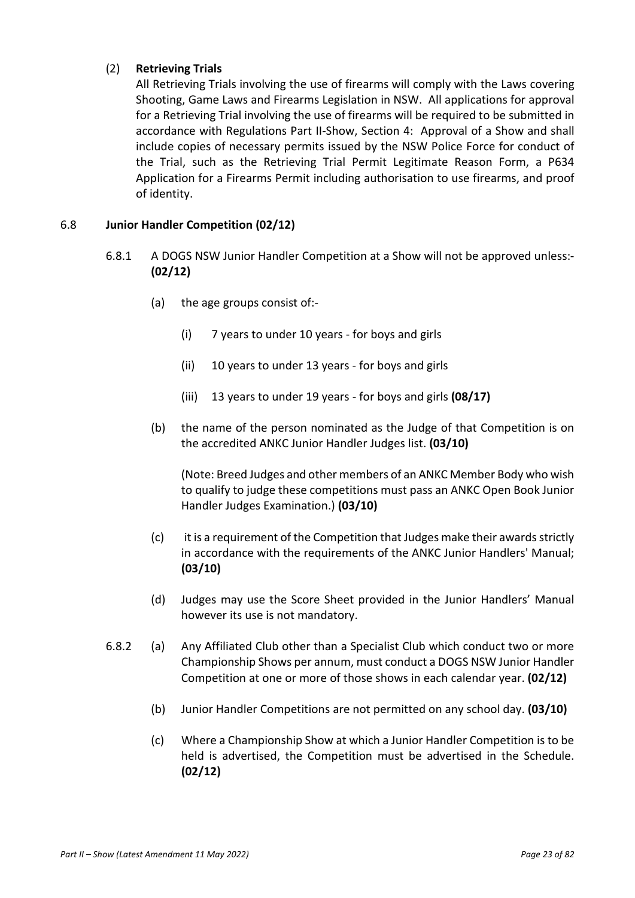# (2) **Retrieving Trials**

All Retrieving Trials involving the use of firearms will comply with the Laws covering Shooting, Game Laws and Firearms Legislation in NSW. All applications for approval for a Retrieving Trial involving the use of firearms will be required to be submitted in accordance with Regulations Part II-Show, Section 4: Approval of a Show and shall include copies of necessary permits issued by the NSW Police Force for conduct of the Trial, such as the Retrieving Trial Permit Legitimate Reason Form, a P634 Application for a Firearms Permit including authorisation to use firearms, and proof of identity.

## 6.8 **Junior Handler Competition (02/12)**

- 6.8.1 A DOGS NSW Junior Handler Competition at a Show will not be approved unless:- **(02/12)**
	- (a) the age groups consist of:-
		- (i) 7 years to under 10 years for boys and girls
		- (ii) 10 years to under 13 years for boys and girls
		- (iii) 13 years to under 19 years for boys and girls **(08/17)**
	- (b) the name of the person nominated as the Judge of that Competition is on the accredited ANKC Junior Handler Judges list. **(03/10)**

(Note: Breed Judges and other members of an ANKC Member Body who wish to qualify to judge these competitions must pass an ANKC Open Book Junior Handler Judges Examination.) **(03/10)**

- (c) it is a requirement of the Competition that Judges make their awards strictly in accordance with the requirements of the ANKC Junior Handlers' Manual; **(03/10)**
- (d) Judges may use the Score Sheet provided in the Junior Handlers' Manual however its use is not mandatory.
- 6.8.2 (a) Any Affiliated Club other than a Specialist Club which conduct two or more Championship Shows per annum, must conduct a DOGS NSW Junior Handler Competition at one or more of those shows in each calendar year. **(02/12)** 
	- (b) Junior Handler Competitions are not permitted on any school day. **(03/10)**
	- (c) Where a Championship Show at which a Junior Handler Competition is to be held is advertised, the Competition must be advertised in the Schedule. **(02/12)**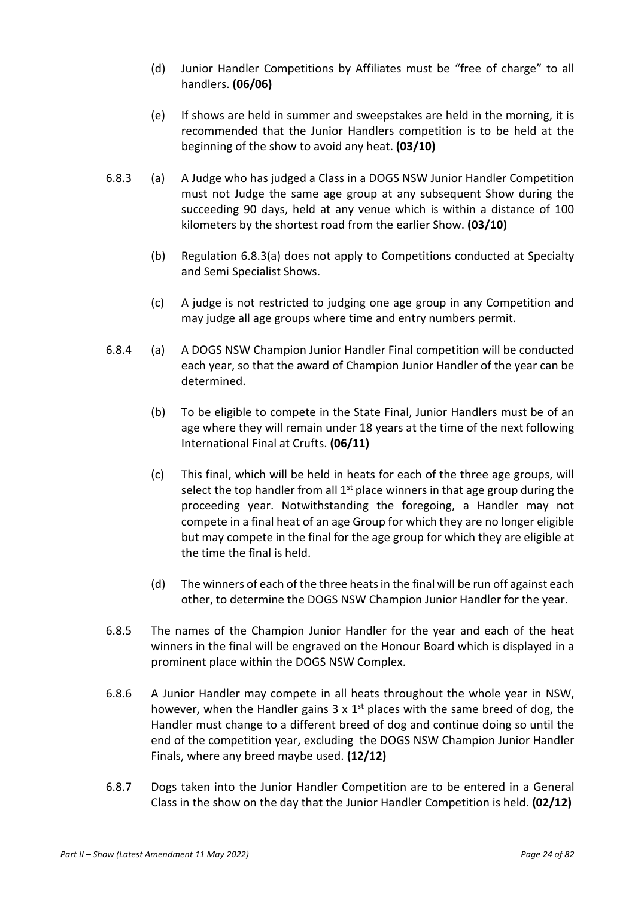- (d) Junior Handler Competitions by Affiliates must be "free of charge" to all handlers. **(06/06)**
- (e) If shows are held in summer and sweepstakes are held in the morning, it is recommended that the Junior Handlers competition is to be held at the beginning of the show to avoid any heat. **(03/10)**
- 6.8.3 (a) A Judge who has judged a Class in a DOGS NSW Junior Handler Competition must not Judge the same age group at any subsequent Show during the succeeding 90 days, held at any venue which is within a distance of 100 kilometers by the shortest road from the earlier Show. **(03/10)** 
	- (b) Regulation 6.8.3(a) does not apply to Competitions conducted at Specialty and Semi Specialist Shows.
	- (c) A judge is not restricted to judging one age group in any Competition and may judge all age groups where time and entry numbers permit.
- 6.8.4 (a) A DOGS NSW Champion Junior Handler Final competition will be conducted each year, so that the award of Champion Junior Handler of the year can be determined.
	- (b) To be eligible to compete in the State Final, Junior Handlers must be of an age where they will remain under 18 years at the time of the next following International Final at Crufts. **(06/11)**
	- (c) This final, which will be held in heats for each of the three age groups, will select the top handler from all 1<sup>st</sup> place winners in that age group during the proceeding year. Notwithstanding the foregoing, a Handler may not compete in a final heat of an age Group for which they are no longer eligible but may compete in the final for the age group for which they are eligible at the time the final is held.
	- (d) The winners of each of the three heats in the final will be run off against each other, to determine the DOGS NSW Champion Junior Handler for the year.
- 6.8.5 The names of the Champion Junior Handler for the year and each of the heat winners in the final will be engraved on the Honour Board which is displayed in a prominent place within the DOGS NSW Complex.
- 6.8.6 A Junior Handler may compete in all heats throughout the whole year in NSW, however, when the Handler gains  $3 \times 1^{st}$  places with the same breed of dog, the Handler must change to a different breed of dog and continue doing so until the end of the competition year, excluding the DOGS NSW Champion Junior Handler Finals, where any breed maybe used. **(12/12)**
- 6.8.7 Dogs taken into the Junior Handler Competition are to be entered in a General Class in the show on the day that the Junior Handler Competition is held. **(02/12)**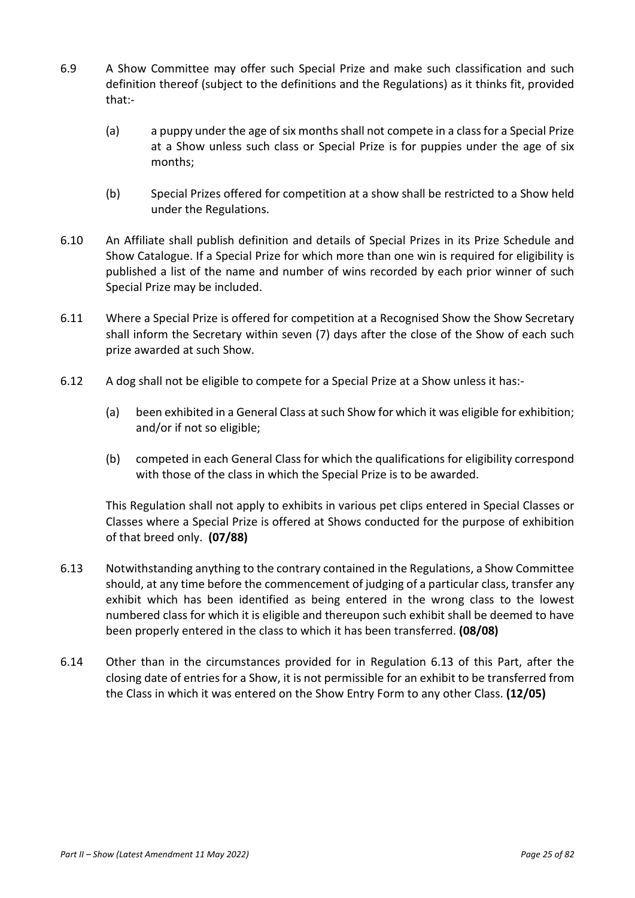- 6.9 A Show Committee may offer such Special Prize and make such classification and such definition thereof (subject to the definitions and the Regulations) as it thinks fit, provided that:-
	- (a) a puppy under the age of six months shall not compete in a class for a Special Prize at a Show unless such class or Special Prize is for puppies under the age of six months;
	- (b) Special Prizes offered for competition at a show shall be restricted to a Show held under the Regulations.
- 6.10 An Affiliate shall publish definition and details of Special Prizes in its Prize Schedule and Show Catalogue. If a Special Prize for which more than one win is required for eligibility is published a list of the name and number of wins recorded by each prior winner of such Special Prize may be included.
- 6.11 Where a Special Prize is offered for competition at a Recognised Show the Show Secretary shall inform the Secretary within seven (7) days after the close of the Show of each such prize awarded at such Show.
- 6.12 A dog shall not be eligible to compete for a Special Prize at a Show unless it has:-
	- (a) been exhibited in a General Class at such Show for which it was eligible for exhibition; and/or if not so eligible;
	- (b) competed in each General Class for which the qualifications for eligibility correspond with those of the class in which the Special Prize is to be awarded.

This Regulation shall not apply to exhibits in various pet clips entered in Special Classes or Classes where a Special Prize is offered at Shows conducted for the purpose of exhibition of that breed only. **(07/88)**

- 6.13 Notwithstanding anything to the contrary contained in the Regulations, a Show Committee should, at any time before the commencement of judging of a particular class, transfer any exhibit which has been identified as being entered in the wrong class to the lowest numbered class for which it is eligible and thereupon such exhibit shall be deemed to have been properly entered in the class to which it has been transferred. **(08/08)**
- 6.14 Other than in the circumstances provided for in Regulation 6.13 of this Part, after the closing date of entries for a Show, it is not permissible for an exhibit to be transferred from the Class in which it was entered on the Show Entry Form to any other Class. **(12/05)**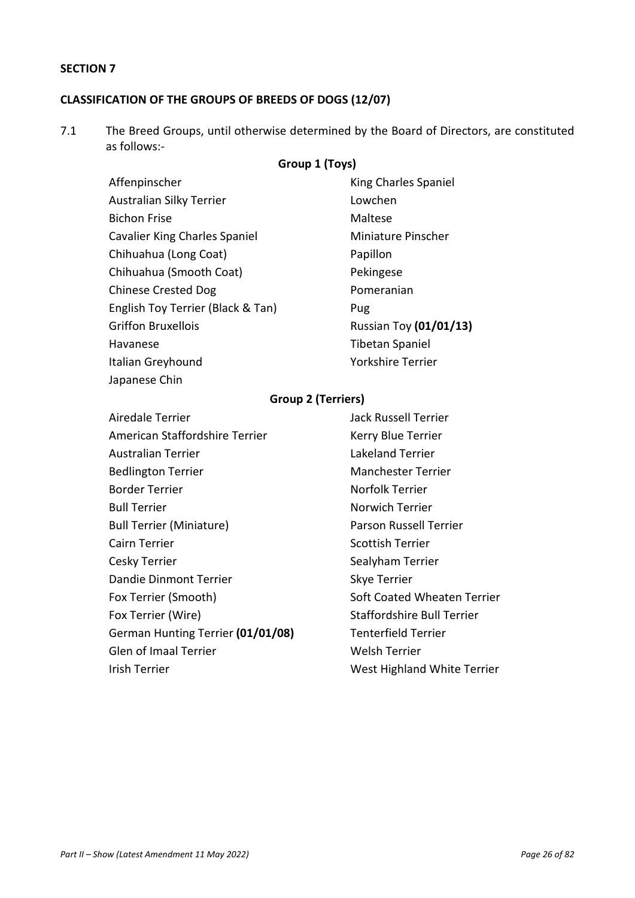# **CLASSIFICATION OF THE GROUPS OF BREEDS OF DOGS (12/07)**

7.1 The Breed Groups, until otherwise determined by the Board of Directors, are constituted as follows:-

# **Group 1 (Toys)**

| Affenpinscher                        | King Charles Spaniel          |
|--------------------------------------|-------------------------------|
| Australian Silky Terrier             | Lowchen                       |
| <b>Bichon Frise</b>                  | Maltese                       |
| <b>Cavalier King Charles Spaniel</b> | Miniature Pinscher            |
| Chihuahua (Long Coat)                | Papillon                      |
| Chihuahua (Smooth Coat)              | Pekingese                     |
| <b>Chinese Crested Dog</b>           | Pomeranian                    |
| English Toy Terrier (Black & Tan)    | Pug                           |
| <b>Griffon Bruxellois</b>            | <b>Russian Toy (01/01/13)</b> |
| Havanese                             | <b>Tibetan Spaniel</b>        |
| Italian Greyhound                    | Yorkshire Terrier             |
| Japanese Chin                        |                               |

# **Group 2 (Terriers)**

| Airedale Terrier                  | <b>Jack Russell Terrier</b>       |
|-----------------------------------|-----------------------------------|
| American Staffordshire Terrier    | Kerry Blue Terrier                |
| Australian Terrier                | <b>Lakeland Terrier</b>           |
| <b>Bedlington Terrier</b>         | <b>Manchester Terrier</b>         |
| <b>Border Terrier</b>             | Norfolk Terrier                   |
| <b>Bull Terrier</b>               | Norwich Terrier                   |
| <b>Bull Terrier (Miniature)</b>   | Parson Russell Terrier            |
| Cairn Terrier                     | Scottish Terrier                  |
| Cesky Terrier                     | Sealyham Terrier                  |
| Dandie Dinmont Terrier            | Skye Terrier                      |
| Fox Terrier (Smooth)              | Soft Coated Wheaten Terrier       |
| Fox Terrier (Wire)                | <b>Staffordshire Bull Terrier</b> |
| German Hunting Terrier (01/01/08) | <b>Tenterfield Terrier</b>        |
| <b>Glen of Imaal Terrier</b>      | Welsh Terrier                     |
| Irish Terrier                     | West Highland White Terrier       |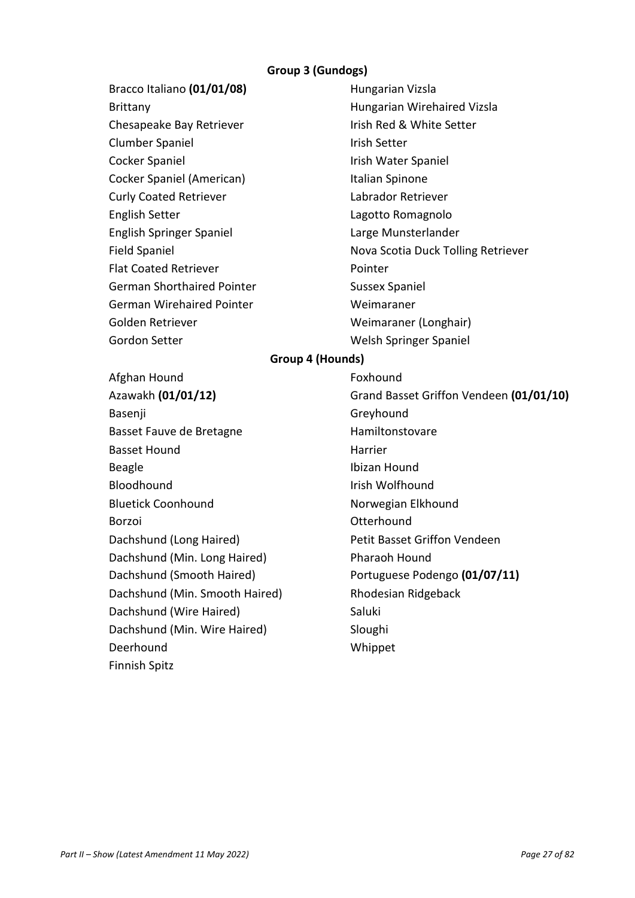# **Group 3 (Gundogs)**

Bracco Italiano (01/01/08) Hungarian Vizsla Brittany Hungarian Wirehaired Vizsla Chesapeake Bay Retriever **In the Setter** Irish Red & White Setter Clumber Spaniel **Irish Setter** Cocker Spaniel **Irish Water Spaniel** Cocker Spaniel (American) Italian Spinone Curly Coated Retriever **Labrador Retriever** English Setter **Lagotto Romagnolo** English Springer Spaniel Large Munsterlander Flat Coated Retriever **Pointer** Pointer German Shorthaired Pointer Sussex Spaniel German Wirehaired Pointer **Weimaraner** Golden Retriever Weimaraner (Longhair) Gordon Setter Welsh Springer Spaniel

Field Spaniel **Nova Scotia Duck Tolling Retriever** 

#### **Group 4 (Hounds)**

Afghan Hound **Foxhound Foxhound** Basenji Greyhound Basset Fauve de Bretagne Maniltonstovare Basset Hound **Harrier** Harrier Beagle **Ibizan Hound** Bloodhound **Irish Wolfhound** Bluetick Coonhound Norwegian Elkhound Borzoi Otterhound Dachshund (Long Haired) Petit Basset Griffon Vendeen Dachshund (Min. Long Haired) Pharaoh Hound Dachshund (Min. Smooth Haired) Rhodesian Ridgeback Dachshund (Wire Haired) Saluki Dachshund (Min. Wire Haired) Sloughi Deerhound Whippet Finnish Spitz

Azawakh **(01/01/12)** Grand Basset Griffon Vendeen **(01/01/10)** Dachshund (Smooth Haired) Portuguese Podengo **(01/07/11)**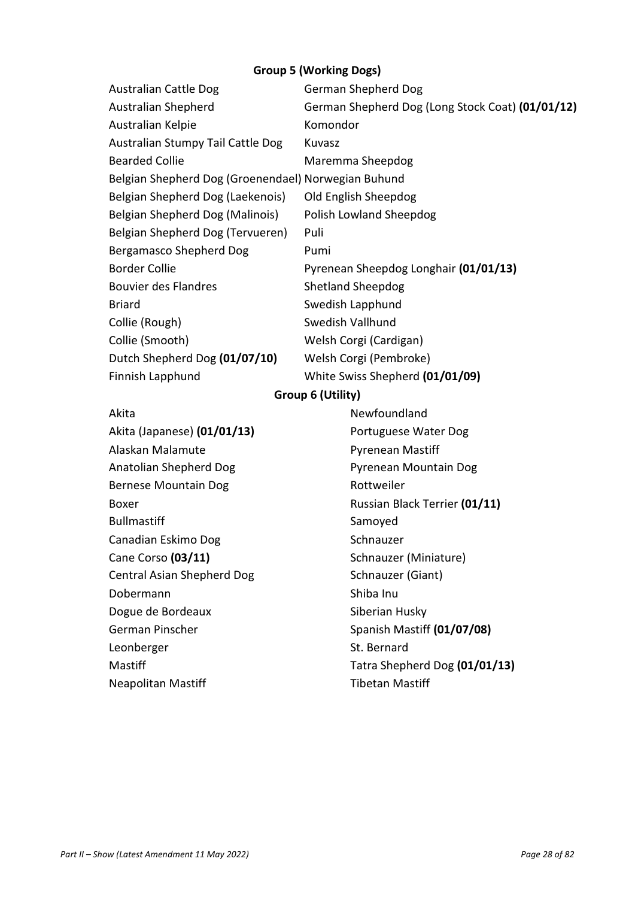# **Group 5 (Working Dogs)**

| <b>Australian Cattle Dog</b>                        | <b>German Shepherd Dog</b>                       |  |
|-----------------------------------------------------|--------------------------------------------------|--|
| Australian Shepherd                                 | German Shepherd Dog (Long Stock Coat) (01/01/12) |  |
| Australian Kelpie                                   | Komondor                                         |  |
| Australian Stumpy Tail Cattle Dog                   | Kuvasz                                           |  |
| <b>Bearded Collie</b>                               | Maremma Sheepdog                                 |  |
| Belgian Shepherd Dog (Groenendael) Norwegian Buhund |                                                  |  |
| Belgian Shepherd Dog (Laekenois)                    | Old English Sheepdog                             |  |
| Belgian Shepherd Dog (Malinois)                     | Polish Lowland Sheepdog                          |  |
| Belgian Shepherd Dog (Tervueren)                    | Puli                                             |  |
| Bergamasco Shepherd Dog                             | Pumi                                             |  |
| Border Collie                                       | Pyrenean Sheepdog Longhair (01/01/13)            |  |
| Bouvier des Flandres                                | <b>Shetland Sheepdog</b>                         |  |
| <b>Briard</b>                                       | Swedish Lapphund                                 |  |
| Collie (Rough)                                      | Swedish Vallhund                                 |  |
| Collie (Smooth)                                     | Welsh Corgi (Cardigan)                           |  |
| Dutch Shepherd Dog (01/07/10)                       | Welsh Corgi (Pembroke)                           |  |
| Finnish Lapphund                                    | White Swiss Shepherd (01/01/09)                  |  |
| Group 6 (Utility)                                   |                                                  |  |
| Akita                                               | Newfoundland                                     |  |
|                                                     |                                                  |  |

Akita (Japanese) **(01/01/13)** Portuguese Water Dog Alaskan Malamute **Alaskan Mastiff** Anatolian Shepherd Dog **Pyrenean Mountain Dog** Bernese Mountain Dog Rottweiler Boxer **Russian Black Terrier (01/11)** Bullmastiff Samoyed Canadian Eskimo Dog Schnauzer Cane Corso (03/11) Schnauzer (Miniature) Central Asian Shepherd Dog Schnauzer (Giant) Dobermann Shiba Inu Dogue de Bordeaux Siberian Husky German Pinscher Spanish Mastiff (01/07/08) Leonberger St. Bernard Mastiff Mastiff Mastiff Mastiff Mastiff Mastiff Master Control on the Master Control of Tatra Shepherd Dog (01/01/13) Neapolitan Mastiff Tibetan Mastiff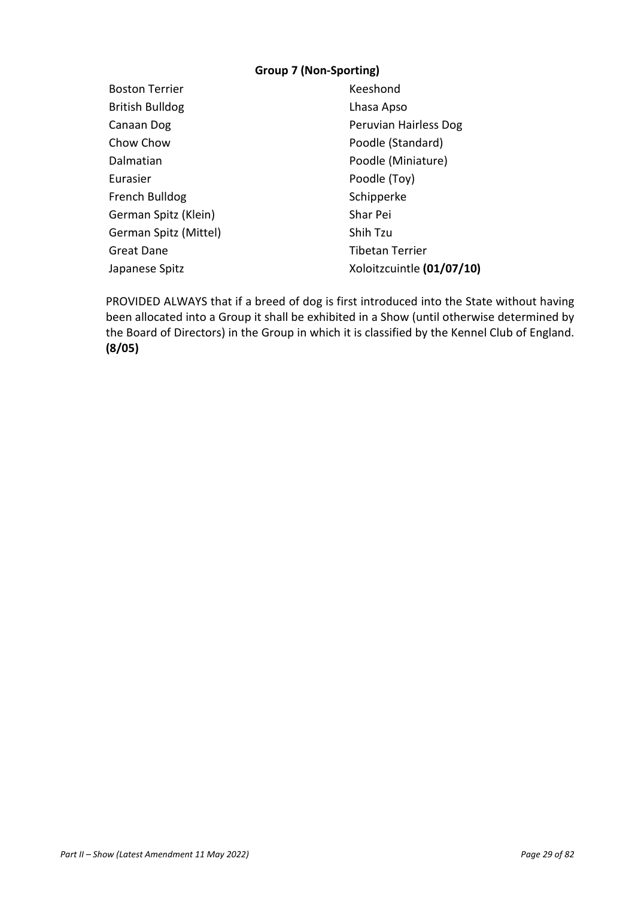# **Group 7 (Non-Sporting)**

Boston Terrier **Keeshond** British Bulldog Lhasa Apso Chow Chow **Poodle** (Standard) Dalmatian **Dalmatian** Poodle (Miniature) Eurasier **Poodle (Toy)** French Bulldog Schipperke German Spitz (Klein) Shar Pei German Spitz (Mittel) Shih Tzu Great Dane Tibetan Terrier

Canaan Dog **Peruvian Hairless Dog** Japanese Spitz **Xoloitzcuintle (01/07/10)** 

PROVIDED ALWAYS that if a breed of dog is first introduced into the State without having been allocated into a Group it shall be exhibited in a Show (until otherwise determined by the Board of Directors) in the Group in which it is classified by the Kennel Club of England. **(8/05)**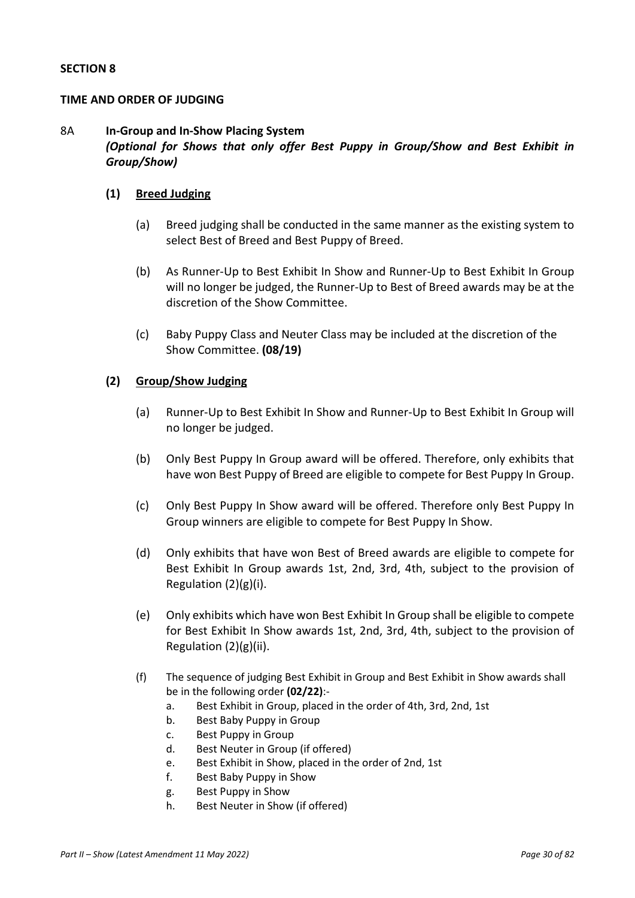#### **TIME AND ORDER OF JUDGING**

# 8A **In-Group and In-Show Placing System** *(Optional for Shows that only offer Best Puppy in Group/Show and Best Exhibit in Group/Show)*

#### **(1) Breed Judging**

- (a) Breed judging shall be conducted in the same manner as the existing system to select Best of Breed and Best Puppy of Breed.
- (b) As Runner-Up to Best Exhibit In Show and Runner-Up to Best Exhibit In Group will no longer be judged, the Runner-Up to Best of Breed awards may be at the discretion of the Show Committee.
- (c) Baby Puppy Class and Neuter Class may be included at the discretion of the Show Committee. **(08/19)**

#### **(2) Group/Show Judging**

- (a) Runner-Up to Best Exhibit In Show and Runner-Up to Best Exhibit In Group will no longer be judged.
- (b) Only Best Puppy In Group award will be offered. Therefore, only exhibits that have won Best Puppy of Breed are eligible to compete for Best Puppy In Group.
- (c) Only Best Puppy In Show award will be offered. Therefore only Best Puppy In Group winners are eligible to compete for Best Puppy In Show.
- (d) Only exhibits that have won Best of Breed awards are eligible to compete for Best Exhibit In Group awards 1st, 2nd, 3rd, 4th, subject to the provision of Regulation (2)(g)(i).
- (e) Only exhibits which have won Best Exhibit In Group shall be eligible to compete for Best Exhibit In Show awards 1st, 2nd, 3rd, 4th, subject to the provision of Regulation (2)(g)(ii).
- (f) The sequence of judging Best Exhibit in Group and Best Exhibit in Show awards shall be in the following order **(02/22)**:
	- a. Best Exhibit in Group, placed in the order of 4th, 3rd, 2nd, 1st
	- b. Best Baby Puppy in Group
	- c. Best Puppy in Group
	- d. Best Neuter in Group (if offered)
	- e. Best Exhibit in Show, placed in the order of 2nd, 1st
	- f. Best Baby Puppy in Show
	- g. Best Puppy in Show
	- h. Best Neuter in Show (if offered)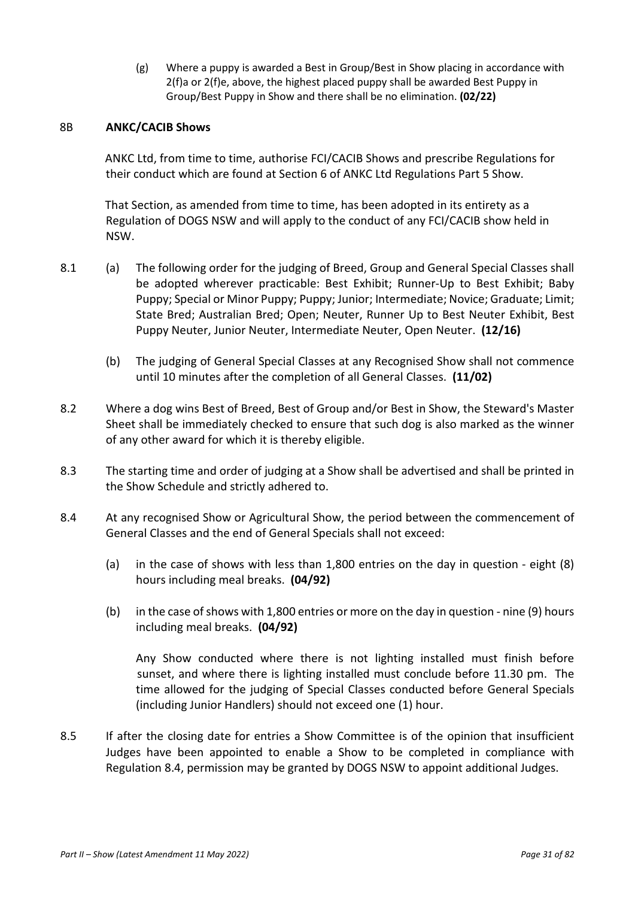(g) Where a puppy is awarded a Best in Group/Best in Show placing in accordance with 2(f)a or 2(f)e, above, the highest placed puppy shall be awarded Best Puppy in Group/Best Puppy in Show and there shall be no elimination. **(02/22)** 

#### 8B **ANKC/CACIB Shows**

ANKC Ltd, from time to time, authorise FCI/CACIB Shows and prescribe Regulations for their conduct which are found at Section 6 of ANKC Ltd Regulations Part 5 Show.

That Section, as amended from time to time, has been adopted in its entirety as a Regulation of DOGS NSW and will apply to the conduct of any FCI/CACIB show held in NSW.

- 8.1 (a) The following order for the judging of Breed, Group and General Special Classes shall be adopted wherever practicable: Best Exhibit; Runner-Up to Best Exhibit; Baby Puppy; Special or Minor Puppy; Puppy; Junior; Intermediate; Novice; Graduate; Limit; State Bred; Australian Bred; Open; Neuter, Runner Up to Best Neuter Exhibit, Best Puppy Neuter, Junior Neuter, Intermediate Neuter, Open Neuter. **(12/16)** 
	- (b) The judging of General Special Classes at any Recognised Show shall not commence until 10 minutes after the completion of all General Classes. **(11/02)**
- 8.2 Where a dog wins Best of Breed, Best of Group and/or Best in Show, the Steward's Master Sheet shall be immediately checked to ensure that such dog is also marked as the winner of any other award for which it is thereby eligible.
- 8.3 The starting time and order of judging at a Show shall be advertised and shall be printed in the Show Schedule and strictly adhered to.
- 8.4 At any recognised Show or Agricultural Show, the period between the commencement of General Classes and the end of General Specials shall not exceed:
	- (a) in the case of shows with less than 1,800 entries on the day in question eight (8) hours including meal breaks. **(04/92)**
	- (b) in the case of shows with 1,800 entries or more on the day in question nine (9) hours including meal breaks. **(04/92)**

Any Show conducted where there is not lighting installed must finish before sunset, and where there is lighting installed must conclude before 11.30 pm. The time allowed for the judging of Special Classes conducted before General Specials (including Junior Handlers) should not exceed one (1) hour.

8.5 If after the closing date for entries a Show Committee is of the opinion that insufficient Judges have been appointed to enable a Show to be completed in compliance with Regulation 8.4, permission may be granted by DOGS NSW to appoint additional Judges.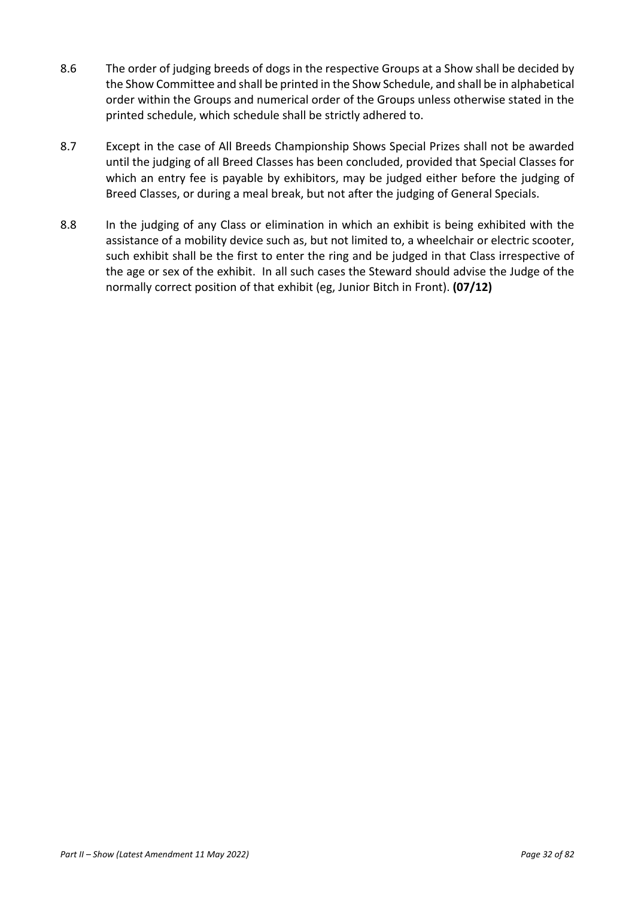- 8.6 The order of judging breeds of dogs in the respective Groups at a Show shall be decided by the Show Committee and shall be printed in the Show Schedule, and shall be in alphabetical order within the Groups and numerical order of the Groups unless otherwise stated in the printed schedule, which schedule shall be strictly adhered to.
- 8.7 Except in the case of All Breeds Championship Shows Special Prizes shall not be awarded until the judging of all Breed Classes has been concluded, provided that Special Classes for which an entry fee is payable by exhibitors, may be judged either before the judging of Breed Classes, or during a meal break, but not after the judging of General Specials.
- 8.8 In the judging of any Class or elimination in which an exhibit is being exhibited with the assistance of a mobility device such as, but not limited to, a wheelchair or electric scooter, such exhibit shall be the first to enter the ring and be judged in that Class irrespective of the age or sex of the exhibit. In all such cases the Steward should advise the Judge of the normally correct position of that exhibit (eg, Junior Bitch in Front). **(07/12)**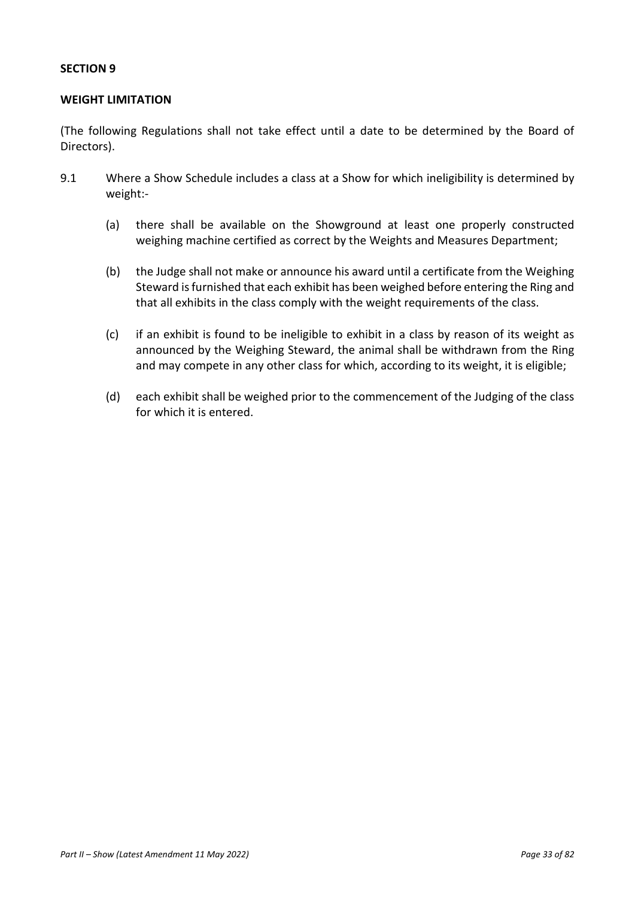## **WEIGHT LIMITATION**

(The following Regulations shall not take effect until a date to be determined by the Board of Directors).

- 9.1 Where a Show Schedule includes a class at a Show for which ineligibility is determined by weight:-
	- (a) there shall be available on the Showground at least one properly constructed weighing machine certified as correct by the Weights and Measures Department;
	- (b) the Judge shall not make or announce his award until a certificate from the Weighing Steward is furnished that each exhibit has been weighed before entering the Ring and that all exhibits in the class comply with the weight requirements of the class.
	- (c) if an exhibit is found to be ineligible to exhibit in a class by reason of its weight as announced by the Weighing Steward, the animal shall be withdrawn from the Ring and may compete in any other class for which, according to its weight, it is eligible;
	- (d) each exhibit shall be weighed prior to the commencement of the Judging of the class for which it is entered.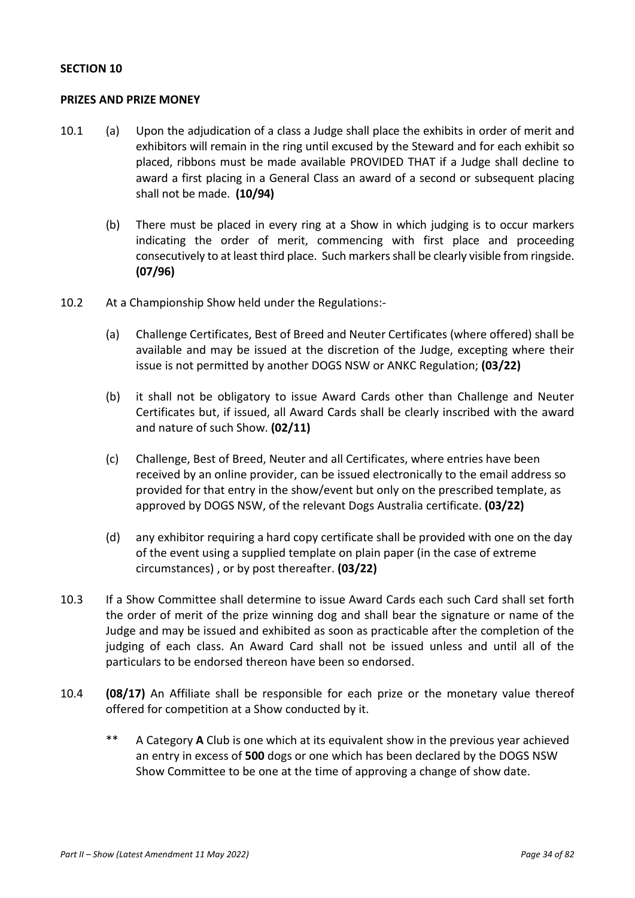#### **PRIZES AND PRIZE MONEY**

- 10.1 (a) Upon the adjudication of a class a Judge shall place the exhibits in order of merit and exhibitors will remain in the ring until excused by the Steward and for each exhibit so placed, ribbons must be made available PROVIDED THAT if a Judge shall decline to award a first placing in a General Class an award of a second or subsequent placing shall not be made. **(10/94)** 
	- (b) There must be placed in every ring at a Show in which judging is to occur markers indicating the order of merit, commencing with first place and proceeding consecutively to at least third place. Such markers shall be clearly visible from ringside. **(07/96)**
- 10.2 At a Championship Show held under the Regulations:-
	- (a) Challenge Certificates, Best of Breed and Neuter Certificates (where offered) shall be available and may be issued at the discretion of the Judge, excepting where their issue is not permitted by another DOGS NSW or ANKC Regulation; **(03/22)**
	- (b) it shall not be obligatory to issue Award Cards other than Challenge and Neuter Certificates but, if issued, all Award Cards shall be clearly inscribed with the award and nature of such Show. **(02/11)**
	- (c) Challenge, Best of Breed, Neuter and all Certificates, where entries have been received by an online provider, can be issued electronically to the email address so provided for that entry in the show/event but only on the prescribed template, as approved by DOGS NSW, of the relevant Dogs Australia certificate. **(03/22)**
	- (d) any exhibitor requiring a hard copy certificate shall be provided with one on the day of the event using a supplied template on plain paper (in the case of extreme circumstances) , or by post thereafter. **(03/22)**
- 10.3 If a Show Committee shall determine to issue Award Cards each such Card shall set forth the order of merit of the prize winning dog and shall bear the signature or name of the Judge and may be issued and exhibited as soon as practicable after the completion of the judging of each class. An Award Card shall not be issued unless and until all of the particulars to be endorsed thereon have been so endorsed.
- 10.4 **(08/17)** An Affiliate shall be responsible for each prize or the monetary value thereof offered for competition at a Show conducted by it.
	- \*\* A Category **A** Club is one which at its equivalent show in the previous year achieved an entry in excess of **500** dogs or one which has been declared by the DOGS NSW Show Committee to be one at the time of approving a change of show date.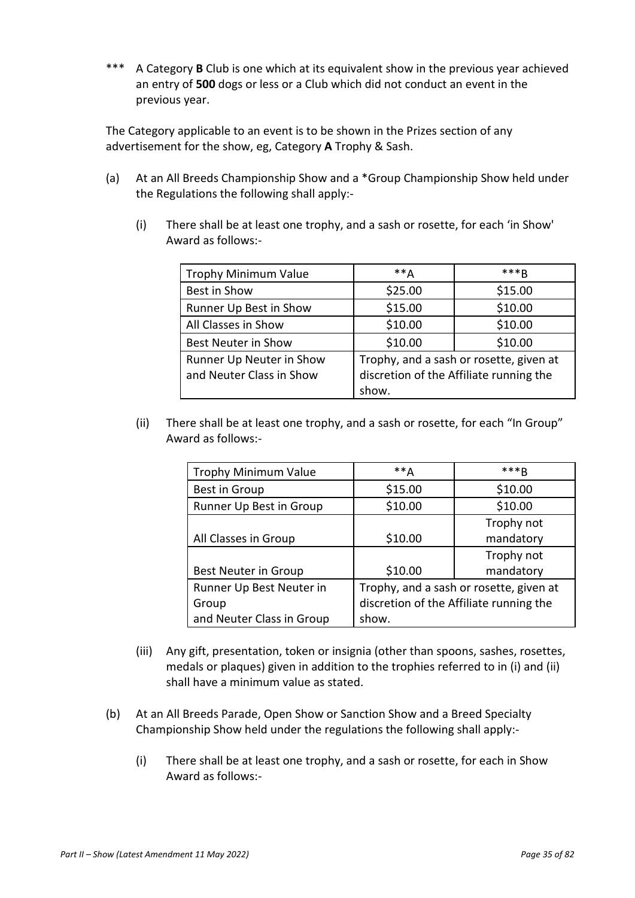\*\*\* A Category **B** Club is one which at its equivalent show in the previous year achieved an entry of **500** dogs or less or a Club which did not conduct an event in the previous year.

The Category applicable to an event is to be shown in the Prizes section of any advertisement for the show, eg, Category **A** Trophy & Sash.

- (a) At an All Breeds Championship Show and a \*Group Championship Show held under the Regulations the following shall apply:-
	- (i) There shall be at least one trophy, and a sash or rosette, for each 'in Show' Award as follows:-

| Trophy Minimum Value                                 | $**A$   | $***B$                                                                             |
|------------------------------------------------------|---------|------------------------------------------------------------------------------------|
| Best in Show                                         | \$25.00 | \$15.00                                                                            |
| Runner Up Best in Show                               | \$15.00 | \$10.00                                                                            |
| All Classes in Show                                  | \$10.00 | \$10.00                                                                            |
| <b>Best Neuter in Show</b>                           | \$10.00 | \$10.00                                                                            |
| Runner Up Neuter in Show<br>and Neuter Class in Show | show.   | Trophy, and a sash or rosette, given at<br>discretion of the Affiliate running the |

(ii) There shall be at least one trophy, and a sash or rosette, for each "In Group" Award as follows:-

| <b>Trophy Minimum Value</b> | $**A$   | $***R$                                  |
|-----------------------------|---------|-----------------------------------------|
| Best in Group               | \$15.00 | \$10.00                                 |
| Runner Up Best in Group     | \$10.00 | \$10.00                                 |
|                             |         | Trophy not                              |
| All Classes in Group        | \$10.00 | mandatory                               |
|                             |         | Trophy not                              |
| Best Neuter in Group        | \$10.00 | mandatory                               |
| Runner Up Best Neuter in    |         | Trophy, and a sash or rosette, given at |
| Group                       |         | discretion of the Affiliate running the |
| and Neuter Class in Group   | show.   |                                         |

- (iii) Any gift, presentation, token or insignia (other than spoons, sashes, rosettes, medals or plaques) given in addition to the trophies referred to in (i) and (ii) shall have a minimum value as stated.
- (b) At an All Breeds Parade, Open Show or Sanction Show and a Breed Specialty Championship Show held under the regulations the following shall apply:-
	- (i) There shall be at least one trophy, and a sash or rosette, for each in Show Award as follows:-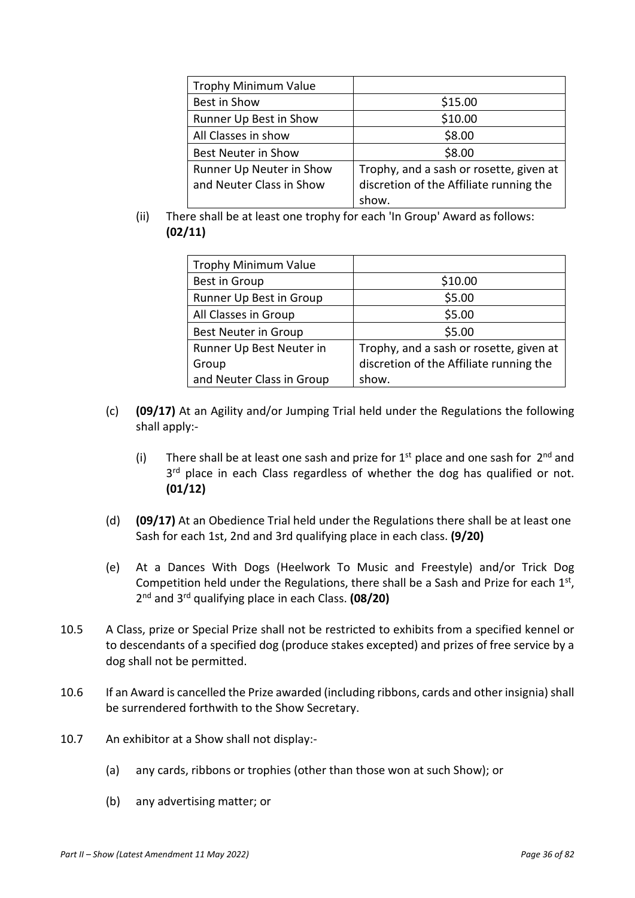| <b>Trophy Minimum Value</b> |                                         |
|-----------------------------|-----------------------------------------|
| Best in Show                | \$15.00                                 |
| Runner Up Best in Show      | \$10.00                                 |
| All Classes in show         | \$8.00                                  |
| <b>Best Neuter in Show</b>  | \$8.00                                  |
| Runner Up Neuter in Show    | Trophy, and a sash or rosette, given at |
| and Neuter Class in Show    | discretion of the Affiliate running the |
|                             | show.                                   |

(ii) There shall be at least one trophy for each 'In Group' Award as follows: **(02/11)** 

| <b>Trophy Minimum Value</b> |                                         |
|-----------------------------|-----------------------------------------|
| Best in Group               | \$10.00                                 |
| Runner Up Best in Group     | \$5.00                                  |
| All Classes in Group        | \$5.00                                  |
| Best Neuter in Group        | \$5.00                                  |
| Runner Up Best Neuter in    | Trophy, and a sash or rosette, given at |
| Group                       | discretion of the Affiliate running the |
| and Neuter Class in Group   | show.                                   |

- (c) **(09/17)** At an Agility and/or Jumping Trial held under the Regulations the following shall apply:-
	- (i) There shall be at least one sash and prize for  $1<sup>st</sup>$  place and one sash for  $2<sup>nd</sup>$  and 3<sup>rd</sup> place in each Class regardless of whether the dog has qualified or not. **(01/12)**
- (d) **(09/17)** At an Obedience Trial held under the Regulations there shall be at least one Sash for each 1st, 2nd and 3rd qualifying place in each class. **(9/20)**
- (e) At a Dances With Dogs (Heelwork To Music and Freestyle) and/or Trick Dog Competition held under the Regulations, there shall be a Sash and Prize for each  $1<sup>st</sup>$ , 2 nd and 3rd qualifying place in each Class. **(08/20)**
- 10.5 A Class, prize or Special Prize shall not be restricted to exhibits from a specified kennel or to descendants of a specified dog (produce stakes excepted) and prizes of free service by a dog shall not be permitted.
- 10.6 If an Award is cancelled the Prize awarded (including ribbons, cards and other insignia) shall be surrendered forthwith to the Show Secretary.
- 10.7 An exhibitor at a Show shall not display:-
	- (a) any cards, ribbons or trophies (other than those won at such Show); or
	- (b) any advertising matter; or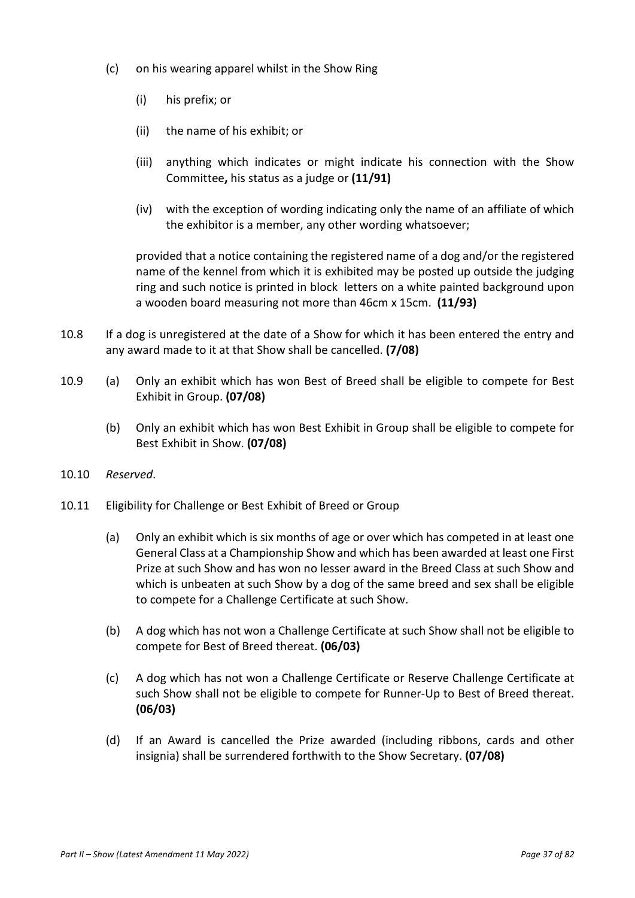- (c) on his wearing apparel whilst in the Show Ring
	- (i) his prefix; or
	- (ii) the name of his exhibit; or
	- (iii) anything which indicates or might indicate his connection with the Show Committee**,** his status as a judge or **(11/91)**
	- (iv) with the exception of wording indicating only the name of an affiliate of which the exhibitor is a member, any other wording whatsoever;

provided that a notice containing the registered name of a dog and/or the registered name of the kennel from which it is exhibited may be posted up outside the judging ring and such notice is printed in block letters on a white painted background upon a wooden board measuring not more than 46cm x 15cm. **(11/93)**

- 10.8 If a dog is unregistered at the date of a Show for which it has been entered the entry and any award made to it at that Show shall be cancelled. **(7/08)**
- 10.9 (a) Only an exhibit which has won Best of Breed shall be eligible to compete for Best Exhibit in Group. **(07/08)**
	- (b) Only an exhibit which has won Best Exhibit in Group shall be eligible to compete for Best Exhibit in Show. **(07/08)**
- 10.10 *Reserved*.
- 10.11 Eligibility for Challenge or Best Exhibit of Breed or Group
	- (a) Only an exhibit which is six months of age or over which has competed in at least one General Class at a Championship Show and which has been awarded at least one First Prize at such Show and has won no lesser award in the Breed Class at such Show and which is unbeaten at such Show by a dog of the same breed and sex shall be eligible to compete for a Challenge Certificate at such Show.
	- (b) A dog which has not won a Challenge Certificate at such Show shall not be eligible to compete for Best of Breed thereat. **(06/03)**
	- (c) A dog which has not won a Challenge Certificate or Reserve Challenge Certificate at such Show shall not be eligible to compete for Runner-Up to Best of Breed thereat. **(06/03)**
	- (d) If an Award is cancelled the Prize awarded (including ribbons, cards and other insignia) shall be surrendered forthwith to the Show Secretary. **(07/08)**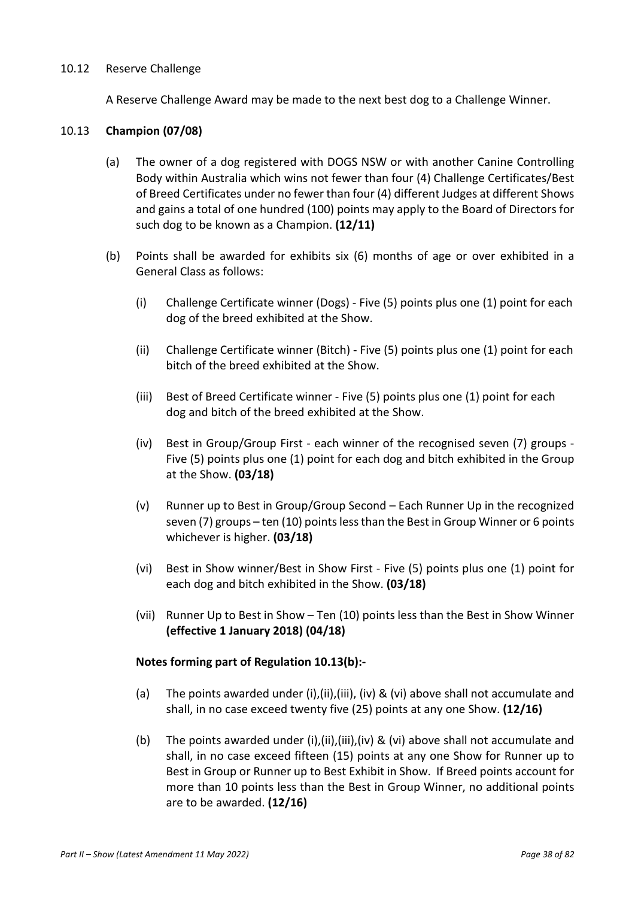#### 10.12 Reserve Challenge

A Reserve Challenge Award may be made to the next best dog to a Challenge Winner.

#### 10.13 **Champion (07/08)**

- (a) The owner of a dog registered with DOGS NSW or with another Canine Controlling Body within Australia which wins not fewer than four (4) Challenge Certificates/Best of Breed Certificates under no fewer than four (4) different Judges at different Shows and gains a total of one hundred (100) points may apply to the Board of Directors for such dog to be known as a Champion. **(12/11)**
- (b) Points shall be awarded for exhibits six (6) months of age or over exhibited in a General Class as follows:
	- (i) Challenge Certificate winner (Dogs) Five (5) points plus one (1) point for each dog of the breed exhibited at the Show.
	- (ii) Challenge Certificate winner (Bitch) Five (5) points plus one (1) point for each bitch of the breed exhibited at the Show.
	- (iii) Best of Breed Certificate winner Five (5) points plus one (1) point for each dog and bitch of the breed exhibited at the Show.
	- (iv) Best in Group/Group First each winner of the recognised seven (7) groups Five (5) points plus one (1) point for each dog and bitch exhibited in the Group at the Show. **(03/18)**
	- (v) Runner up to Best in Group/Group Second Each Runner Up in the recognized seven (7) groups – ten (10) points less than the Best in Group Winner or 6 points whichever is higher. **(03/18)**
	- (vi) Best in Show winner/Best in Show First Five (5) points plus one (1) point for each dog and bitch exhibited in the Show. **(03/18)**
	- (vii) Runner Up to Best in Show Ten (10) points less than the Best in Show Winner **(effective 1 January 2018) (04/18)**

#### **Notes forming part of Regulation 10.13(b):-**

- (a) The points awarded under (i),(ii),(iii), (iv) & (vi) above shall not accumulate and shall, in no case exceed twenty five (25) points at any one Show. **(12/16)**
- (b) The points awarded under (i),(ii),(iii),(iv) & (vi) above shall not accumulate and shall, in no case exceed fifteen (15) points at any one Show for Runner up to Best in Group or Runner up to Best Exhibit in Show. If Breed points account for more than 10 points less than the Best in Group Winner, no additional points are to be awarded. **(12/16)**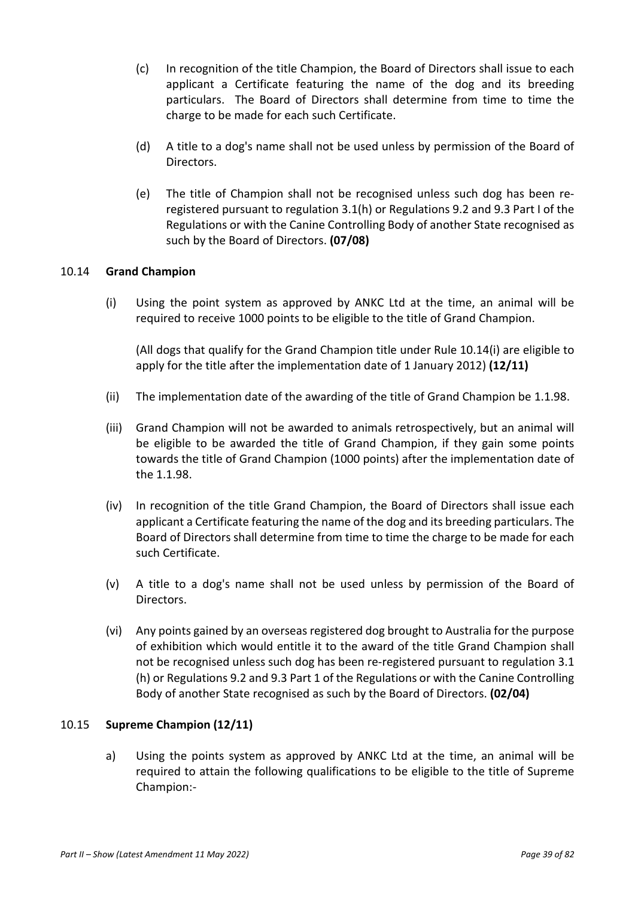- (c) In recognition of the title Champion, the Board of Directors shall issue to each applicant a Certificate featuring the name of the dog and its breeding particulars. The Board of Directors shall determine from time to time the charge to be made for each such Certificate.
- (d) A title to a dog's name shall not be used unless by permission of the Board of Directors.
- (e) The title of Champion shall not be recognised unless such dog has been reregistered pursuant to regulation 3.1(h) or Regulations 9.2 and 9.3 Part I of the Regulations or with the Canine Controlling Body of another State recognised as such by the Board of Directors. **(07/08)**

## 10.14 **Grand Champion**

(i) Using the point system as approved by ANKC Ltd at the time, an animal will be required to receive 1000 points to be eligible to the title of Grand Champion.

(All dogs that qualify for the Grand Champion title under Rule 10.14(i) are eligible to apply for the title after the implementation date of 1 January 2012) **(12/11)** 

- (ii) The implementation date of the awarding of the title of Grand Champion be 1.1.98.
- (iii) Grand Champion will not be awarded to animals retrospectively, but an animal will be eligible to be awarded the title of Grand Champion, if they gain some points towards the title of Grand Champion (1000 points) after the implementation date of the 1.1.98.
- (iv) In recognition of the title Grand Champion, the Board of Directors shall issue each applicant a Certificate featuring the name of the dog and its breeding particulars. The Board of Directors shall determine from time to time the charge to be made for each such Certificate.
- (v) A title to a dog's name shall not be used unless by permission of the Board of Directors.
- (vi) Any points gained by an overseas registered dog brought to Australia for the purpose of exhibition which would entitle it to the award of the title Grand Champion shall not be recognised unless such dog has been re-registered pursuant to regulation 3.1 (h) or Regulations 9.2 and 9.3 Part 1 of the Regulations or with the Canine Controlling Body of another State recognised as such by the Board of Directors. **(02/04)**

## 10.15 **Supreme Champion (12/11)**

a) Using the points system as approved by ANKC Ltd at the time, an animal will be required to attain the following qualifications to be eligible to the title of Supreme Champion:-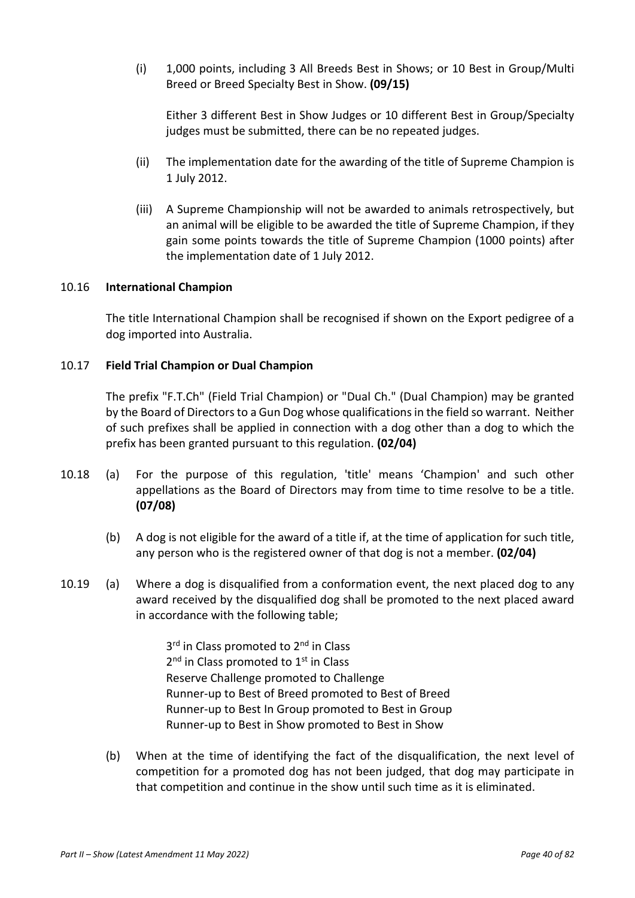(i) 1,000 points, including 3 All Breeds Best in Shows; or 10 Best in Group/Multi Breed or Breed Specialty Best in Show. **(09/15)**

Either 3 different Best in Show Judges or 10 different Best in Group/Specialty judges must be submitted, there can be no repeated judges.

- (ii) The implementation date for the awarding of the title of Supreme Champion is 1 July 2012.
- (iii) A Supreme Championship will not be awarded to animals retrospectively, but an animal will be eligible to be awarded the title of Supreme Champion, if they gain some points towards the title of Supreme Champion (1000 points) after the implementation date of 1 July 2012.

## 10.16 **International Champion**

The title International Champion shall be recognised if shown on the Export pedigree of a dog imported into Australia.

# 10.17 **Field Trial Champion or Dual Champion**

The prefix "F.T.Ch" (Field Trial Champion) or "Dual Ch." (Dual Champion) may be granted by the Board of Directors to a Gun Dog whose qualifications in the field so warrant. Neither of such prefixes shall be applied in connection with a dog other than a dog to which the prefix has been granted pursuant to this regulation. **(02/04)** 

- 10.18 (a) For the purpose of this regulation, 'title' means 'Champion' and such other appellations as the Board of Directors may from time to time resolve to be a title. **(07/08)**
	- (b) A dog is not eligible for the award of a title if, at the time of application for such title, any person who is the registered owner of that dog is not a member. **(02/04)**
- 10.19 (a) Where a dog is disqualified from a conformation event, the next placed dog to any award received by the disqualified dog shall be promoted to the next placed award in accordance with the following table;

3<sup>rd</sup> in Class promoted to 2<sup>nd</sup> in Class 2<sup>nd</sup> in Class promoted to 1<sup>st</sup> in Class Reserve Challenge promoted to Challenge Runner-up to Best of Breed promoted to Best of Breed Runner-up to Best In Group promoted to Best in Group Runner-up to Best in Show promoted to Best in Show

(b) When at the time of identifying the fact of the disqualification, the next level of competition for a promoted dog has not been judged, that dog may participate in that competition and continue in the show until such time as it is eliminated.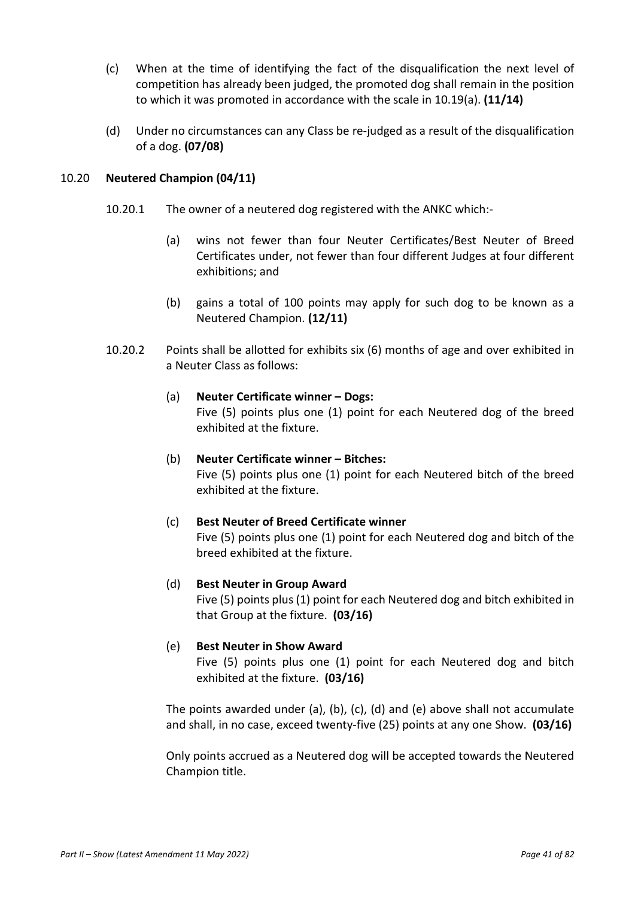- (c) When at the time of identifying the fact of the disqualification the next level of competition has already been judged, the promoted dog shall remain in the position to which it was promoted in accordance with the scale in 10.19(a). **(11/14)**
- (d) Under no circumstances can any Class be re-judged as a result of the disqualification of a dog. **(07/08)**

# 10.20 **Neutered Champion (04/11)**

- 10.20.1 The owner of a neutered dog registered with the ANKC which:-
	- (a) wins not fewer than four Neuter Certificates/Best Neuter of Breed Certificates under, not fewer than four different Judges at four different exhibitions; and
	- (b) gains a total of 100 points may apply for such dog to be known as a Neutered Champion. **(12/11)**
- 10.20.2 Points shall be allotted for exhibits six (6) months of age and over exhibited in a Neuter Class as follows:
	- (a) **Neuter Certificate winner Dogs:**  Five (5) points plus one (1) point for each Neutered dog of the breed exhibited at the fixture.
	- (b) **Neuter Certificate winner Bitches:**  Five (5) points plus one (1) point for each Neutered bitch of the breed exhibited at the fixture.
	- (c) **Best Neuter of Breed Certificate winner**  Five (5) points plus one (1) point for each Neutered dog and bitch of the breed exhibited at the fixture.
	- (d) **Best Neuter in Group Award** Five (5) points plus (1) point for each Neutered dog and bitch exhibited in that Group at the fixture. **(03/16)**
	- (e) **Best Neuter in Show Award**  Five (5) points plus one (1) point for each Neutered dog and bitch exhibited at the fixture. **(03/16)**

The points awarded under (a), (b), (c), (d) and (e) above shall not accumulate and shall, in no case, exceed twenty-five (25) points at any one Show. **(03/16)**

Only points accrued as a Neutered dog will be accepted towards the Neutered Champion title.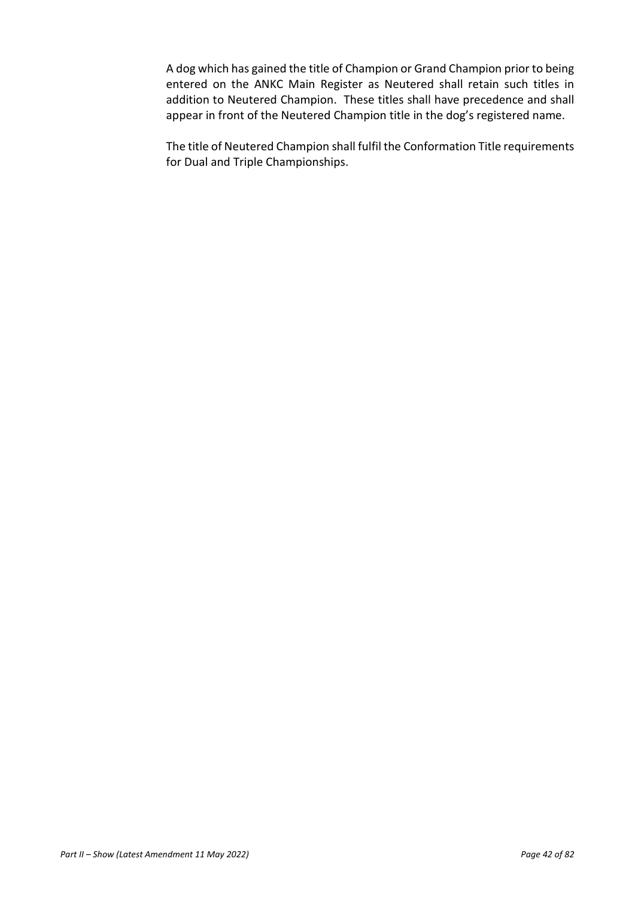A dog which has gained the title of Champion or Grand Champion prior to being entered on the ANKC Main Register as Neutered shall retain such titles in addition to Neutered Champion. These titles shall have precedence and shall appear in front of the Neutered Champion title in the dog's registered name.

The title of Neutered Champion shall fulfil the Conformation Title requirements for Dual and Triple Championships.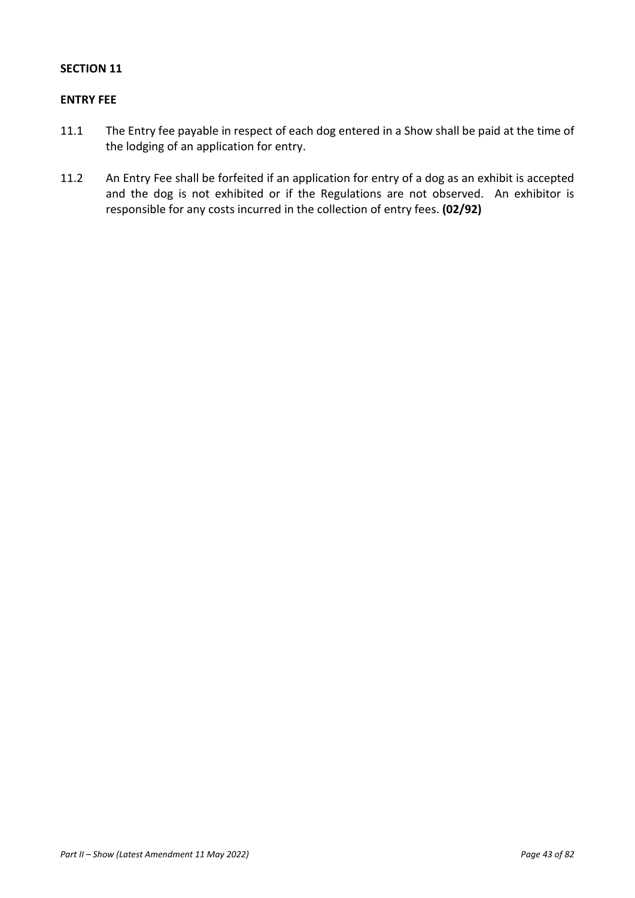## **ENTRY FEE**

- 11.1 The Entry fee payable in respect of each dog entered in a Show shall be paid at the time of the lodging of an application for entry.
- 11.2 An Entry Fee shall be forfeited if an application for entry of a dog as an exhibit is accepted and the dog is not exhibited or if the Regulations are not observed. An exhibitor is responsible for any costs incurred in the collection of entry fees. **(02/92)**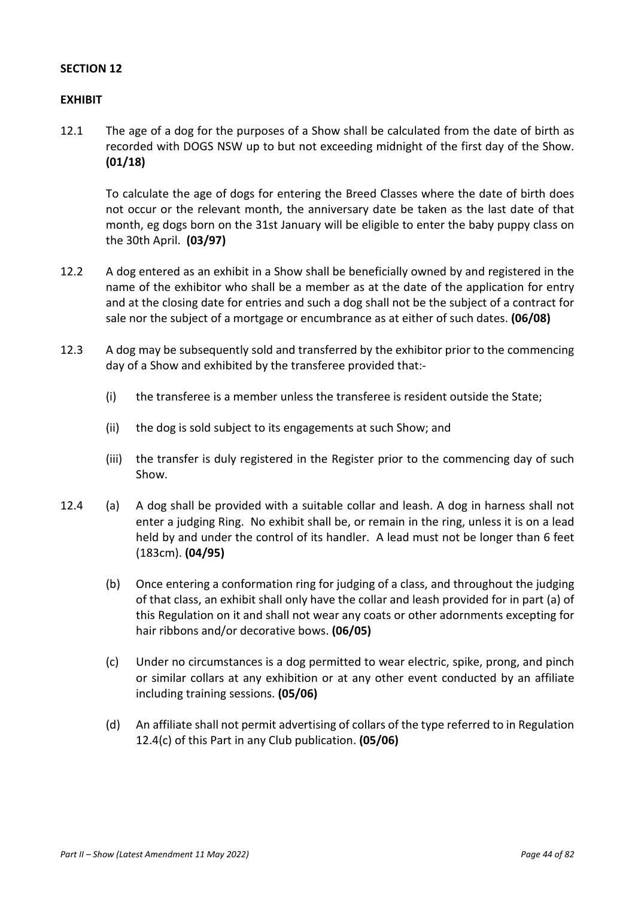# **EXHIBIT**

12.1 The age of a dog for the purposes of a Show shall be calculated from the date of birth as recorded with DOGS NSW up to but not exceeding midnight of the first day of the Show. **(01/18)** 

To calculate the age of dogs for entering the Breed Classes where the date of birth does not occur or the relevant month, the anniversary date be taken as the last date of that month, eg dogs born on the 31st January will be eligible to enter the baby puppy class on the 30th April. **(03/97)** 

- 12.2 A dog entered as an exhibit in a Show shall be beneficially owned by and registered in the name of the exhibitor who shall be a member as at the date of the application for entry and at the closing date for entries and such a dog shall not be the subject of a contract for sale nor the subject of a mortgage or encumbrance as at either of such dates. **(06/08)**
- 12.3 A dog may be subsequently sold and transferred by the exhibitor prior to the commencing day of a Show and exhibited by the transferee provided that:-
	- (i) the transferee is a member unless the transferee is resident outside the State;
	- (ii) the dog is sold subject to its engagements at such Show; and
	- (iii) the transfer is duly registered in the Register prior to the commencing day of such Show.
- 12.4 (a) A dog shall be provided with a suitable collar and leash. A dog in harness shall not enter a judging Ring. No exhibit shall be, or remain in the ring, unless it is on a lead held by and under the control of its handler. A lead must not be longer than 6 feet (183cm). **(04/95)** 
	- (b) Once entering a conformation ring for judging of a class, and throughout the judging of that class, an exhibit shall only have the collar and leash provided for in part (a) of this Regulation on it and shall not wear any coats or other adornments excepting for hair ribbons and/or decorative bows. **(06/05)**
	- (c) Under no circumstances is a dog permitted to wear electric, spike, prong, and pinch or similar collars at any exhibition or at any other event conducted by an affiliate including training sessions. **(05/06)**
	- (d) An affiliate shall not permit advertising of collars of the type referred to in Regulation 12.4(c) of this Part in any Club publication. **(05/06)**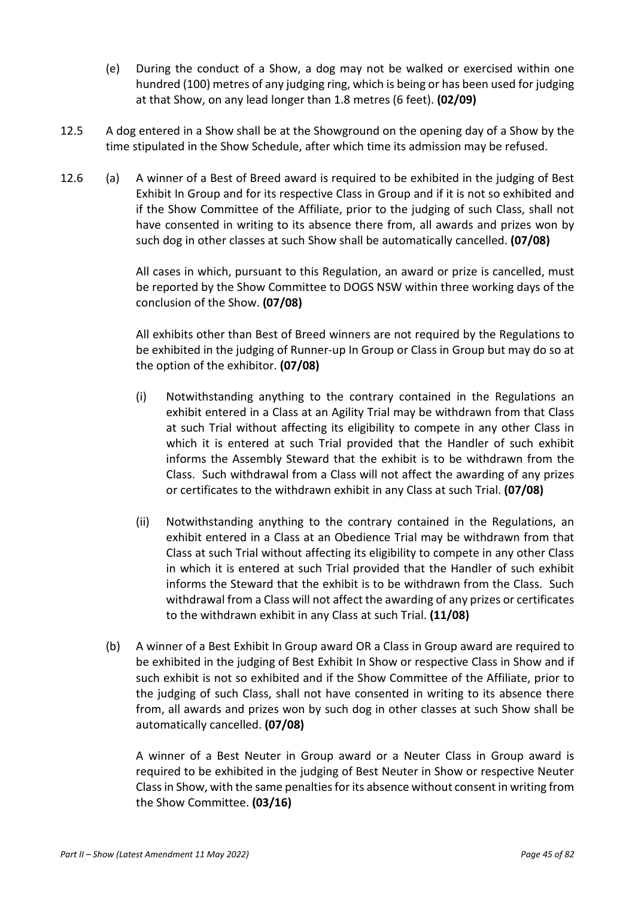- (e) During the conduct of a Show, a dog may not be walked or exercised within one hundred (100) metres of any judging ring, which is being or has been used for judging at that Show, on any lead longer than 1.8 metres (6 feet). **(02/09)**
- 12.5 A dog entered in a Show shall be at the Showground on the opening day of a Show by the time stipulated in the Show Schedule, after which time its admission may be refused.
- 12.6 (a) A winner of a Best of Breed award is required to be exhibited in the judging of Best Exhibit In Group and for its respective Class in Group and if it is not so exhibited and if the Show Committee of the Affiliate, prior to the judging of such Class, shall not have consented in writing to its absence there from, all awards and prizes won by such dog in other classes at such Show shall be automatically cancelled. **(07/08)**

All cases in which, pursuant to this Regulation, an award or prize is cancelled, must be reported by the Show Committee to DOGS NSW within three working days of the conclusion of the Show. **(07/08)** 

All exhibits other than Best of Breed winners are not required by the Regulations to be exhibited in the judging of Runner-up In Group or Class in Group but may do so at the option of the exhibitor. **(07/08)** 

- (i) Notwithstanding anything to the contrary contained in the Regulations an exhibit entered in a Class at an Agility Trial may be withdrawn from that Class at such Trial without affecting its eligibility to compete in any other Class in which it is entered at such Trial provided that the Handler of such exhibit informs the Assembly Steward that the exhibit is to be withdrawn from the Class. Such withdrawal from a Class will not affect the awarding of any prizes or certificates to the withdrawn exhibit in any Class at such Trial. **(07/08)**
- (ii) Notwithstanding anything to the contrary contained in the Regulations, an exhibit entered in a Class at an Obedience Trial may be withdrawn from that Class at such Trial without affecting its eligibility to compete in any other Class in which it is entered at such Trial provided that the Handler of such exhibit informs the Steward that the exhibit is to be withdrawn from the Class. Such withdrawal from a Class will not affect the awarding of any prizes or certificates to the withdrawn exhibit in any Class at such Trial. **(11/08)**
- (b) A winner of a Best Exhibit In Group award OR a Class in Group award are required to be exhibited in the judging of Best Exhibit In Show or respective Class in Show and if such exhibit is not so exhibited and if the Show Committee of the Affiliate, prior to the judging of such Class, shall not have consented in writing to its absence there from, all awards and prizes won by such dog in other classes at such Show shall be automatically cancelled. **(07/08)**

A winner of a Best Neuter in Group award or a Neuter Class in Group award is required to be exhibited in the judging of Best Neuter in Show or respective Neuter Class in Show, with the same penalties for its absence without consent in writing from the Show Committee. **(03/16)**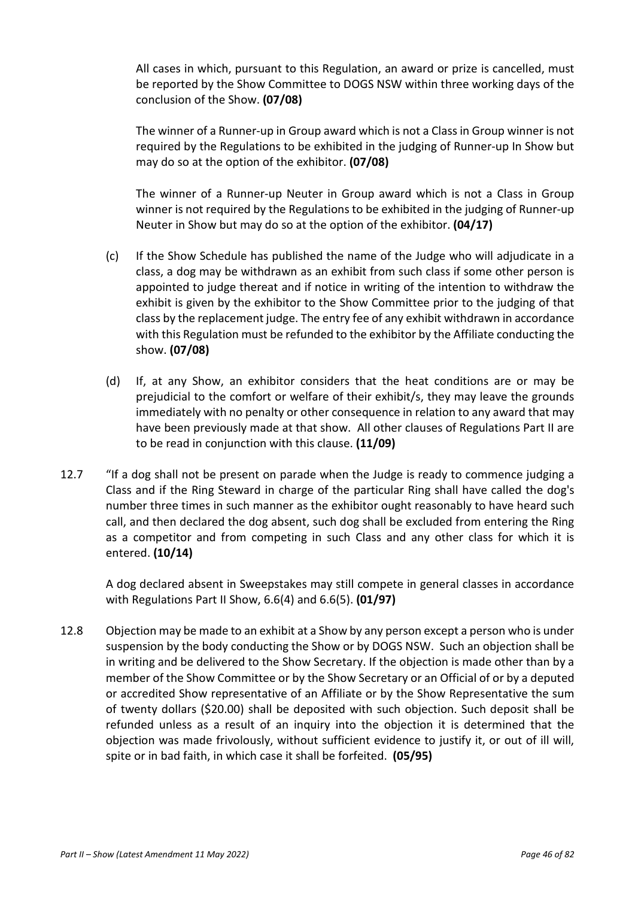All cases in which, pursuant to this Regulation, an award or prize is cancelled, must be reported by the Show Committee to DOGS NSW within three working days of the conclusion of the Show. **(07/08)** 

The winner of a Runner-up in Group award which is not a Class in Group winner is not required by the Regulations to be exhibited in the judging of Runner-up In Show but may do so at the option of the exhibitor. **(07/08)** 

The winner of a Runner-up Neuter in Group award which is not a Class in Group winner is not required by the Regulations to be exhibited in the judging of Runner-up Neuter in Show but may do so at the option of the exhibitor. **(04/17)** 

- (c) If the Show Schedule has published the name of the Judge who will adjudicate in a class, a dog may be withdrawn as an exhibit from such class if some other person is appointed to judge thereat and if notice in writing of the intention to withdraw the exhibit is given by the exhibitor to the Show Committee prior to the judging of that class by the replacement judge. The entry fee of any exhibit withdrawn in accordance with this Regulation must be refunded to the exhibitor by the Affiliate conducting the show. **(07/08)**
- (d) If, at any Show, an exhibitor considers that the heat conditions are or may be prejudicial to the comfort or welfare of their exhibit/s, they may leave the grounds immediately with no penalty or other consequence in relation to any award that may have been previously made at that show. All other clauses of Regulations Part II are to be read in conjunction with this clause. **(11/09)**
- 12.7 "If a dog shall not be present on parade when the Judge is ready to commence judging a Class and if the Ring Steward in charge of the particular Ring shall have called the dog's number three times in such manner as the exhibitor ought reasonably to have heard such call, and then declared the dog absent, such dog shall be excluded from entering the Ring as a competitor and from competing in such Class and any other class for which it is entered. **(10/14)**

A dog declared absent in Sweepstakes may still compete in general classes in accordance with Regulations Part II Show, 6.6(4) and 6.6(5). **(01/97)** 

12.8 Objection may be made to an exhibit at a Show by any person except a person who is under suspension by the body conducting the Show or by DOGS NSW. Such an objection shall be in writing and be delivered to the Show Secretary. If the objection is made other than by a member of the Show Committee or by the Show Secretary or an Official of or by a deputed or accredited Show representative of an Affiliate or by the Show Representative the sum of twenty dollars (\$20.00) shall be deposited with such objection. Such deposit shall be refunded unless as a result of an inquiry into the objection it is determined that the objection was made frivolously, without sufficient evidence to justify it, or out of ill will, spite or in bad faith, in which case it shall be forfeited. **(05/95)**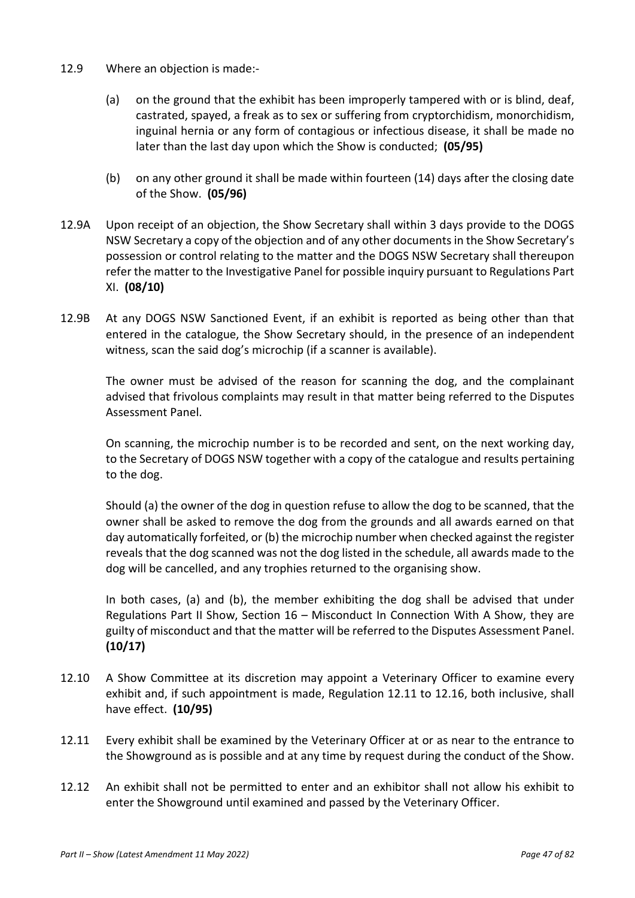- 12.9 Where an objection is made:-
	- (a) on the ground that the exhibit has been improperly tampered with or is blind, deaf, castrated, spayed, a freak as to sex or suffering from cryptorchidism, monorchidism, inguinal hernia or any form of contagious or infectious disease, it shall be made no later than the last day upon which the Show is conducted; **(05/95)**
	- (b) on any other ground it shall be made within fourteen (14) days after the closing date of the Show. **(05/96)**
- 12.9A Upon receipt of an objection, the Show Secretary shall within 3 days provide to the DOGS NSW Secretary a copy of the objection and of any other documents in the Show Secretary's possession or control relating to the matter and the DOGS NSW Secretary shall thereupon refer the matter to the Investigative Panel for possible inquiry pursuant to Regulations Part XI. **(08/10)**
- 12.9B At any DOGS NSW Sanctioned Event, if an exhibit is reported as being other than that entered in the catalogue, the Show Secretary should, in the presence of an independent witness, scan the said dog's microchip (if a scanner is available).

The owner must be advised of the reason for scanning the dog, and the complainant advised that frivolous complaints may result in that matter being referred to the Disputes Assessment Panel.

On scanning, the microchip number is to be recorded and sent, on the next working day, to the Secretary of DOGS NSW together with a copy of the catalogue and results pertaining to the dog.

Should (a) the owner of the dog in question refuse to allow the dog to be scanned, that the owner shall be asked to remove the dog from the grounds and all awards earned on that day automatically forfeited, or (b) the microchip number when checked against the register reveals that the dog scanned was not the dog listed in the schedule, all awards made to the dog will be cancelled, and any trophies returned to the organising show.

In both cases, (a) and (b), the member exhibiting the dog shall be advised that under Regulations Part II Show, Section 16 – Misconduct In Connection With A Show, they are guilty of misconduct and that the matter will be referred to the Disputes Assessment Panel. **(10/17)** 

- 12.10 A Show Committee at its discretion may appoint a Veterinary Officer to examine every exhibit and, if such appointment is made, Regulation 12.11 to 12.16, both inclusive, shall have effect. **(10/95)**
- 12.11 Every exhibit shall be examined by the Veterinary Officer at or as near to the entrance to the Showground as is possible and at any time by request during the conduct of the Show.
- 12.12 An exhibit shall not be permitted to enter and an exhibitor shall not allow his exhibit to enter the Showground until examined and passed by the Veterinary Officer.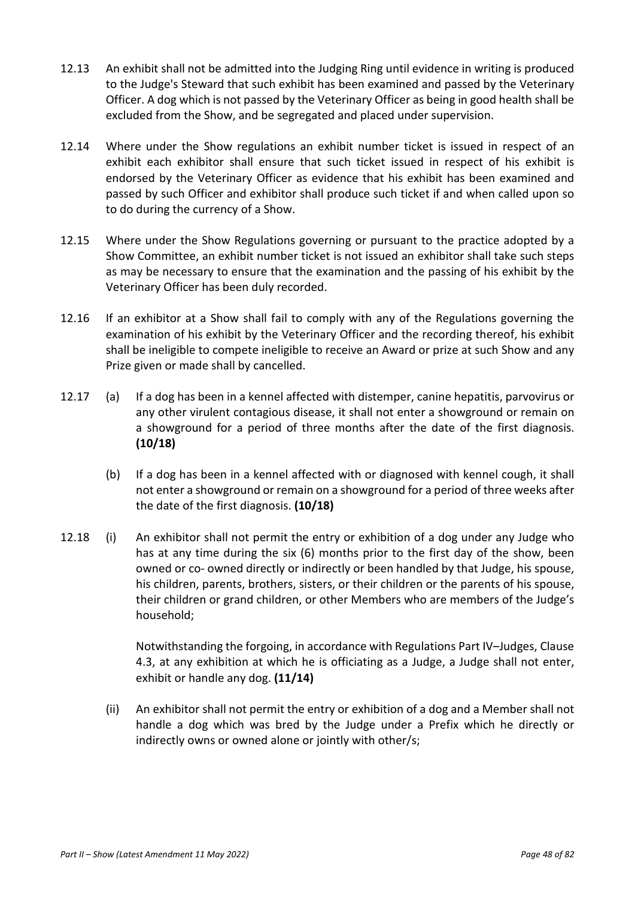- 12.13 An exhibit shall not be admitted into the Judging Ring until evidence in writing is produced to the Judge's Steward that such exhibit has been examined and passed by the Veterinary Officer. A dog which is not passed by the Veterinary Officer as being in good health shall be excluded from the Show, and be segregated and placed under supervision.
- 12.14 Where under the Show regulations an exhibit number ticket is issued in respect of an exhibit each exhibitor shall ensure that such ticket issued in respect of his exhibit is endorsed by the Veterinary Officer as evidence that his exhibit has been examined and passed by such Officer and exhibitor shall produce such ticket if and when called upon so to do during the currency of a Show.
- 12.15 Where under the Show Regulations governing or pursuant to the practice adopted by a Show Committee, an exhibit number ticket is not issued an exhibitor shall take such steps as may be necessary to ensure that the examination and the passing of his exhibit by the Veterinary Officer has been duly recorded.
- 12.16 If an exhibitor at a Show shall fail to comply with any of the Regulations governing the examination of his exhibit by the Veterinary Officer and the recording thereof, his exhibit shall be ineligible to compete ineligible to receive an Award or prize at such Show and any Prize given or made shall by cancelled.
- 12.17 (a) If a dog has been in a kennel affected with distemper, canine hepatitis, parvovirus or any other virulent contagious disease, it shall not enter a showground or remain on a showground for a period of three months after the date of the first diagnosis. **(10/18)**
	- (b) If a dog has been in a kennel affected with or diagnosed with kennel cough, it shall not enter a showground or remain on a showground for a period of three weeks after the date of the first diagnosis. **(10/18)**
- 12.18 (i) An exhibitor shall not permit the entry or exhibition of a dog under any Judge who has at any time during the six (6) months prior to the first day of the show, been owned or co- owned directly or indirectly or been handled by that Judge, his spouse, his children, parents, brothers, sisters, or their children or the parents of his spouse, their children or grand children, or other Members who are members of the Judge's household;

Notwithstanding the forgoing, in accordance with Regulations Part IV–Judges, Clause 4.3, at any exhibition at which he is officiating as a Judge, a Judge shall not enter, exhibit or handle any dog. **(11/14)** 

(ii) An exhibitor shall not permit the entry or exhibition of a dog and a Member shall not handle a dog which was bred by the Judge under a Prefix which he directly or indirectly owns or owned alone or jointly with other/s;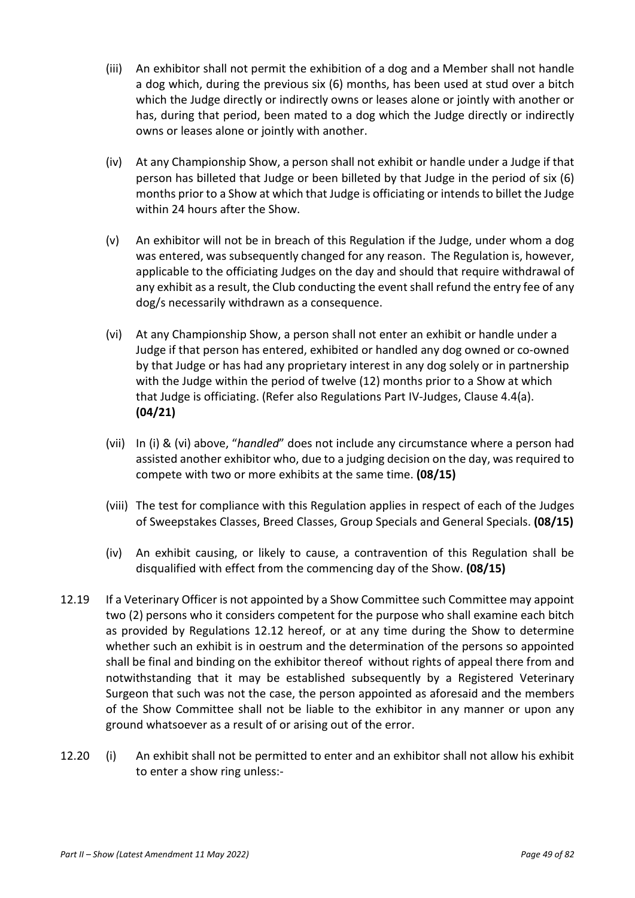- (iii) An exhibitor shall not permit the exhibition of a dog and a Member shall not handle a dog which, during the previous six (6) months, has been used at stud over a bitch which the Judge directly or indirectly owns or leases alone or jointly with another or has, during that period, been mated to a dog which the Judge directly or indirectly owns or leases alone or jointly with another.
- (iv) At any Championship Show, a person shall not exhibit or handle under a Judge if that person has billeted that Judge or been billeted by that Judge in the period of six (6) months prior to a Show at which that Judge is officiating or intends to billet the Judge within 24 hours after the Show.
- (v) An exhibitor will not be in breach of this Regulation if the Judge, under whom a dog was entered, was subsequently changed for any reason. The Regulation is, however, applicable to the officiating Judges on the day and should that require withdrawal of any exhibit as a result, the Club conducting the event shall refund the entry fee of any dog/s necessarily withdrawn as a consequence.
- (vi) At any Championship Show, a person shall not enter an exhibit or handle under a Judge if that person has entered, exhibited or handled any dog owned or co-owned by that Judge or has had any proprietary interest in any dog solely or in partnership with the Judge within the period of twelve (12) months prior to a Show at which that Judge is officiating. (Refer also Regulations Part IV-Judges, Clause 4.4(a). **(04/21)**
- (vii) In (i) & (vi) above, "*handled*" does not include any circumstance where a person had assisted another exhibitor who, due to a judging decision on the day, was required to compete with two or more exhibits at the same time. **(08/15)**
- (viii) The test for compliance with this Regulation applies in respect of each of the Judges of Sweepstakes Classes, Breed Classes, Group Specials and General Specials. **(08/15)**
- (iv) An exhibit causing, or likely to cause, a contravention of this Regulation shall be disqualified with effect from the commencing day of the Show. **(08/15)**
- 12.19 If a Veterinary Officer is not appointed by a Show Committee such Committee may appoint two (2) persons who it considers competent for the purpose who shall examine each bitch as provided by Regulations 12.12 hereof, or at any time during the Show to determine whether such an exhibit is in oestrum and the determination of the persons so appointed shall be final and binding on the exhibitor thereof without rights of appeal there from and notwithstanding that it may be established subsequently by a Registered Veterinary Surgeon that such was not the case, the person appointed as aforesaid and the members of the Show Committee shall not be liable to the exhibitor in any manner or upon any ground whatsoever as a result of or arising out of the error.
- 12.20 (i) An exhibit shall not be permitted to enter and an exhibitor shall not allow his exhibit to enter a show ring unless:-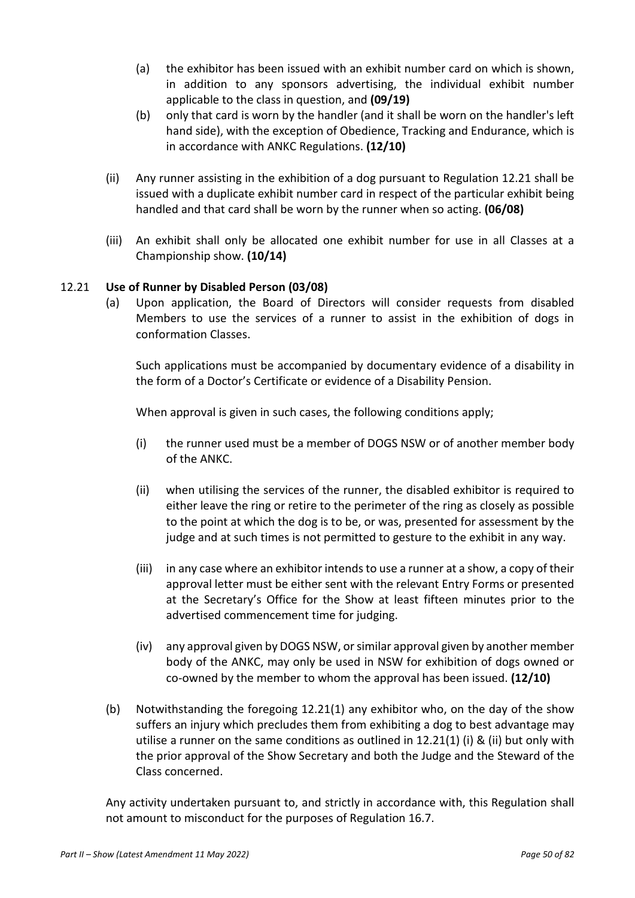- (a) the exhibitor has been issued with an exhibit number card on which is shown, in addition to any sponsors advertising, the individual exhibit number applicable to the class in question, and **(09/19)**
- (b) only that card is worn by the handler (and it shall be worn on the handler's left hand side), with the exception of Obedience, Tracking and Endurance, which is in accordance with ANKC Regulations. **(12/10)**
- (ii) Any runner assisting in the exhibition of a dog pursuant to Regulation 12.21 shall be issued with a duplicate exhibit number card in respect of the particular exhibit being handled and that card shall be worn by the runner when so acting. **(06/08)**
- (iii) An exhibit shall only be allocated one exhibit number for use in all Classes at a Championship show. **(10/14)**

# 12.21 **Use of Runner by Disabled Person (03/08)**

(a) Upon application, the Board of Directors will consider requests from disabled Members to use the services of a runner to assist in the exhibition of dogs in conformation Classes.

Such applications must be accompanied by documentary evidence of a disability in the form of a Doctor's Certificate or evidence of a Disability Pension.

When approval is given in such cases, the following conditions apply;

- (i) the runner used must be a member of DOGS NSW or of another member body of the ANKC.
- (ii) when utilising the services of the runner, the disabled exhibitor is required to either leave the ring or retire to the perimeter of the ring as closely as possible to the point at which the dog is to be, or was, presented for assessment by the judge and at such times is not permitted to gesture to the exhibit in any way.
- $(iii)$  in any case where an exhibitor intends to use a runner at a show, a copy of their approval letter must be either sent with the relevant Entry Forms or presented at the Secretary's Office for the Show at least fifteen minutes prior to the advertised commencement time for judging.
- (iv) any approval given by DOGS NSW, or similar approval given by another member body of the ANKC, may only be used in NSW for exhibition of dogs owned or co-owned by the member to whom the approval has been issued. **(12/10)**
- (b) Notwithstanding the foregoing 12.21(1) any exhibitor who, on the day of the show suffers an injury which precludes them from exhibiting a dog to best advantage may utilise a runner on the same conditions as outlined in 12.21(1) (i) & (ii) but only with the prior approval of the Show Secretary and both the Judge and the Steward of the Class concerned.

Any activity undertaken pursuant to, and strictly in accordance with, this Regulation shall not amount to misconduct for the purposes of Regulation 16.7.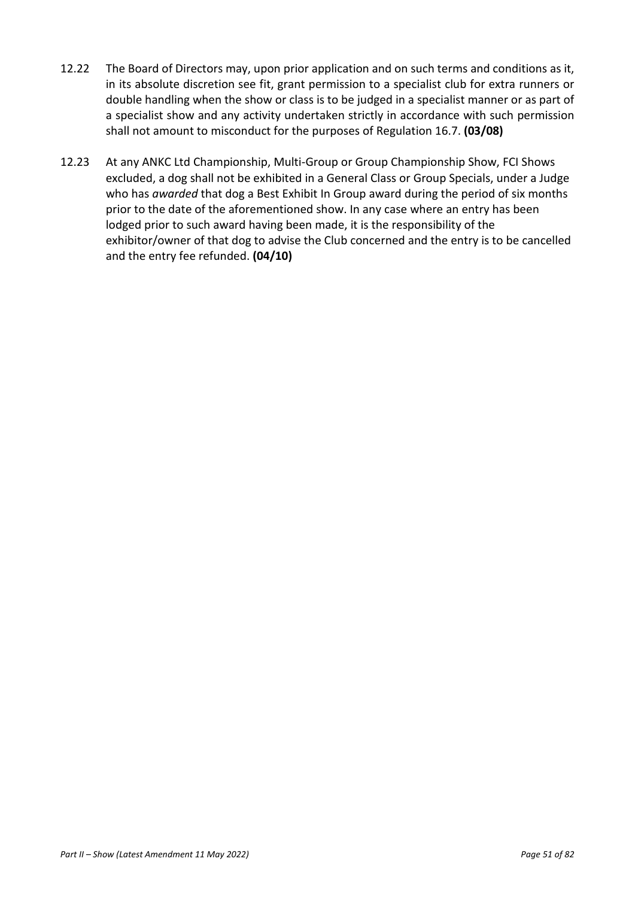- 12.22 The Board of Directors may, upon prior application and on such terms and conditions as it, in its absolute discretion see fit, grant permission to a specialist club for extra runners or double handling when the show or class is to be judged in a specialist manner or as part of a specialist show and any activity undertaken strictly in accordance with such permission shall not amount to misconduct for the purposes of Regulation 16.7. **(03/08)**
- 12.23 At any ANKC Ltd Championship, Multi-Group or Group Championship Show, FCI Shows excluded, a dog shall not be exhibited in a General Class or Group Specials, under a Judge who has *awarded* that dog a Best Exhibit In Group award during the period of six months prior to the date of the aforementioned show. In any case where an entry has been lodged prior to such award having been made, it is the responsibility of the exhibitor/owner of that dog to advise the Club concerned and the entry is to be cancelled and the entry fee refunded. **(04/10)**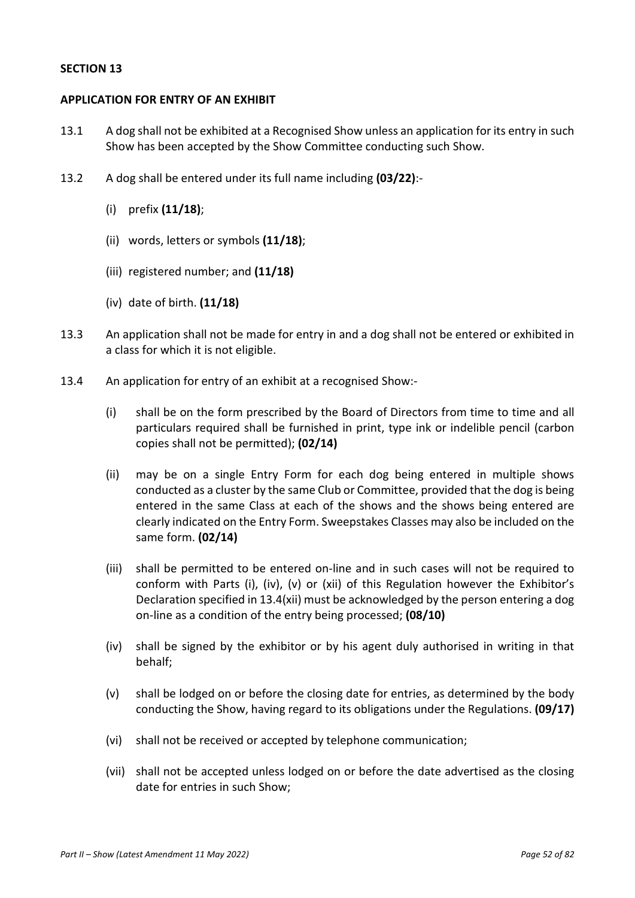## **APPLICATION FOR ENTRY OF AN EXHIBIT**

- 13.1 A dog shall not be exhibited at a Recognised Show unless an application for its entry in such Show has been accepted by the Show Committee conducting such Show.
- 13.2 A dog shall be entered under its full name including **(03/22)**:-
	- (i) prefix **(11/18)**;
	- (ii) words, letters or symbols **(11/18)**;
	- (iii) registered number; and **(11/18)**
	- (iv) date of birth. **(11/18)**
- 13.3 An application shall not be made for entry in and a dog shall not be entered or exhibited in a class for which it is not eligible.
- 13.4 An application for entry of an exhibit at a recognised Show:-
	- (i) shall be on the form prescribed by the Board of Directors from time to time and all particulars required shall be furnished in print, type ink or indelible pencil (carbon copies shall not be permitted); **(02/14)**
	- (ii) may be on a single Entry Form for each dog being entered in multiple shows conducted as a cluster by the same Club or Committee, provided that the dog is being entered in the same Class at each of the shows and the shows being entered are clearly indicated on the Entry Form. Sweepstakes Classes may also be included on the same form. **(02/14)**
	- (iii) shall be permitted to be entered on-line and in such cases will not be required to conform with Parts (i), (iv), (v) or (xii) of this Regulation however the Exhibitor's Declaration specified in 13.4(xii) must be acknowledged by the person entering a dog on-line as a condition of the entry being processed; **(08/10)**
	- (iv) shall be signed by the exhibitor or by his agent duly authorised in writing in that behalf;
	- (v) shall be lodged on or before the closing date for entries, as determined by the body conducting the Show, having regard to its obligations under the Regulations. **(09/17)**
	- (vi) shall not be received or accepted by telephone communication;
	- (vii) shall not be accepted unless lodged on or before the date advertised as the closing date for entries in such Show;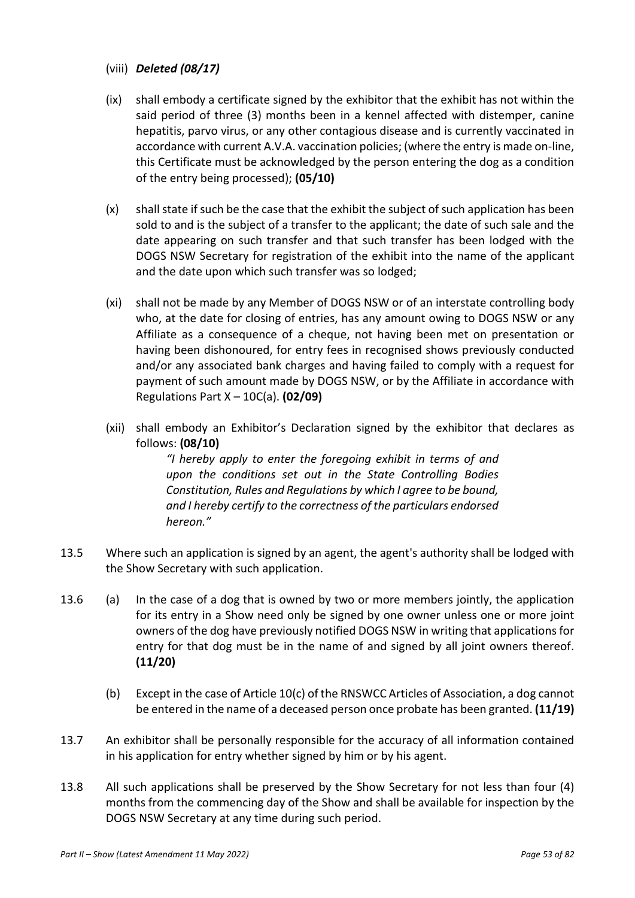## (viii) *Deleted (08/17)*

- (ix) shall embody a certificate signed by the exhibitor that the exhibit has not within the said period of three (3) months been in a kennel affected with distemper, canine hepatitis, parvo virus, or any other contagious disease and is currently vaccinated in accordance with current A.V.A. vaccination policies; (where the entry is made on-line, this Certificate must be acknowledged by the person entering the dog as a condition of the entry being processed); **(05/10)**
- (x) shall state if such be the case that the exhibit the subject of such application has been sold to and is the subject of a transfer to the applicant; the date of such sale and the date appearing on such transfer and that such transfer has been lodged with the DOGS NSW Secretary for registration of the exhibit into the name of the applicant and the date upon which such transfer was so lodged;
- (xi) shall not be made by any Member of DOGS NSW or of an interstate controlling body who, at the date for closing of entries, has any amount owing to DOGS NSW or any Affiliate as a consequence of a cheque, not having been met on presentation or having been dishonoured, for entry fees in recognised shows previously conducted and/or any associated bank charges and having failed to comply with a request for payment of such amount made by DOGS NSW, or by the Affiliate in accordance with Regulations Part X – 10C(a). **(02/09)**
- (xii) shall embody an Exhibitor's Declaration signed by the exhibitor that declares as follows: **(08/10)**

*"I hereby apply to enter the foregoing exhibit in terms of and upon the conditions set out in the State Controlling Bodies Constitution, Rules and Regulations by which I agree to be bound, and I hereby certify to the correctness of the particulars endorsed hereon."* 

- 13.5 Where such an application is signed by an agent, the agent's authority shall be lodged with the Show Secretary with such application.
- 13.6 (a) In the case of a dog that is owned by two or more members jointly, the application for its entry in a Show need only be signed by one owner unless one or more joint owners of the dog have previously notified DOGS NSW in writing that applications for entry for that dog must be in the name of and signed by all joint owners thereof. **(11/20)** 
	- (b) Except in the case of Article 10(c) of the RNSWCC Articles of Association, a dog cannot be entered in the name of a deceased person once probate has been granted. **(11/19)**
- 13.7 An exhibitor shall be personally responsible for the accuracy of all information contained in his application for entry whether signed by him or by his agent.
- 13.8 All such applications shall be preserved by the Show Secretary for not less than four (4) months from the commencing day of the Show and shall be available for inspection by the DOGS NSW Secretary at any time during such period.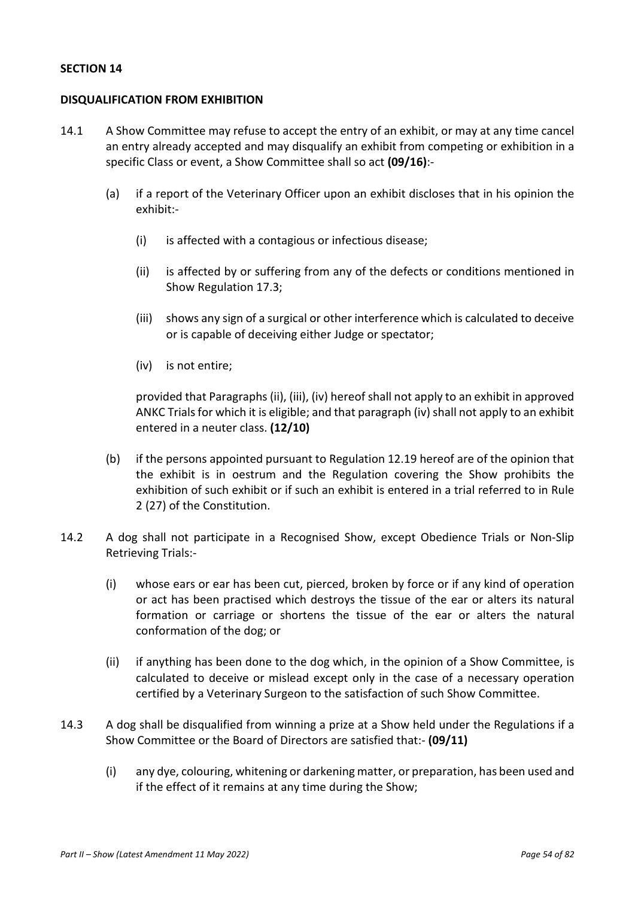#### **DISQUALIFICATION FROM EXHIBITION**

- 14.1 A Show Committee may refuse to accept the entry of an exhibit, or may at any time cancel an entry already accepted and may disqualify an exhibit from competing or exhibition in a specific Class or event, a Show Committee shall so act **(09/16)**:-
	- (a) if a report of the Veterinary Officer upon an exhibit discloses that in his opinion the exhibit:-
		- (i) is affected with a contagious or infectious disease;
		- (ii) is affected by or suffering from any of the defects or conditions mentioned in Show Regulation 17.3;
		- (iii) shows any sign of a surgical or other interference which is calculated to deceive or is capable of deceiving either Judge or spectator;
		- (iv) is not entire;

provided that Paragraphs (ii), (iii), (iv) hereof shall not apply to an exhibit in approved ANKC Trials for which it is eligible; and that paragraph (iv) shall not apply to an exhibit entered in a neuter class. **(12/10)** 

- (b) if the persons appointed pursuant to Regulation 12.19 hereof are of the opinion that the exhibit is in oestrum and the Regulation covering the Show prohibits the exhibition of such exhibit or if such an exhibit is entered in a trial referred to in Rule 2 (27) of the Constitution.
- 14.2 A dog shall not participate in a Recognised Show, except Obedience Trials or Non-Slip Retrieving Trials:-
	- (i) whose ears or ear has been cut, pierced, broken by force or if any kind of operation or act has been practised which destroys the tissue of the ear or alters its natural formation or carriage or shortens the tissue of the ear or alters the natural conformation of the dog; or
	- (ii) if anything has been done to the dog which, in the opinion of a Show Committee, is calculated to deceive or mislead except only in the case of a necessary operation certified by a Veterinary Surgeon to the satisfaction of such Show Committee.
- 14.3 A dog shall be disqualified from winning a prize at a Show held under the Regulations if a Show Committee or the Board of Directors are satisfied that:- **(09/11)** 
	- (i) any dye, colouring, whitening or darkening matter, or preparation, has been used and if the effect of it remains at any time during the Show;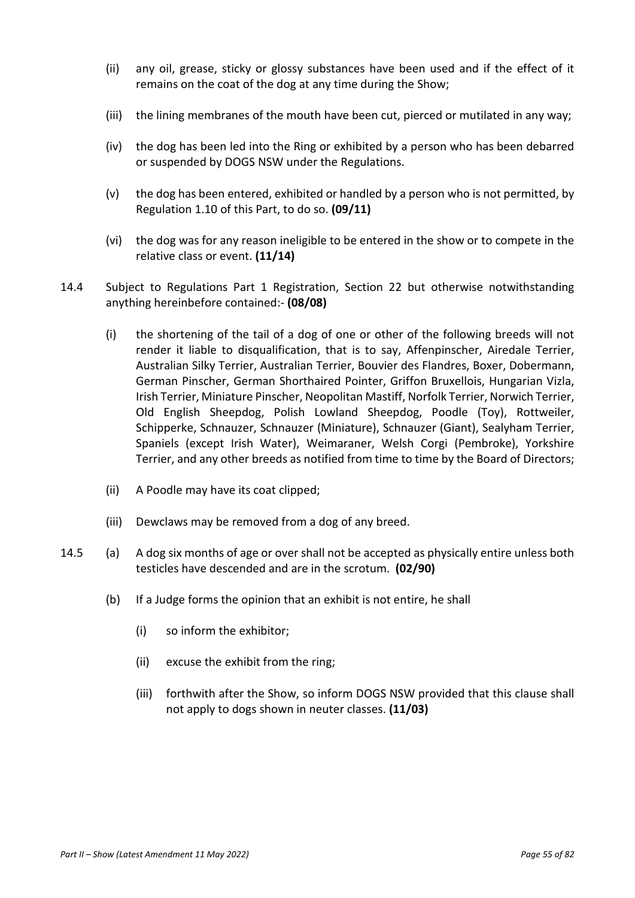- (ii) any oil, grease, sticky or glossy substances have been used and if the effect of it remains on the coat of the dog at any time during the Show;
- (iii) the lining membranes of the mouth have been cut, pierced or mutilated in any way;
- (iv) the dog has been led into the Ring or exhibited by a person who has been debarred or suspended by DOGS NSW under the Regulations.
- (v) the dog has been entered, exhibited or handled by a person who is not permitted, by Regulation 1.10 of this Part, to do so. **(09/11)**
- (vi) the dog was for any reason ineligible to be entered in the show or to compete in the relative class or event. **(11/14)**
- 14.4 Subject to Regulations Part 1 Registration, Section 22 but otherwise notwithstanding anything hereinbefore contained:- **(08/08)** 
	- (i) the shortening of the tail of a dog of one or other of the following breeds will not render it liable to disqualification, that is to say, Affenpinscher, Airedale Terrier, Australian Silky Terrier, Australian Terrier, Bouvier des Flandres, Boxer, Dobermann, German Pinscher, German Shorthaired Pointer, Griffon Bruxellois, Hungarian Vizla, Irish Terrier, Miniature Pinscher, Neopolitan Mastiff, Norfolk Terrier, Norwich Terrier, Old English Sheepdog, Polish Lowland Sheepdog, Poodle (Toy), Rottweiler, Schipperke, Schnauzer, Schnauzer (Miniature), Schnauzer (Giant), Sealyham Terrier, Spaniels (except Irish Water), Weimaraner, Welsh Corgi (Pembroke), Yorkshire Terrier, and any other breeds as notified from time to time by the Board of Directors;
	- (ii) A Poodle may have its coat clipped;
	- (iii) Dewclaws may be removed from a dog of any breed.
- 14.5 (a) A dog six months of age or over shall not be accepted as physically entire unless both testicles have descended and are in the scrotum. **(02/90)**
	- (b) If a Judge forms the opinion that an exhibit is not entire, he shall
		- (i) so inform the exhibitor;
		- (ii) excuse the exhibit from the ring;
		- (iii) forthwith after the Show, so inform DOGS NSW provided that this clause shall not apply to dogs shown in neuter classes. **(11/03)**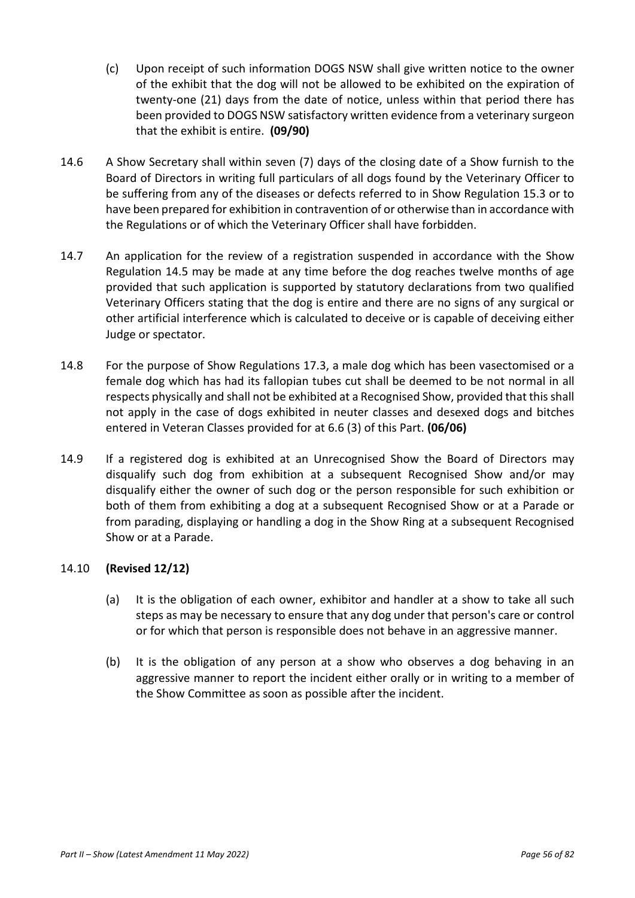- (c) Upon receipt of such information DOGS NSW shall give written notice to the owner of the exhibit that the dog will not be allowed to be exhibited on the expiration of twenty-one (21) days from the date of notice, unless within that period there has been provided to DOGS NSW satisfactory written evidence from a veterinary surgeon that the exhibit is entire. **(09/90)**
- 14.6 A Show Secretary shall within seven (7) days of the closing date of a Show furnish to the Board of Directors in writing full particulars of all dogs found by the Veterinary Officer to be suffering from any of the diseases or defects referred to in Show Regulation 15.3 or to have been prepared for exhibition in contravention of or otherwise than in accordance with the Regulations or of which the Veterinary Officer shall have forbidden.
- 14.7 An application for the review of a registration suspended in accordance with the Show Regulation 14.5 may be made at any time before the dog reaches twelve months of age provided that such application is supported by statutory declarations from two qualified Veterinary Officers stating that the dog is entire and there are no signs of any surgical or other artificial interference which is calculated to deceive or is capable of deceiving either Judge or spectator.
- 14.8 For the purpose of Show Regulations 17.3, a male dog which has been vasectomised or a female dog which has had its fallopian tubes cut shall be deemed to be not normal in all respects physically and shall not be exhibited at a Recognised Show, provided that this shall not apply in the case of dogs exhibited in neuter classes and desexed dogs and bitches entered in Veteran Classes provided for at 6.6 (3) of this Part. **(06/06)**
- 14.9 If a registered dog is exhibited at an Unrecognised Show the Board of Directors may disqualify such dog from exhibition at a subsequent Recognised Show and/or may disqualify either the owner of such dog or the person responsible for such exhibition or both of them from exhibiting a dog at a subsequent Recognised Show or at a Parade or from parading, displaying or handling a dog in the Show Ring at a subsequent Recognised Show or at a Parade.

## 14.10 **(Revised 12/12)**

- (a) It is the obligation of each owner, exhibitor and handler at a show to take all such steps as may be necessary to ensure that any dog under that person's care or control or for which that person is responsible does not behave in an aggressive manner.
- (b) It is the obligation of any person at a show who observes a dog behaving in an aggressive manner to report the incident either orally or in writing to a member of the Show Committee as soon as possible after the incident.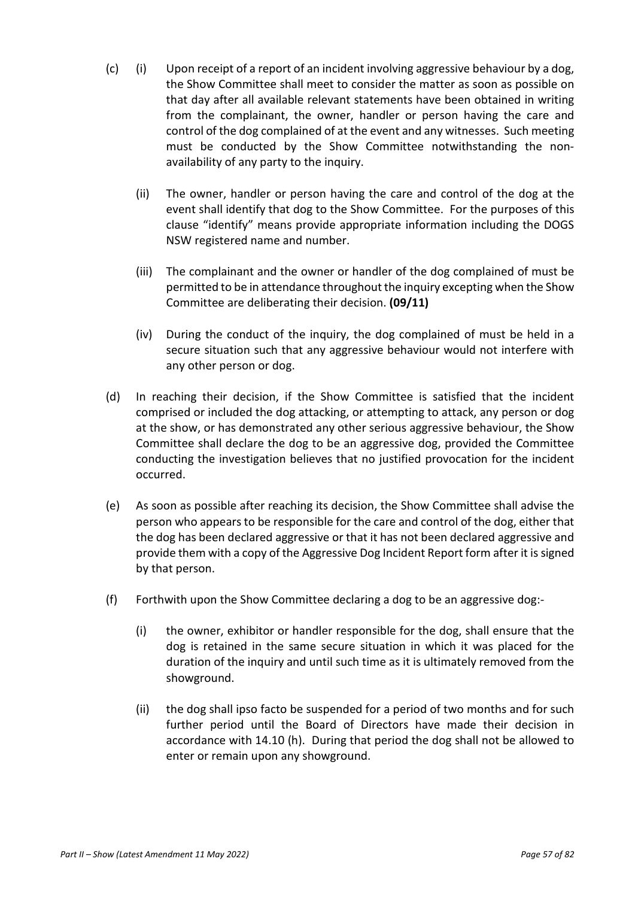- (c) (i) Upon receipt of a report of an incident involving aggressive behaviour by a dog, the Show Committee shall meet to consider the matter as soon as possible on that day after all available relevant statements have been obtained in writing from the complainant, the owner, handler or person having the care and control of the dog complained of at the event and any witnesses. Such meeting must be conducted by the Show Committee notwithstanding the nonavailability of any party to the inquiry.
	- (ii) The owner, handler or person having the care and control of the dog at the event shall identify that dog to the Show Committee. For the purposes of this clause "identify" means provide appropriate information including the DOGS NSW registered name and number.
	- (iii) The complainant and the owner or handler of the dog complained of must be permitted to be in attendance throughout the inquiry excepting when the Show Committee are deliberating their decision. **(09/11)**
	- (iv) During the conduct of the inquiry, the dog complained of must be held in a secure situation such that any aggressive behaviour would not interfere with any other person or dog.
- (d) In reaching their decision, if the Show Committee is satisfied that the incident comprised or included the dog attacking, or attempting to attack, any person or dog at the show, or has demonstrated any other serious aggressive behaviour, the Show Committee shall declare the dog to be an aggressive dog, provided the Committee conducting the investigation believes that no justified provocation for the incident occurred.
- (e) As soon as possible after reaching its decision, the Show Committee shall advise the person who appears to be responsible for the care and control of the dog, either that the dog has been declared aggressive or that it has not been declared aggressive and provide them with a copy of the Aggressive Dog Incident Report form after it is signed by that person.
- (f) Forthwith upon the Show Committee declaring a dog to be an aggressive dog:-
	- (i) the owner, exhibitor or handler responsible for the dog, shall ensure that the dog is retained in the same secure situation in which it was placed for the duration of the inquiry and until such time as it is ultimately removed from the showground.
	- (ii) the dog shall ipso facto be suspended for a period of two months and for such further period until the Board of Directors have made their decision in accordance with 14.10 (h). During that period the dog shall not be allowed to enter or remain upon any showground.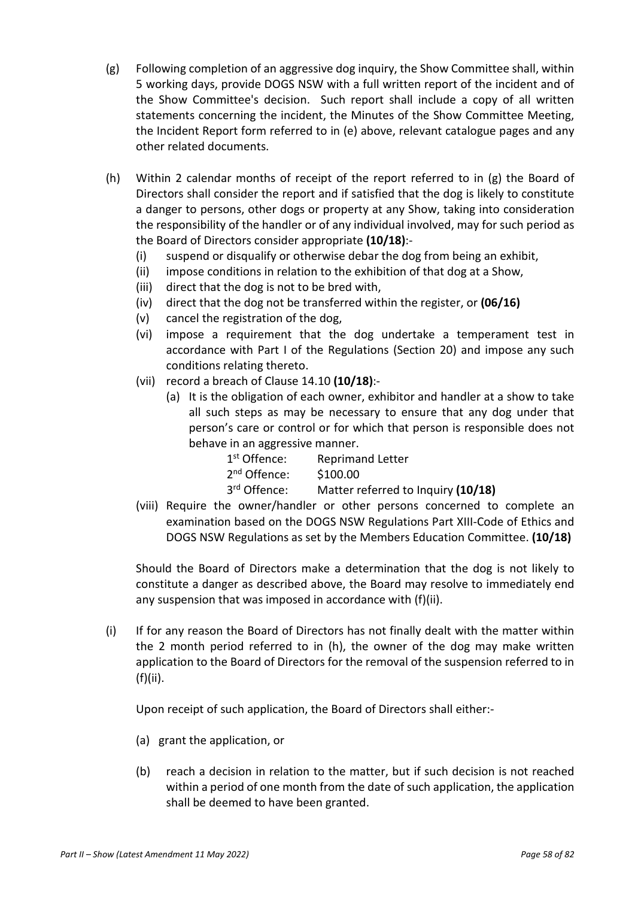- (g) Following completion of an aggressive dog inquiry, the Show Committee shall, within 5 working days, provide DOGS NSW with a full written report of the incident and of the Show Committee's decision. Such report shall include a copy of all written statements concerning the incident, the Minutes of the Show Committee Meeting, the Incident Report form referred to in (e) above, relevant catalogue pages and any other related documents.
- (h) Within 2 calendar months of receipt of the report referred to in (g) the Board of Directors shall consider the report and if satisfied that the dog is likely to constitute a danger to persons, other dogs or property at any Show, taking into consideration the responsibility of the handler or of any individual involved, may for such period as the Board of Directors consider appropriate **(10/18)**:-
	- (i) suspend or disqualify or otherwise debar the dog from being an exhibit,
	- (ii) impose conditions in relation to the exhibition of that dog at a Show,
	- (iii) direct that the dog is not to be bred with,
	- (iv) direct that the dog not be transferred within the register, or **(06/16)**
	- (v) cancel the registration of the dog,
	- (vi) impose a requirement that the dog undertake a temperament test in accordance with Part I of the Regulations (Section 20) and impose any such conditions relating thereto.
	- (vii) record a breach of Clause 14.10 **(10/18)**:-
		- (a) It is the obligation of each owner, exhibitor and handler at a show to take all such steps as may be necessary to ensure that any dog under that person's care or control or for which that person is responsible does not behave in an aggressive manner.
			- 1<sup>st</sup> Offence: Reprimand Letter
			- 2 nd Offence: \$100.00
			- 3<sup>rd</sup> Offence: Matter referred to Inquiry **(10/18)**
	- (viii) Require the owner/handler or other persons concerned to complete an examination based on the DOGS NSW Regulations Part XIII-Code of Ethics and DOGS NSW Regulations as set by the Members Education Committee. **(10/18)**

Should the Board of Directors make a determination that the dog is not likely to constitute a danger as described above, the Board may resolve to immediately end any suspension that was imposed in accordance with (f)(ii).

(i) If for any reason the Board of Directors has not finally dealt with the matter within the 2 month period referred to in (h), the owner of the dog may make written application to the Board of Directors for the removal of the suspension referred to in (f)(ii).

Upon receipt of such application, the Board of Directors shall either:-

- (a) grant the application, or
- (b) reach a decision in relation to the matter, but if such decision is not reached within a period of one month from the date of such application, the application shall be deemed to have been granted.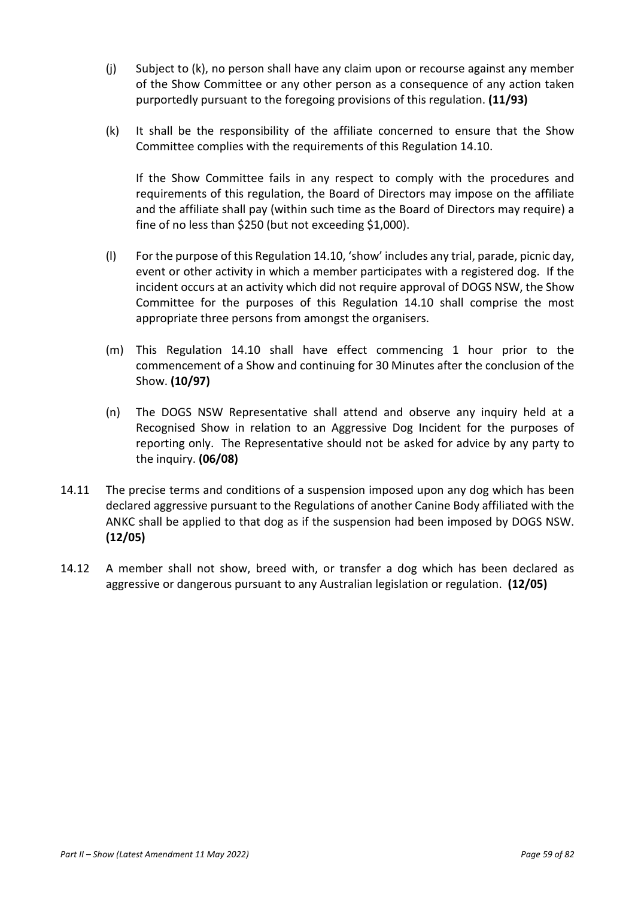- (j) Subject to (k), no person shall have any claim upon or recourse against any member of the Show Committee or any other person as a consequence of any action taken purportedly pursuant to the foregoing provisions of this regulation. **(11/93)**
- (k) It shall be the responsibility of the affiliate concerned to ensure that the Show Committee complies with the requirements of this Regulation 14.10.

If the Show Committee fails in any respect to comply with the procedures and requirements of this regulation, the Board of Directors may impose on the affiliate and the affiliate shall pay (within such time as the Board of Directors may require) a fine of no less than \$250 (but not exceeding \$1,000).

- (l) For the purpose of this Regulation 14.10, 'show' includes any trial, parade, picnic day, event or other activity in which a member participates with a registered dog. If the incident occurs at an activity which did not require approval of DOGS NSW, the Show Committee for the purposes of this Regulation 14.10 shall comprise the most appropriate three persons from amongst the organisers.
- (m) This Regulation 14.10 shall have effect commencing 1 hour prior to the commencement of a Show and continuing for 30 Minutes after the conclusion of the Show. **(10/97)**
- (n) The DOGS NSW Representative shall attend and observe any inquiry held at a Recognised Show in relation to an Aggressive Dog Incident for the purposes of reporting only. The Representative should not be asked for advice by any party to the inquiry. **(06/08)**
- 14.11 The precise terms and conditions of a suspension imposed upon any dog which has been declared aggressive pursuant to the Regulations of another Canine Body affiliated with the ANKC shall be applied to that dog as if the suspension had been imposed by DOGS NSW. **(12/05)**
- 14.12 A member shall not show, breed with, or transfer a dog which has been declared as aggressive or dangerous pursuant to any Australian legislation or regulation. **(12/05)**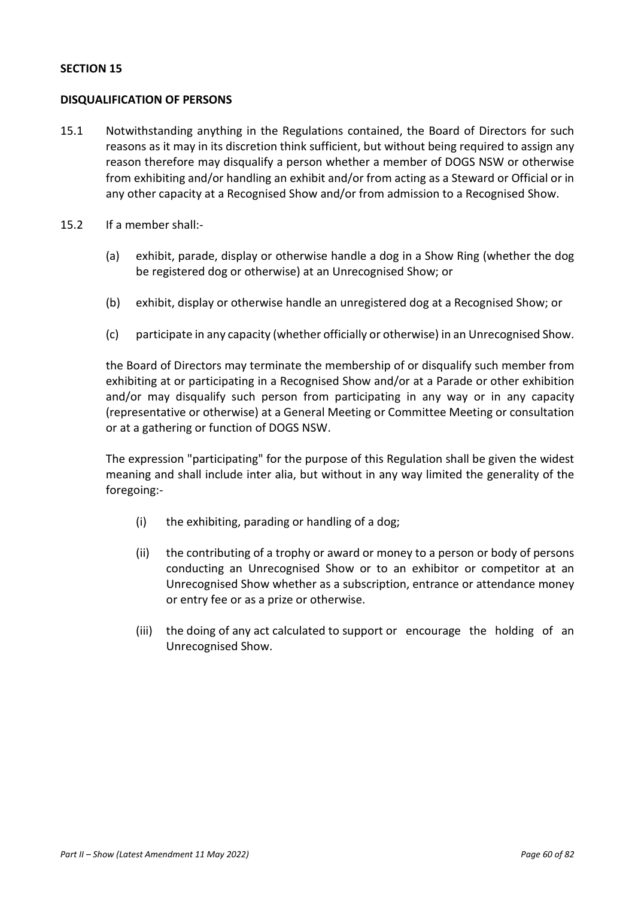#### **DISQUALIFICATION OF PERSONS**

- 15.1 Notwithstanding anything in the Regulations contained, the Board of Directors for such reasons as it may in its discretion think sufficient, but without being required to assign any reason therefore may disqualify a person whether a member of DOGS NSW or otherwise from exhibiting and/or handling an exhibit and/or from acting as a Steward or Official or in any other capacity at a Recognised Show and/or from admission to a Recognised Show.
- 15.2 If a member shall:-
	- (a) exhibit, parade, display or otherwise handle a dog in a Show Ring (whether the dog be registered dog or otherwise) at an Unrecognised Show; or
	- (b) exhibit, display or otherwise handle an unregistered dog at a Recognised Show; or
	- (c) participate in any capacity (whether officially or otherwise) in an Unrecognised Show.

the Board of Directors may terminate the membership of or disqualify such member from exhibiting at or participating in a Recognised Show and/or at a Parade or other exhibition and/or may disqualify such person from participating in any way or in any capacity (representative or otherwise) at a General Meeting or Committee Meeting or consultation or at a gathering or function of DOGS NSW.

The expression "participating" for the purpose of this Regulation shall be given the widest meaning and shall include inter alia, but without in any way limited the generality of the foregoing:-

- (i) the exhibiting, parading or handling of a dog;
- (ii) the contributing of a trophy or award or money to a person or body of persons conducting an Unrecognised Show or to an exhibitor or competitor at an Unrecognised Show whether as a subscription, entrance or attendance money or entry fee or as a prize or otherwise.
- (iii) the doing of any act calculated to support or encourage the holding of an Unrecognised Show.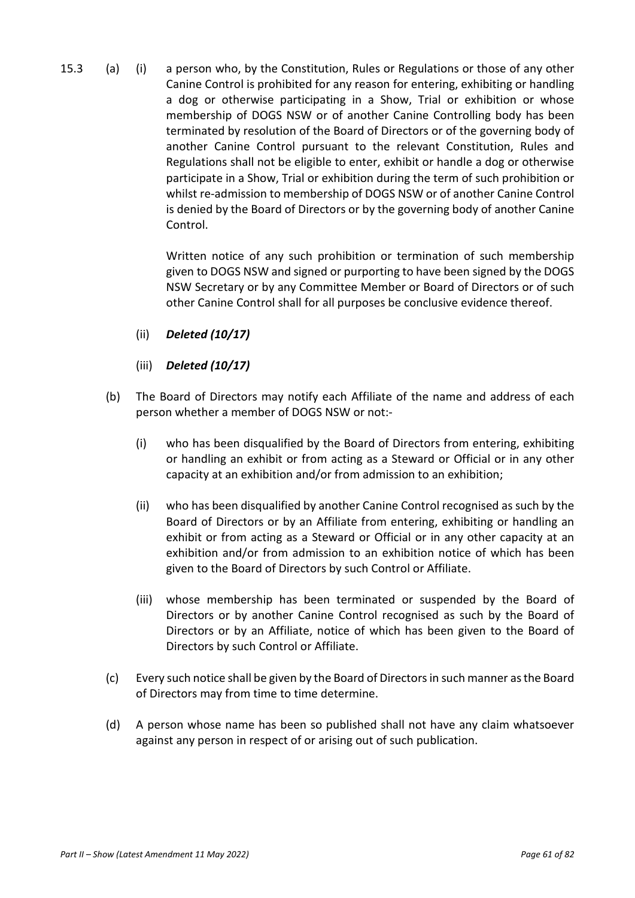15.3 (a) (i) a person who, by the Constitution, Rules or Regulations or those of any other Canine Control is prohibited for any reason for entering, exhibiting or handling a dog or otherwise participating in a Show, Trial or exhibition or whose membership of DOGS NSW or of another Canine Controlling body has been terminated by resolution of the Board of Directors or of the governing body of another Canine Control pursuant to the relevant Constitution, Rules and Regulations shall not be eligible to enter, exhibit or handle a dog or otherwise participate in a Show, Trial or exhibition during the term of such prohibition or whilst re-admission to membership of DOGS NSW or of another Canine Control is denied by the Board of Directors or by the governing body of another Canine Control.

> Written notice of any such prohibition or termination of such membership given to DOGS NSW and signed or purporting to have been signed by the DOGS NSW Secretary or by any Committee Member or Board of Directors or of such other Canine Control shall for all purposes be conclusive evidence thereof.

- (ii) *Deleted (10/17)*
- (iii) *Deleted (10/17)*
- (b) The Board of Directors may notify each Affiliate of the name and address of each person whether a member of DOGS NSW or not:-
	- (i) who has been disqualified by the Board of Directors from entering, exhibiting or handling an exhibit or from acting as a Steward or Official or in any other capacity at an exhibition and/or from admission to an exhibition;
	- (ii) who has been disqualified by another Canine Control recognised as such by the Board of Directors or by an Affiliate from entering, exhibiting or handling an exhibit or from acting as a Steward or Official or in any other capacity at an exhibition and/or from admission to an exhibition notice of which has been given to the Board of Directors by such Control or Affiliate.
	- (iii) whose membership has been terminated or suspended by the Board of Directors or by another Canine Control recognised as such by the Board of Directors or by an Affiliate, notice of which has been given to the Board of Directors by such Control or Affiliate.
- (c) Every such notice shall be given by the Board of Directors in such manner as the Board of Directors may from time to time determine.
- (d) A person whose name has been so published shall not have any claim whatsoever against any person in respect of or arising out of such publication.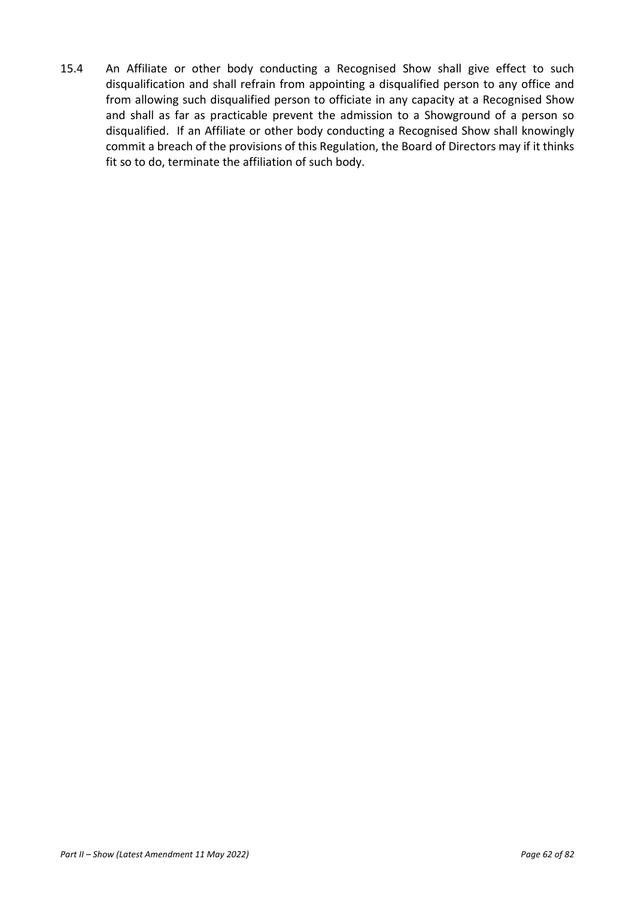15.4 An Affiliate or other body conducting a Recognised Show shall give effect to such disqualification and shall refrain from appointing a disqualified person to any office and from allowing such disqualified person to officiate in any capacity at a Recognised Show and shall as far as practicable prevent the admission to a Showground of a person so disqualified. If an Affiliate or other body conducting a Recognised Show shall knowingly commit a breach of the provisions of this Regulation, the Board of Directors may if it thinks fit so to do, terminate the affiliation of such body.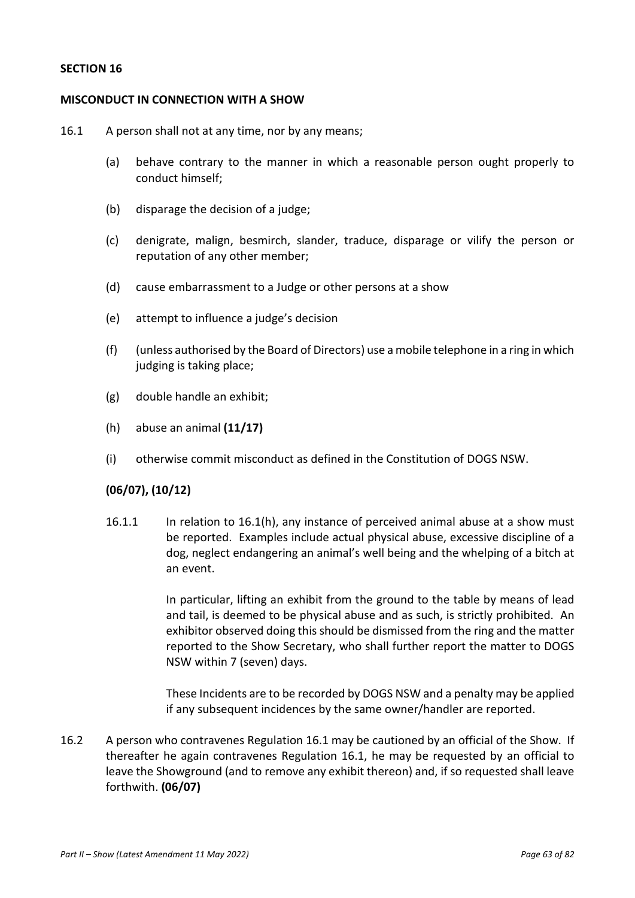#### **MISCONDUCT IN CONNECTION WITH A SHOW**

- 16.1 A person shall not at any time, nor by any means;
	- (a) behave contrary to the manner in which a reasonable person ought properly to conduct himself;
	- (b) disparage the decision of a judge;
	- (c) denigrate, malign, besmirch, slander, traduce, disparage or vilify the person or reputation of any other member;
	- (d) cause embarrassment to a Judge or other persons at a show
	- (e) attempt to influence a judge's decision
	- (f) (unless authorised by the Board of Directors) use a mobile telephone in a ring in which judging is taking place;
	- (g) double handle an exhibit;
	- (h) abuse an animal **(11/17)**
	- (i) otherwise commit misconduct as defined in the Constitution of DOGS NSW.

## **(06/07), (10/12)**

16.1.1 In relation to 16.1(h), any instance of perceived animal abuse at a show must be reported. Examples include actual physical abuse, excessive discipline of a dog, neglect endangering an animal's well being and the whelping of a bitch at an event.

> In particular, lifting an exhibit from the ground to the table by means of lead and tail, is deemed to be physical abuse and as such, is strictly prohibited. An exhibitor observed doing this should be dismissed from the ring and the matter reported to the Show Secretary, who shall further report the matter to DOGS NSW within 7 (seven) days.

> These Incidents are to be recorded by DOGS NSW and a penalty may be applied if any subsequent incidences by the same owner/handler are reported.

16.2 A person who contravenes Regulation 16.1 may be cautioned by an official of the Show. If thereafter he again contravenes Regulation 16.1, he may be requested by an official to leave the Showground (and to remove any exhibit thereon) and, if so requested shall leave forthwith. **(06/07)**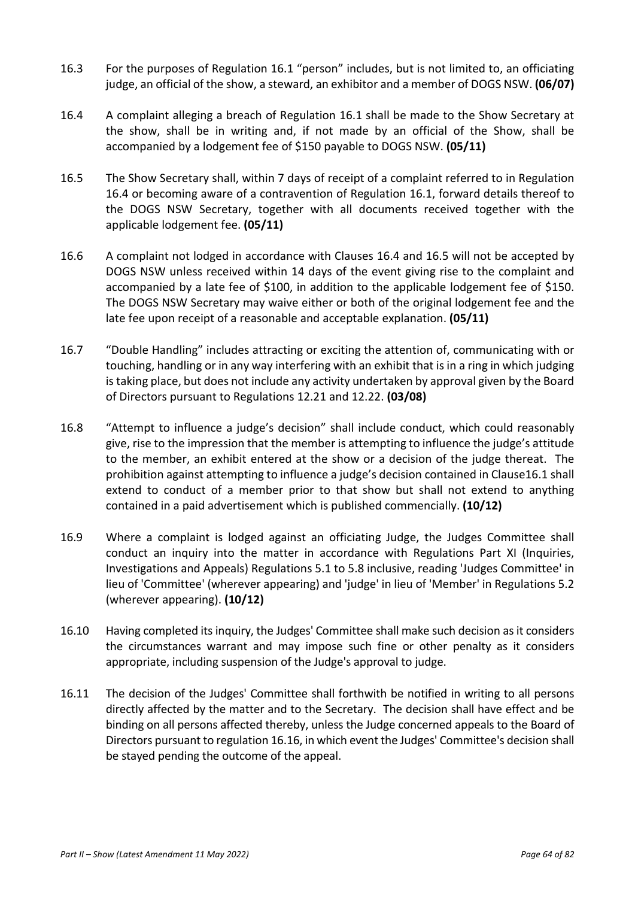- 16.3 For the purposes of Regulation 16.1 "person" includes, but is not limited to, an officiating judge, an official of the show, a steward, an exhibitor and a member of DOGS NSW. **(06/07)**
- 16.4 A complaint alleging a breach of Regulation 16.1 shall be made to the Show Secretary at the show, shall be in writing and, if not made by an official of the Show, shall be accompanied by a lodgement fee of \$150 payable to DOGS NSW. **(05/11)**
- 16.5 The Show Secretary shall, within 7 days of receipt of a complaint referred to in Regulation 16.4 or becoming aware of a contravention of Regulation 16.1, forward details thereof to the DOGS NSW Secretary, together with all documents received together with the applicable lodgement fee. **(05/11)**
- 16.6 A complaint not lodged in accordance with Clauses 16.4 and 16.5 will not be accepted by DOGS NSW unless received within 14 days of the event giving rise to the complaint and accompanied by a late fee of \$100, in addition to the applicable lodgement fee of \$150. The DOGS NSW Secretary may waive either or both of the original lodgement fee and the late fee upon receipt of a reasonable and acceptable explanation. **(05/11)**
- 16.7 "Double Handling" includes attracting or exciting the attention of, communicating with or touching, handling or in any way interfering with an exhibit that is in a ring in which judging is taking place, but does not include any activity undertaken by approval given by the Board of Directors pursuant to Regulations 12.21 and 12.22. **(03/08)**
- 16.8 "Attempt to influence a judge's decision" shall include conduct, which could reasonably give, rise to the impression that the member is attempting to influence the judge's attitude to the member, an exhibit entered at the show or a decision of the judge thereat. The prohibition against attempting to influence a judge's decision contained in Clause16.1 shall extend to conduct of a member prior to that show but shall not extend to anything contained in a paid advertisement which is published commencially. **(10/12)**
- 16.9 Where a complaint is lodged against an officiating Judge, the Judges Committee shall conduct an inquiry into the matter in accordance with Regulations Part XI (Inquiries, Investigations and Appeals) Regulations 5.1 to 5.8 inclusive, reading 'Judges Committee' in lieu of 'Committee' (wherever appearing) and 'judge' in lieu of 'Member' in Regulations 5.2 (wherever appearing). **(10/12)**
- 16.10 Having completed its inquiry, the Judges' Committee shall make such decision as it considers the circumstances warrant and may impose such fine or other penalty as it considers appropriate, including suspension of the Judge's approval to judge.
- 16.11 The decision of the Judges' Committee shall forthwith be notified in writing to all persons directly affected by the matter and to the Secretary. The decision shall have effect and be binding on all persons affected thereby, unless the Judge concerned appeals to the Board of Directors pursuant to regulation 16.16, in which event the Judges' Committee's decision shall be stayed pending the outcome of the appeal.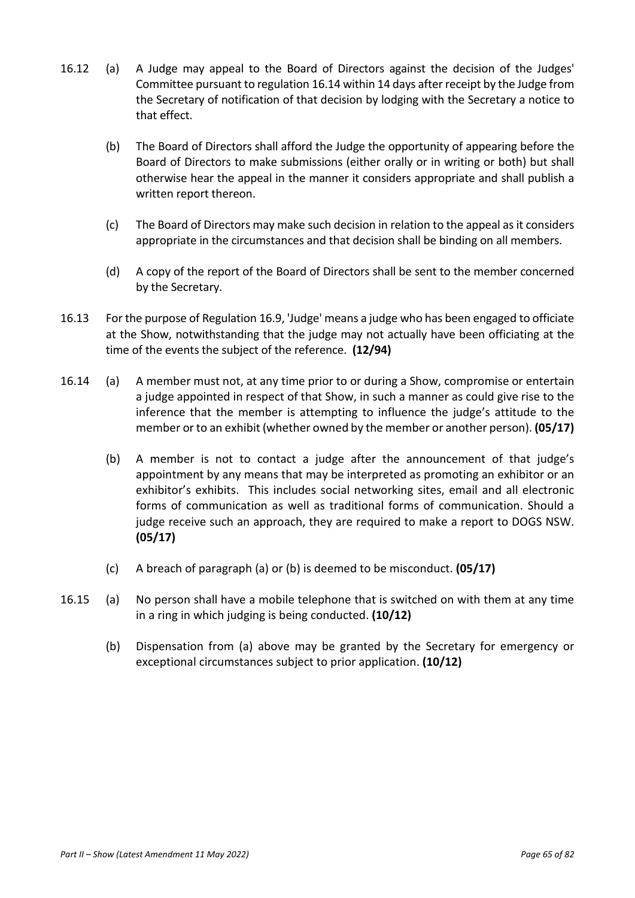- 16.12 (a) A Judge may appeal to the Board of Directors against the decision of the Judges' Committee pursuant to regulation 16.14 within 14 days after receipt by the Judge from the Secretary of notification of that decision by lodging with the Secretary a notice to that effect.
	- (b) The Board of Directors shall afford the Judge the opportunity of appearing before the Board of Directors to make submissions (either orally or in writing or both) but shall otherwise hear the appeal in the manner it considers appropriate and shall publish a written report thereon.
	- (c) The Board of Directors may make such decision in relation to the appeal as it considers appropriate in the circumstances and that decision shall be binding on all members.
	- (d) A copy of the report of the Board of Directors shall be sent to the member concerned by the Secretary.
- 16.13 For the purpose of Regulation 16.9, 'Judge' means a judge who has been engaged to officiate at the Show, notwithstanding that the judge may not actually have been officiating at the time of the events the subject of the reference. **(12/94)**
- 16.14 (a) A member must not, at any time prior to or during a Show, compromise or entertain a judge appointed in respect of that Show, in such a manner as could give rise to the inference that the member is attempting to influence the judge's attitude to the member or to an exhibit (whether owned by the member or another person). **(05/17)**
	- (b) A member is not to contact a judge after the announcement of that judge's appointment by any means that may be interpreted as promoting an exhibitor or an exhibitor's exhibits. This includes social networking sites, email and all electronic forms of communication as well as traditional forms of communication. Should a judge receive such an approach, they are required to make a report to DOGS NSW. **(05/17)**
	- (c) A breach of paragraph (a) or (b) is deemed to be misconduct. **(05/17)**
- 16.15 (a) No person shall have a mobile telephone that is switched on with them at any time in a ring in which judging is being conducted. **(10/12)**
	- (b) Dispensation from (a) above may be granted by the Secretary for emergency or exceptional circumstances subject to prior application. **(10/12)**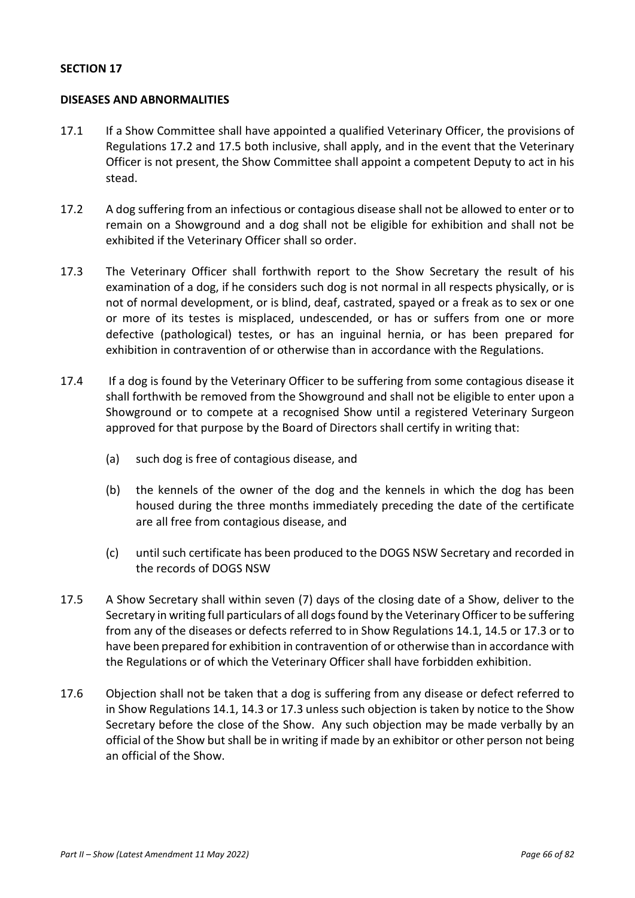#### **DISEASES AND ABNORMALITIES**

- 17.1 If a Show Committee shall have appointed a qualified Veterinary Officer, the provisions of Regulations 17.2 and 17.5 both inclusive, shall apply, and in the event that the Veterinary Officer is not present, the Show Committee shall appoint a competent Deputy to act in his stead.
- 17.2 A dog suffering from an infectious or contagious disease shall not be allowed to enter or to remain on a Showground and a dog shall not be eligible for exhibition and shall not be exhibited if the Veterinary Officer shall so order.
- 17.3 The Veterinary Officer shall forthwith report to the Show Secretary the result of his examination of a dog, if he considers such dog is not normal in all respects physically, or is not of normal development, or is blind, deaf, castrated, spayed or a freak as to sex or one or more of its testes is misplaced, undescended, or has or suffers from one or more defective (pathological) testes, or has an inguinal hernia, or has been prepared for exhibition in contravention of or otherwise than in accordance with the Regulations.
- 17.4 If a dog is found by the Veterinary Officer to be suffering from some contagious disease it shall forthwith be removed from the Showground and shall not be eligible to enter upon a Showground or to compete at a recognised Show until a registered Veterinary Surgeon approved for that purpose by the Board of Directors shall certify in writing that:
	- (a) such dog is free of contagious disease, and
	- (b) the kennels of the owner of the dog and the kennels in which the dog has been housed during the three months immediately preceding the date of the certificate are all free from contagious disease, and
	- (c) until such certificate has been produced to the DOGS NSW Secretary and recorded in the records of DOGS NSW
- 17.5 A Show Secretary shall within seven (7) days of the closing date of a Show, deliver to the Secretary in writing full particulars of all dogs found by the Veterinary Officer to be suffering from any of the diseases or defects referred to in Show Regulations 14.1, 14.5 or 17.3 or to have been prepared for exhibition in contravention of or otherwise than in accordance with the Regulations or of which the Veterinary Officer shall have forbidden exhibition.
- 17.6 Objection shall not be taken that a dog is suffering from any disease or defect referred to in Show Regulations 14.1, 14.3 or 17.3 unless such objection is taken by notice to the Show Secretary before the close of the Show. Any such objection may be made verbally by an official of the Show but shall be in writing if made by an exhibitor or other person not being an official of the Show.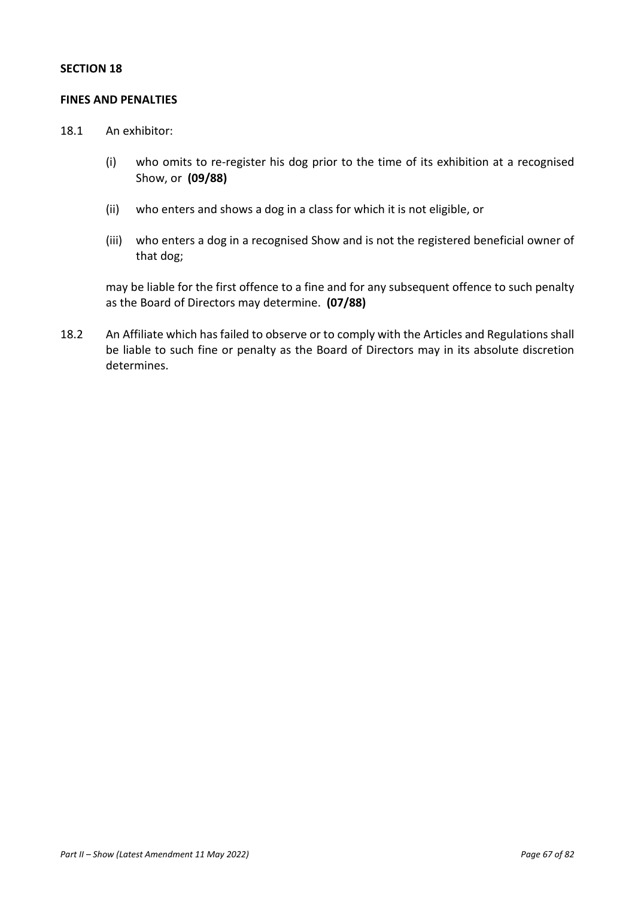#### **FINES AND PENALTIES**

18.1 An exhibitor:

- (i) who omits to re-register his dog prior to the time of its exhibition at a recognised Show, or **(09/88)**
- (ii) who enters and shows a dog in a class for which it is not eligible, or
- (iii) who enters a dog in a recognised Show and is not the registered beneficial owner of that dog;

may be liable for the first offence to a fine and for any subsequent offence to such penalty as the Board of Directors may determine. **(07/88)**

18.2 An Affiliate which has failed to observe or to comply with the Articles and Regulations shall be liable to such fine or penalty as the Board of Directors may in its absolute discretion determines.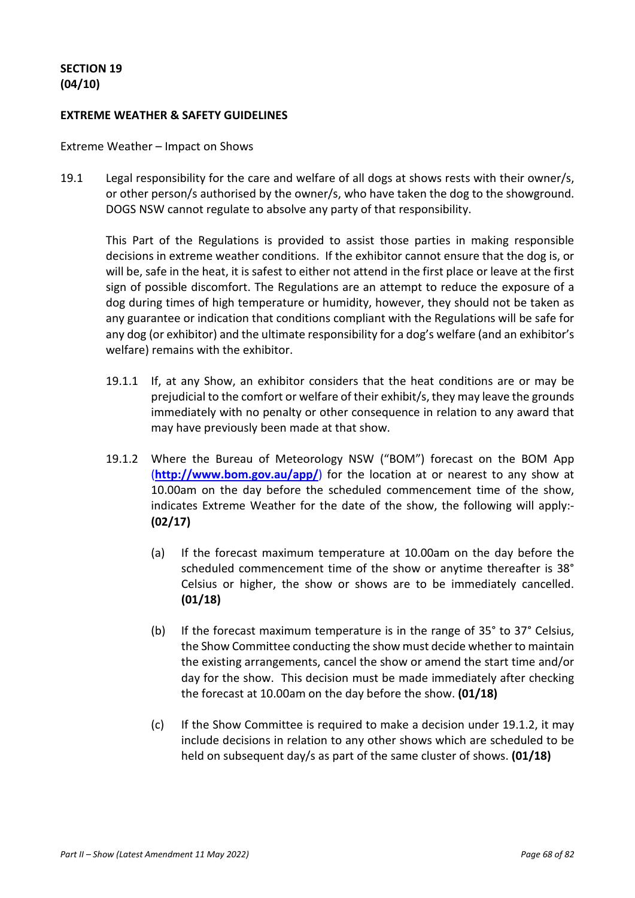# **SECTION 19 (04/10)**

#### **EXTREME WEATHER & SAFETY GUIDELINES**

Extreme Weather – Impact on Shows

19.1 Legal responsibility for the care and welfare of all dogs at shows rests with their owner/s, or other person/s authorised by the owner/s, who have taken the dog to the showground. DOGS NSW cannot regulate to absolve any party of that responsibility.

This Part of the Regulations is provided to assist those parties in making responsible decisions in extreme weather conditions. If the exhibitor cannot ensure that the dog is, or will be, safe in the heat, it is safest to either not attend in the first place or leave at the first sign of possible discomfort. The Regulations are an attempt to reduce the exposure of a dog during times of high temperature or humidity, however, they should not be taken as any guarantee or indication that conditions compliant with the Regulations will be safe for any dog (or exhibitor) and the ultimate responsibility for a dog's welfare (and an exhibitor's welfare) remains with the exhibitor.

- 19.1.1 If, at any Show, an exhibitor considers that the heat conditions are or may be prejudicial to the comfort or welfare of their exhibit/s, they may leave the grounds immediately with no penalty or other consequence in relation to any award that may have previously been made at that show.
- 19.1.2 Where the Bureau of Meteorology NSW ("BOM") forecast on the BOM App (**http://www.bom.gov.au/app/**) for the location at or nearest to any show at 10.00am on the day before the scheduled commencement time of the show, indicates Extreme Weather for the date of the show, the following will apply:- **(02/17)**
	- (a) If the forecast maximum temperature at 10.00am on the day before the scheduled commencement time of the show or anytime thereafter is 38° Celsius or higher, the show or shows are to be immediately cancelled. **(01/18)**
	- (b) If the forecast maximum temperature is in the range of 35° to 37° Celsius, the Show Committee conducting the show must decide whether to maintain the existing arrangements, cancel the show or amend the start time and/or day for the show. This decision must be made immediately after checking the forecast at 10.00am on the day before the show. **(01/18)**
	- (c) If the Show Committee is required to make a decision under 19.1.2, it may include decisions in relation to any other shows which are scheduled to be held on subsequent day/s as part of the same cluster of shows. **(01/18)**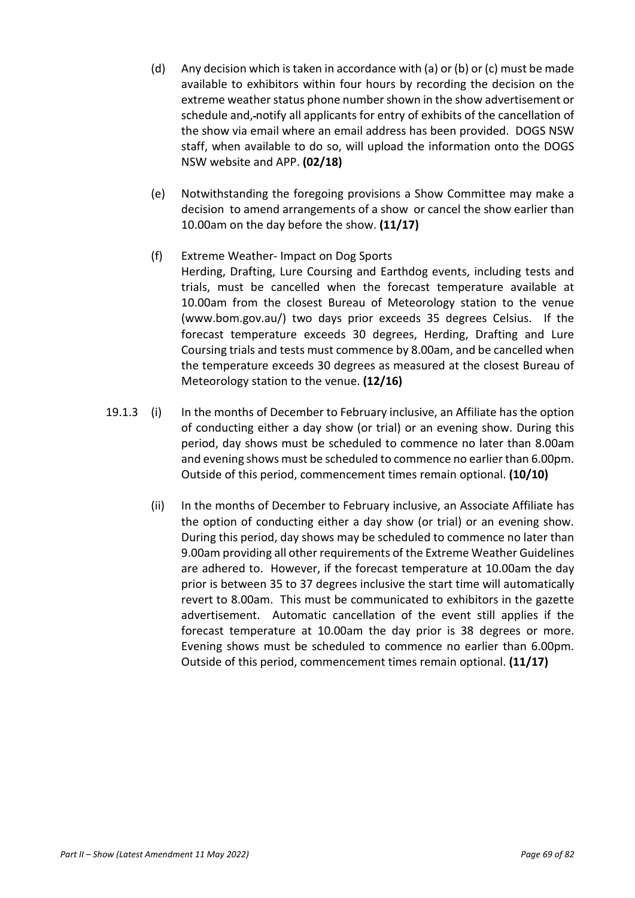- (d) Any decision which is taken in accordance with (a) or (b) or (c) must be made available to exhibitors within four hours by recording the decision on the extreme weather status phone number shown in the show advertisement or schedule and, notify all applicants for entry of exhibits of the cancellation of the show via email where an email address has been provided. DOGS NSW staff, when available to do so, will upload the information onto the DOGS NSW website and APP. **(02/18)**
- (e) Notwithstanding the foregoing provisions a Show Committee may make a decision to amend arrangements of a show or cancel the show earlier than 10.00am on the day before the show. **(11/17)**
- (f) Extreme Weather- Impact on Dog Sports Herding, Drafting, Lure Coursing and Earthdog events, including tests and trials, must be cancelled when the forecast temperature available at 10.00am from the closest Bureau of Meteorology station to the venue (www.bom.gov.au/) two days prior exceeds 35 degrees Celsius. If the forecast temperature exceeds 30 degrees, Herding, Drafting and Lure Coursing trials and tests must commence by 8.00am, and be cancelled when the temperature exceeds 30 degrees as measured at the closest Bureau of Meteorology station to the venue. **(12/16)**
- 19.1.3 (i) In the months of December to February inclusive, an Affiliate has the option of conducting either a day show (or trial) or an evening show. During this period, day shows must be scheduled to commence no later than 8.00am and evening shows must be scheduled to commence no earlier than 6.00pm. Outside of this period, commencement times remain optional. **(10/10)**
	- (ii) In the months of December to February inclusive, an Associate Affiliate has the option of conducting either a day show (or trial) or an evening show. During this period, day shows may be scheduled to commence no later than 9.00am providing all other requirements of the Extreme Weather Guidelines are adhered to. However, if the forecast temperature at 10.00am the day prior is between 35 to 37 degrees inclusive the start time will automatically revert to 8.00am. This must be communicated to exhibitors in the gazette advertisement. Automatic cancellation of the event still applies if the forecast temperature at 10.00am the day prior is 38 degrees or more. Evening shows must be scheduled to commence no earlier than 6.00pm. Outside of this period, commencement times remain optional. **(11/17)**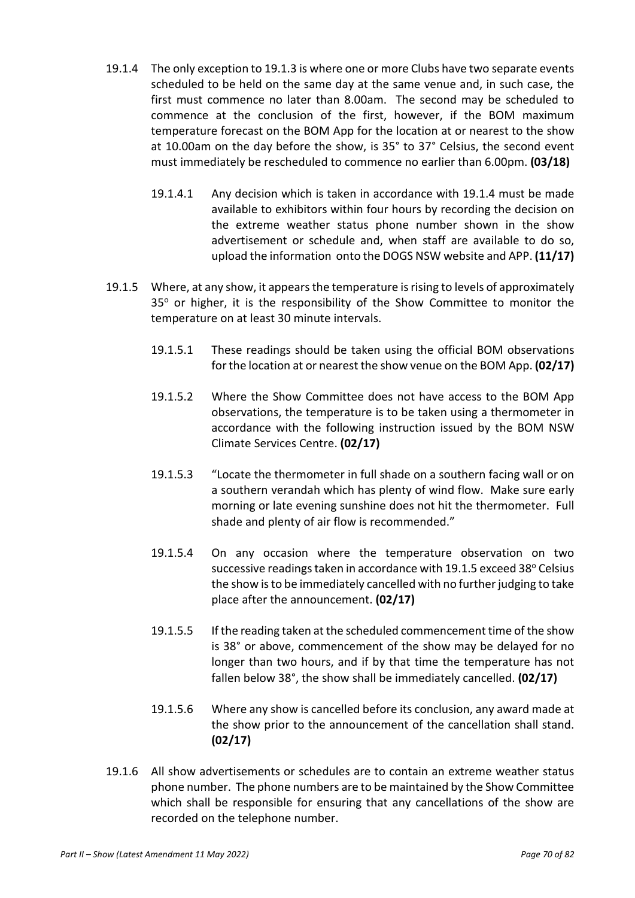- 19.1.4 The only exception to 19.1.3 is where one or more Clubs have two separate events scheduled to be held on the same day at the same venue and, in such case, the first must commence no later than 8.00am. The second may be scheduled to commence at the conclusion of the first, however, if the BOM maximum temperature forecast on the BOM App for the location at or nearest to the show at 10.00am on the day before the show, is 35° to 37° Celsius, the second event must immediately be rescheduled to commence no earlier than 6.00pm. **(03/18)**
	- 19.1.4.1 Any decision which is taken in accordance with 19.1.4 must be made available to exhibitors within four hours by recording the decision on the extreme weather status phone number shown in the show advertisement or schedule and, when staff are available to do so, upload the information onto the DOGS NSW website and APP. **(11/17)**
- 19.1.5 Where, at any show, it appears the temperature is rising to levels of approximately 35° or higher, it is the responsibility of the Show Committee to monitor the temperature on at least 30 minute intervals.
	- 19.1.5.1 These readings should be taken using the official BOM observations for the location at or nearest the show venue on the BOM App. **(02/17)**
	- 19.1.5.2 Where the Show Committee does not have access to the BOM App observations, the temperature is to be taken using a thermometer in accordance with the following instruction issued by the BOM NSW Climate Services Centre. **(02/17)**
	- 19.1.5.3 "Locate the thermometer in full shade on a southern facing wall or on a southern verandah which has plenty of wind flow. Make sure early morning or late evening sunshine does not hit the thermometer. Full shade and plenty of air flow is recommended."
	- 19.1.5.4 On any occasion where the temperature observation on two successive readings taken in accordance with 19.1.5 exceed 38° Celsius the show is to be immediately cancelled with no further judging to take place after the announcement. **(02/17)**
	- 19.1.5.5 If the reading taken at the scheduled commencement time of the show is 38° or above, commencement of the show may be delayed for no longer than two hours, and if by that time the temperature has not fallen below 38°, the show shall be immediately cancelled. **(02/17)**
	- 19.1.5.6 Where any show is cancelled before its conclusion, any award made at the show prior to the announcement of the cancellation shall stand. **(02/17)**
- 19.1.6 All show advertisements or schedules are to contain an extreme weather status phone number. The phone numbers are to be maintained by the Show Committee which shall be responsible for ensuring that any cancellations of the show are recorded on the telephone number.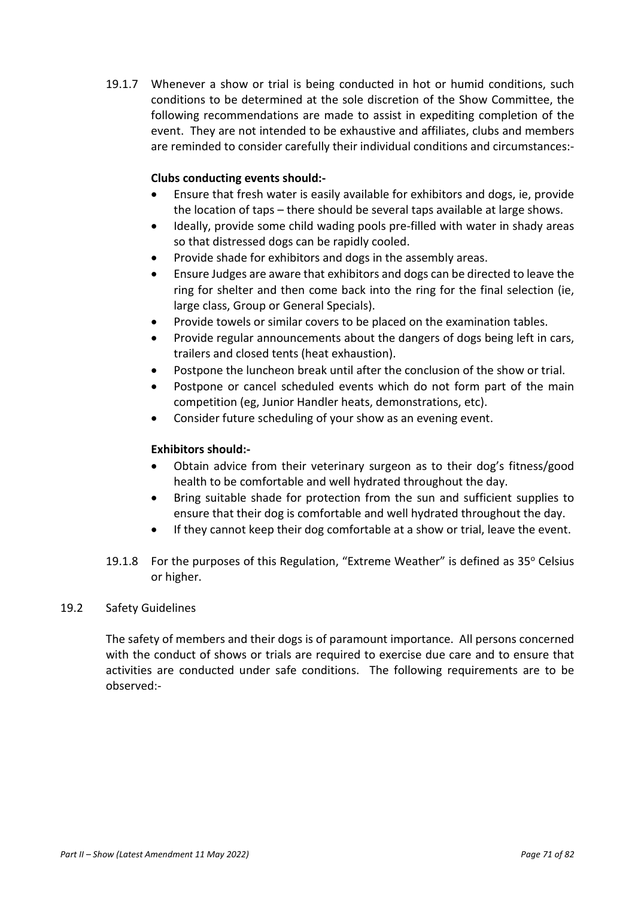19.1.7 Whenever a show or trial is being conducted in hot or humid conditions, such conditions to be determined at the sole discretion of the Show Committee, the following recommendations are made to assist in expediting completion of the event. They are not intended to be exhaustive and affiliates, clubs and members are reminded to consider carefully their individual conditions and circumstances:-

## **Clubs conducting events should:-**

- Ensure that fresh water is easily available for exhibitors and dogs, ie, provide the location of taps – there should be several taps available at large shows.
- Ideally, provide some child wading pools pre-filled with water in shady areas so that distressed dogs can be rapidly cooled.
- Provide shade for exhibitors and dogs in the assembly areas.
- Ensure Judges are aware that exhibitors and dogs can be directed to leave the ring for shelter and then come back into the ring for the final selection (ie, large class, Group or General Specials).
- Provide towels or similar covers to be placed on the examination tables.
- Provide regular announcements about the dangers of dogs being left in cars, trailers and closed tents (heat exhaustion).
- Postpone the luncheon break until after the conclusion of the show or trial.
- Postpone or cancel scheduled events which do not form part of the main competition (eg, Junior Handler heats, demonstrations, etc).
- Consider future scheduling of your show as an evening event.

## **Exhibitors should:-**

- Obtain advice from their veterinary surgeon as to their dog's fitness/good health to be comfortable and well hydrated throughout the day.
- Bring suitable shade for protection from the sun and sufficient supplies to ensure that their dog is comfortable and well hydrated throughout the day.
- If they cannot keep their dog comfortable at a show or trial, leave the event.
- 19.1.8 For the purposes of this Regulation, "Extreme Weather" is defined as  $35^{\circ}$  Celsius or higher.

## 19.2 Safety Guidelines

The safety of members and their dogs is of paramount importance. All persons concerned with the conduct of shows or trials are required to exercise due care and to ensure that activities are conducted under safe conditions. The following requirements are to be observed:-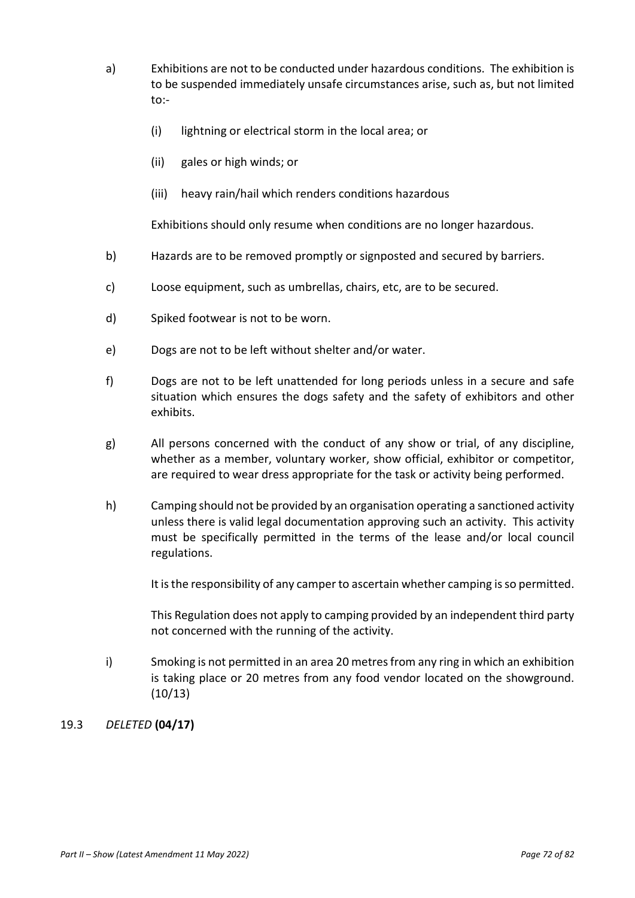- a) Exhibitions are not to be conducted under hazardous conditions. The exhibition is to be suspended immediately unsafe circumstances arise, such as, but not limited to:-
	- (i) lightning or electrical storm in the local area; or
	- (ii) gales or high winds; or
	- (iii) heavy rain/hail which renders conditions hazardous

Exhibitions should only resume when conditions are no longer hazardous.

- b) Hazards are to be removed promptly or signposted and secured by barriers.
- c) Loose equipment, such as umbrellas, chairs, etc, are to be secured.
- d) Spiked footwear is not to be worn.
- e) Dogs are not to be left without shelter and/or water.
- f) Dogs are not to be left unattended for long periods unless in a secure and safe situation which ensures the dogs safety and the safety of exhibitors and other exhibits.
- g) All persons concerned with the conduct of any show or trial, of any discipline, whether as a member, voluntary worker, show official, exhibitor or competitor, are required to wear dress appropriate for the task or activity being performed.
- h) Camping should not be provided by an organisation operating a sanctioned activity unless there is valid legal documentation approving such an activity. This activity must be specifically permitted in the terms of the lease and/or local council regulations.

It is the responsibility of any camper to ascertain whether camping is so permitted.

This Regulation does not apply to camping provided by an independent third party not concerned with the running of the activity.

i) Smoking is not permitted in an area 20 metres from any ring in which an exhibition is taking place or 20 metres from any food vendor located on the showground. (10/13)

# 19.3 *DELETED* **(04/17)**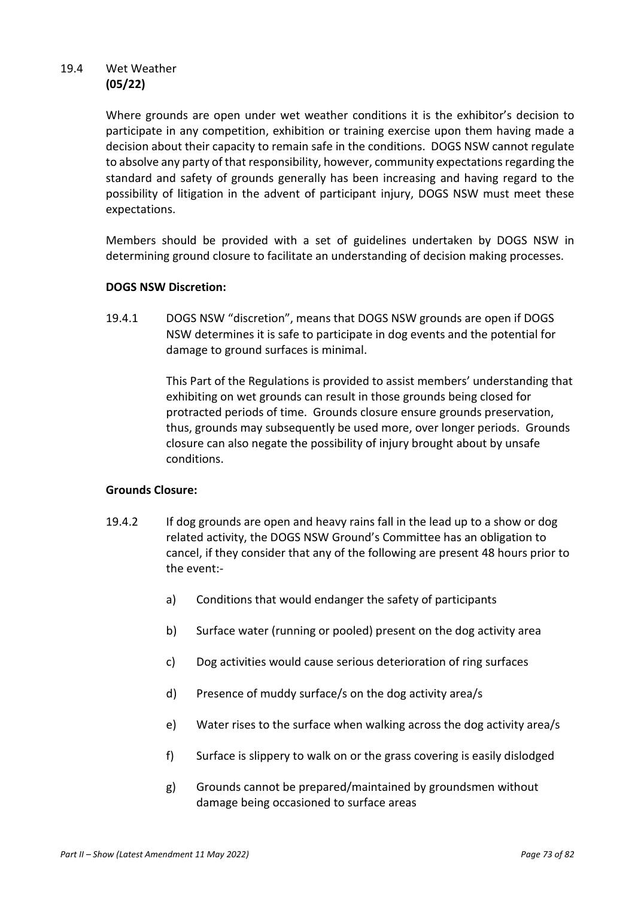## 19.4 Wet Weather **(05/22)**

Where grounds are open under wet weather conditions it is the exhibitor's decision to participate in any competition, exhibition or training exercise upon them having made a decision about their capacity to remain safe in the conditions. DOGS NSW cannot regulate to absolve any party of that responsibility, however, community expectations regarding the standard and safety of grounds generally has been increasing and having regard to the possibility of litigation in the advent of participant injury, DOGS NSW must meet these expectations.

Members should be provided with a set of guidelines undertaken by DOGS NSW in determining ground closure to facilitate an understanding of decision making processes.

## **DOGS NSW Discretion:**

19.4.1 DOGS NSW "discretion", means that DOGS NSW grounds are open if DOGS NSW determines it is safe to participate in dog events and the potential for damage to ground surfaces is minimal.

> This Part of the Regulations is provided to assist members' understanding that exhibiting on wet grounds can result in those grounds being closed for protracted periods of time. Grounds closure ensure grounds preservation, thus, grounds may subsequently be used more, over longer periods. Grounds closure can also negate the possibility of injury brought about by unsafe conditions.

## **Grounds Closure:**

- 19.4.2 If dog grounds are open and heavy rains fall in the lead up to a show or dog related activity, the DOGS NSW Ground's Committee has an obligation to cancel, if they consider that any of the following are present 48 hours prior to the event:
	- a) Conditions that would endanger the safety of participants
	- b) Surface water (running or pooled) present on the dog activity area
	- c) Dog activities would cause serious deterioration of ring surfaces
	- d) Presence of muddy surface/s on the dog activity area/s
	- e) Water rises to the surface when walking across the dog activity area/s
	- f) Surface is slippery to walk on or the grass covering is easily dislodged
	- g) Grounds cannot be prepared/maintained by groundsmen without damage being occasioned to surface areas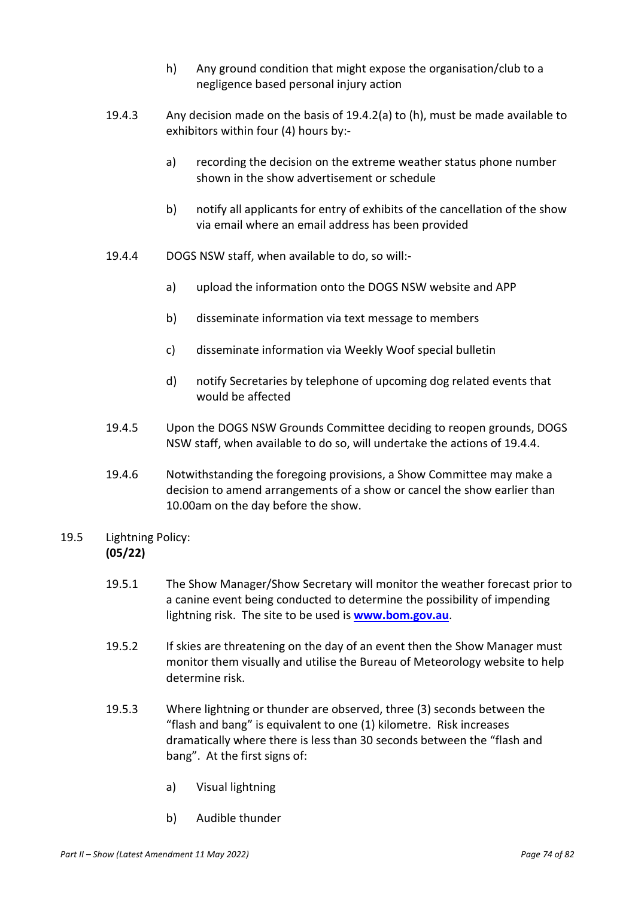- h) Any ground condition that might expose the organisation/club to a negligence based personal injury action
- 19.4.3 Any decision made on the basis of 19.4.2(a) to (h), must be made available to exhibitors within four (4) hours by:
	- a) recording the decision on the extreme weather status phone number shown in the show advertisement or schedule
	- b) notify all applicants for entry of exhibits of the cancellation of the show via email where an email address has been provided
- 19.4.4 DOGS NSW staff, when available to do, so will:
	- a) upload the information onto the DOGS NSW website and APP
	- b) disseminate information via text message to members
	- c) disseminate information via Weekly Woof special bulletin
	- d) notify Secretaries by telephone of upcoming dog related events that would be affected
- 19.4.5 Upon the DOGS NSW Grounds Committee deciding to reopen grounds, DOGS NSW staff, when available to do so, will undertake the actions of 19.4.4.
- 19.4.6 Notwithstanding the foregoing provisions, a Show Committee may make a decision to amend arrangements of a show or cancel the show earlier than 10.00am on the day before the show.

# 19.5 Lightning Policy: **(05/22)**

- 19.5.1 The Show Manager/Show Secretary will monitor the weather forecast prior to a canine event being conducted to determine the possibility of impending lightning risk. The site to be used is **www.bom.gov.au**.
- 19.5.2 If skies are threatening on the day of an event then the Show Manager must monitor them visually and utilise the Bureau of Meteorology website to help determine risk.
- 19.5.3 Where lightning or thunder are observed, three (3) seconds between the "flash and bang" is equivalent to one (1) kilometre. Risk increases dramatically where there is less than 30 seconds between the "flash and bang". At the first signs of:
	- a) Visual lightning
	- b) Audible thunder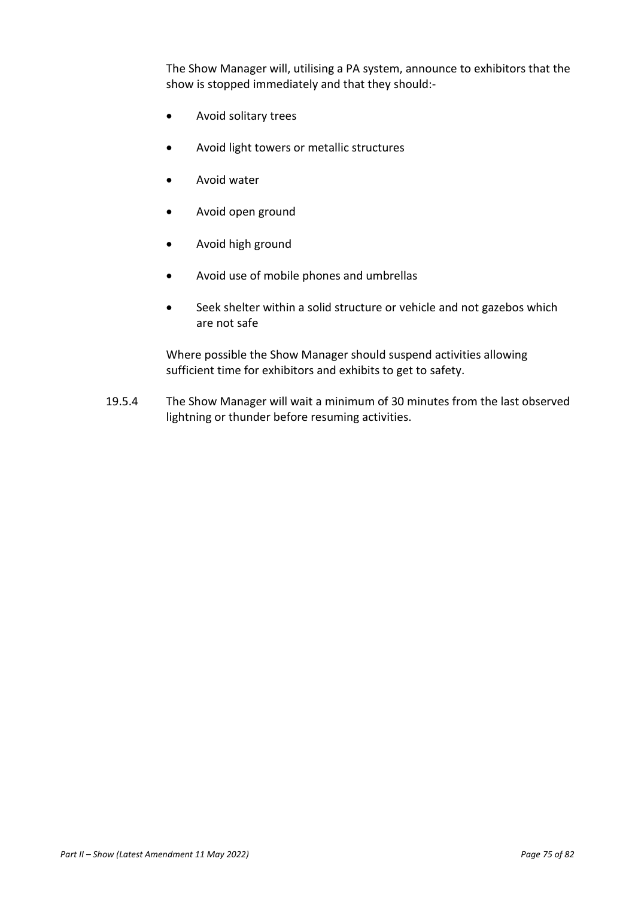The Show Manager will, utilising a PA system, announce to exhibitors that the show is stopped immediately and that they should:-

- Avoid solitary trees
- Avoid light towers or metallic structures
- Avoid water
- Avoid open ground
- Avoid high ground
- Avoid use of mobile phones and umbrellas
- Seek shelter within a solid structure or vehicle and not gazebos which are not safe

Where possible the Show Manager should suspend activities allowing sufficient time for exhibitors and exhibits to get to safety.

19.5.4 The Show Manager will wait a minimum of 30 minutes from the last observed lightning or thunder before resuming activities.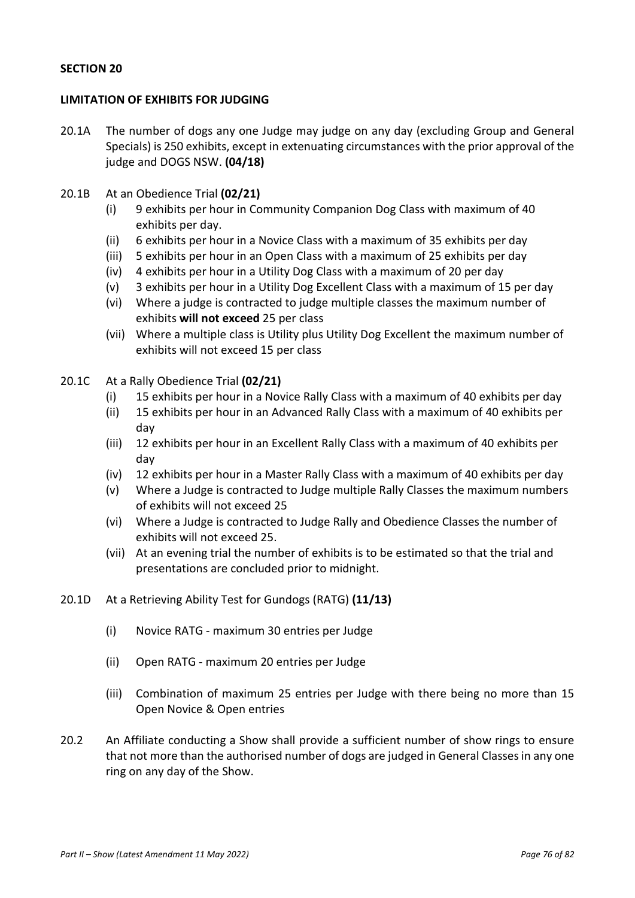## **SECTION 20**

#### **LIMITATION OF EXHIBITS FOR JUDGING**

- 20.1A The number of dogs any one Judge may judge on any day (excluding Group and General Specials) is 250 exhibits, except in extenuating circumstances with the prior approval of the judge and DOGS NSW. **(04/18)**
- 20.1B At an Obedience Trial **(02/21)** 
	- (i) 9 exhibits per hour in Community Companion Dog Class with maximum of 40 exhibits per day.
	- (ii) 6 exhibits per hour in a Novice Class with a maximum of 35 exhibits per day
	- (iii) 5 exhibits per hour in an Open Class with a maximum of 25 exhibits per day
	- (iv) 4 exhibits per hour in a Utility Dog Class with a maximum of 20 per day
	- (v) 3 exhibits per hour in a Utility Dog Excellent Class with a maximum of 15 per day
	- (vi) Where a judge is contracted to judge multiple classes the maximum number of exhibits **will not exceed** 25 per class
	- (vii) Where a multiple class is Utility plus Utility Dog Excellent the maximum number of exhibits will not exceed 15 per class
- 20.1C At a Rally Obedience Trial **(02/21)**
	- (i) 15 exhibits per hour in a Novice Rally Class with a maximum of 40 exhibits per day
	- (ii) 15 exhibits per hour in an Advanced Rally Class with a maximum of 40 exhibits per day
	- (iii) 12 exhibits per hour in an Excellent Rally Class with a maximum of 40 exhibits per day
	- (iv) 12 exhibits per hour in a Master Rally Class with a maximum of 40 exhibits per day
	- (v) Where a Judge is contracted to Judge multiple Rally Classes the maximum numbers of exhibits will not exceed 25
	- (vi) Where a Judge is contracted to Judge Rally and Obedience Classes the number of exhibits will not exceed 25.
	- (vii) At an evening trial the number of exhibits is to be estimated so that the trial and presentations are concluded prior to midnight.
- 20.1D At a Retrieving Ability Test for Gundogs (RATG) **(11/13)** 
	- (i) Novice RATG maximum 30 entries per Judge
	- (ii) Open RATG maximum 20 entries per Judge
	- (iii) Combination of maximum 25 entries per Judge with there being no more than 15 Open Novice & Open entries
- 20.2 An Affiliate conducting a Show shall provide a sufficient number of show rings to ensure that not more than the authorised number of dogs are judged in General Classes in any one ring on any day of the Show.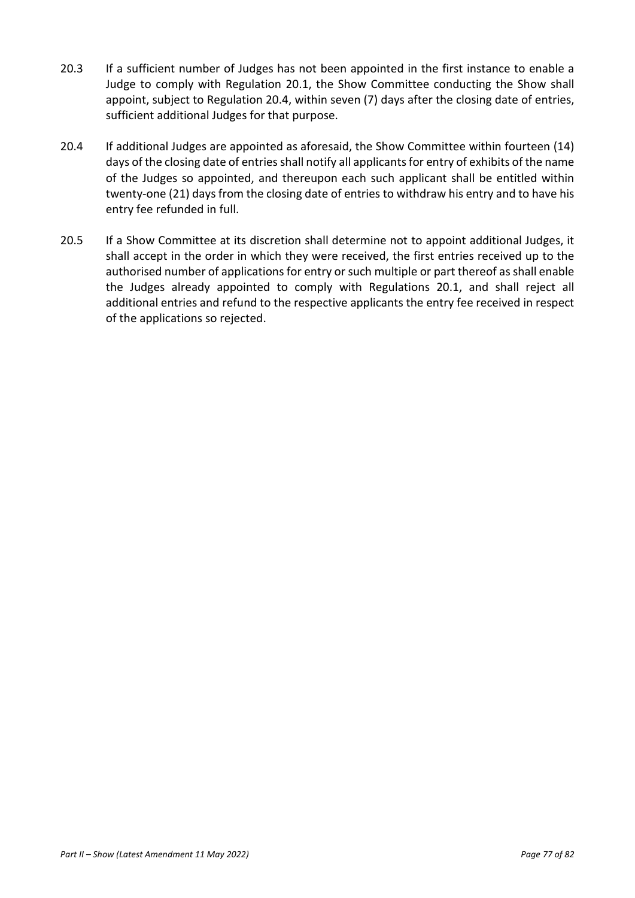- 20.3 If a sufficient number of Judges has not been appointed in the first instance to enable a Judge to comply with Regulation 20.1, the Show Committee conducting the Show shall appoint, subject to Regulation 20.4, within seven (7) days after the closing date of entries, sufficient additional Judges for that purpose.
- 20.4 If additional Judges are appointed as aforesaid, the Show Committee within fourteen (14) days of the closing date of entries shall notify all applicants for entry of exhibits of the name of the Judges so appointed, and thereupon each such applicant shall be entitled within twenty-one (21) days from the closing date of entries to withdraw his entry and to have his entry fee refunded in full.
- 20.5 If a Show Committee at its discretion shall determine not to appoint additional Judges, it shall accept in the order in which they were received, the first entries received up to the authorised number of applications for entry or such multiple or part thereof as shall enable the Judges already appointed to comply with Regulations 20.1, and shall reject all additional entries and refund to the respective applicants the entry fee received in respect of the applications so rejected.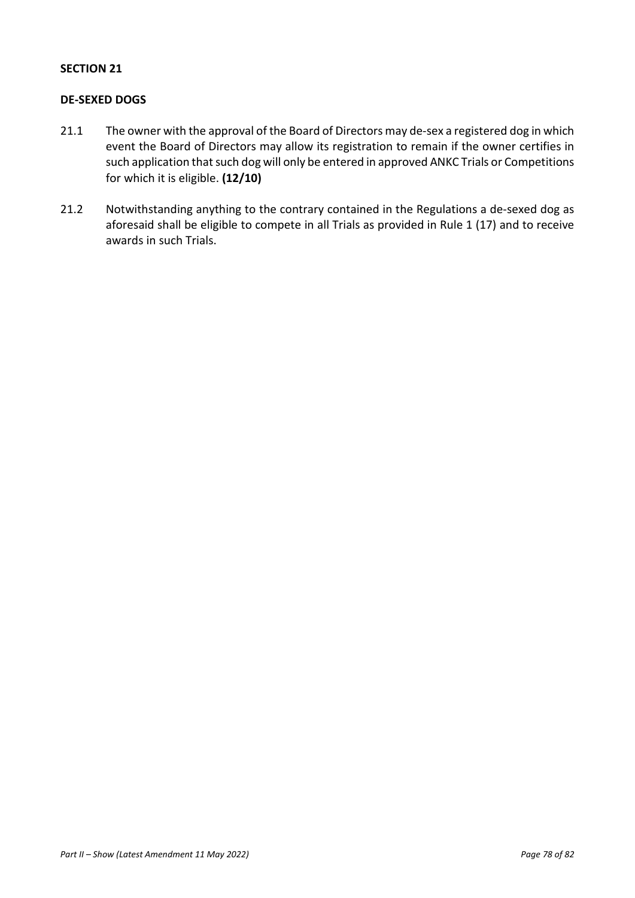## **SECTION 21**

## **DE-SEXED DOGS**

- 21.1 The owner with the approval of the Board of Directors may de-sex a registered dog in which event the Board of Directors may allow its registration to remain if the owner certifies in such application that such dog will only be entered in approved ANKC Trials or Competitions for which it is eligible. **(12/10)**
- 21.2 Notwithstanding anything to the contrary contained in the Regulations a de-sexed dog as aforesaid shall be eligible to compete in all Trials as provided in Rule 1 (17) and to receive awards in such Trials.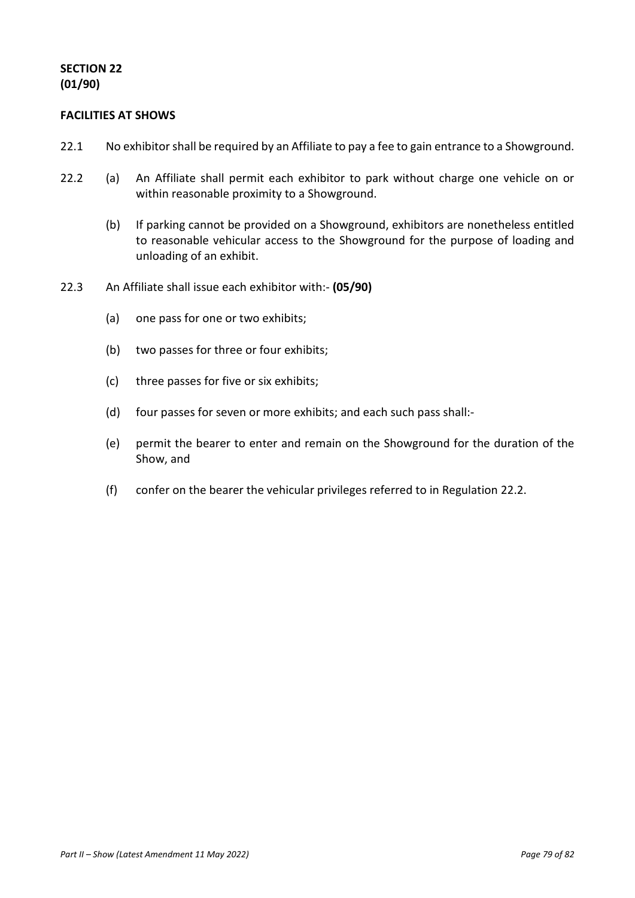# **SECTION 22 (01/90)**

## **FACILITIES AT SHOWS**

- 22.1 No exhibitor shall be required by an Affiliate to pay a fee to gain entrance to a Showground.
- 22.2 (a) An Affiliate shall permit each exhibitor to park without charge one vehicle on or within reasonable proximity to a Showground.
	- (b) If parking cannot be provided on a Showground, exhibitors are nonetheless entitled to reasonable vehicular access to the Showground for the purpose of loading and unloading of an exhibit.
- 22.3 An Affiliate shall issue each exhibitor with:- **(05/90)**
	- (a) one pass for one or two exhibits;
	- (b) two passes for three or four exhibits;
	- (c) three passes for five or six exhibits;
	- (d) four passes for seven or more exhibits; and each such pass shall:-
	- (e) permit the bearer to enter and remain on the Showground for the duration of the Show, and
	- (f) confer on the bearer the vehicular privileges referred to in Regulation 22.2.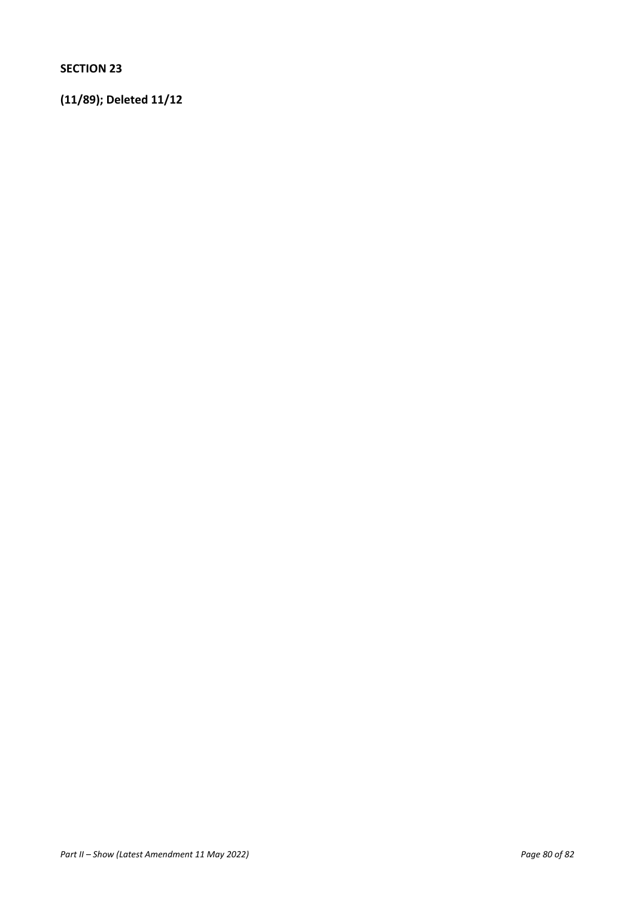**SECTION 23** 

**(11/89); Deleted 11/12**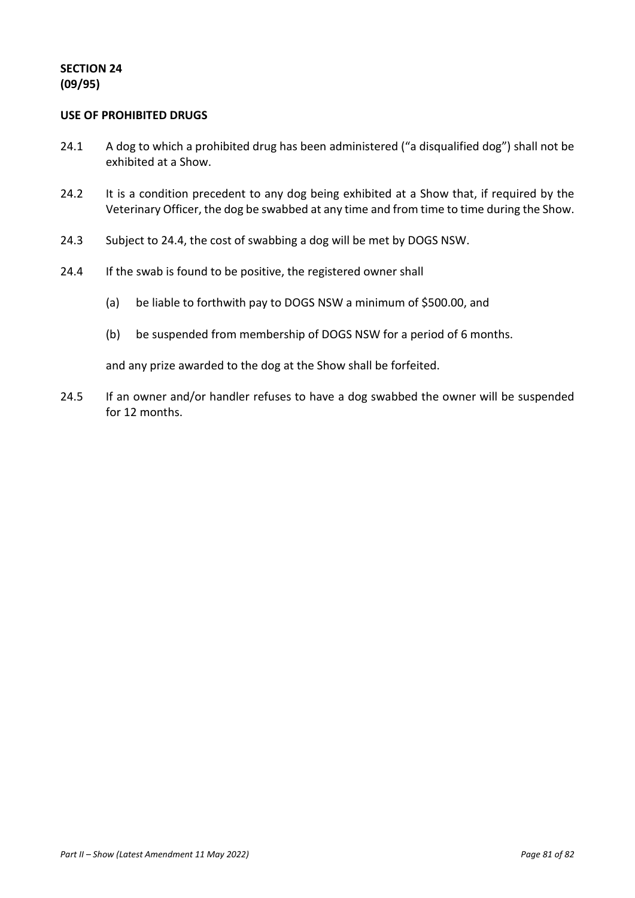## **USE OF PROHIBITED DRUGS**

- 24.1 A dog to which a prohibited drug has been administered ("a disqualified dog") shall not be exhibited at a Show.
- 24.2 It is a condition precedent to any dog being exhibited at a Show that, if required by the Veterinary Officer, the dog be swabbed at any time and from time to time during the Show.
- 24.3 Subject to 24.4, the cost of swabbing a dog will be met by DOGS NSW.
- 24.4 If the swab is found to be positive, the registered owner shall
	- (a) be liable to forthwith pay to DOGS NSW a minimum of \$500.00, and
	- (b) be suspended from membership of DOGS NSW for a period of 6 months.

and any prize awarded to the dog at the Show shall be forfeited.

24.5 If an owner and/or handler refuses to have a dog swabbed the owner will be suspended for 12 months.